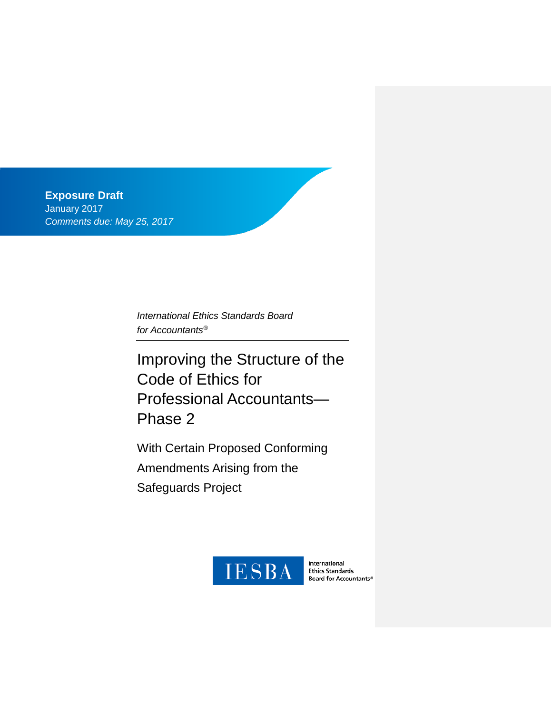**Exposure Draft** January 2017 *Comments due: May 25, 2017*

> *International Ethics Standards Board for Accountants®*

Improving the Structure of the Code of Ethics for Professional Accountants— Phase 2

With Certain Proposed Conforming Amendments Arising from the Safeguards Project



International **Ethics Standards** Board for Accountants®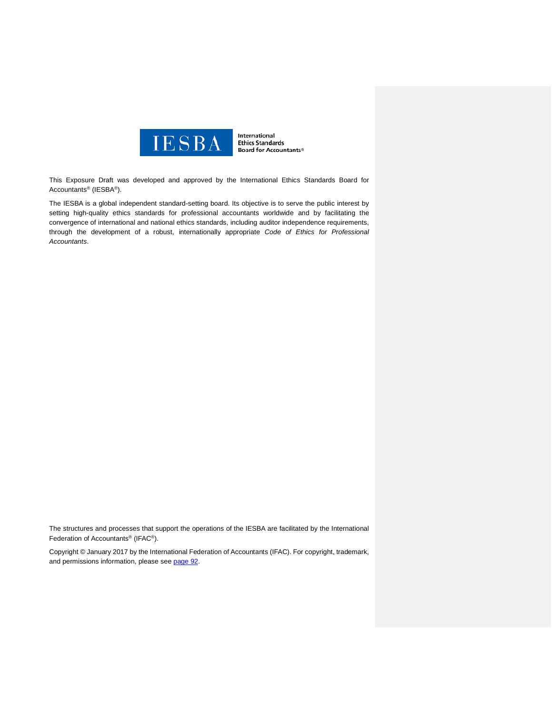

International **Ethics Standards Board for Accountants®** 

This Exposure Draft was developed and approved by the [International Ethics Standards Board for](http://www.ifac.org/ethics)  [Accountants®](http://www.ifac.org/ethics) (IESBA®).

The IESBA is a global independent standard-setting board. Its objective is to serve the public interest by setting high-quality ethics standards for professional accountants worldwide and by facilitating the convergence of international and national ethics standards, including auditor independence requirements, through the development of a robust, internationally appropriate *Code of Ethics for Professional Accountants*.

The structures and processes that support the operations of the IESBA are facilitated by the International Federation of Accountants® (IFAC®).

Copyright © January 2017 by the International Federation of Accountants (IFAC). For copyright, trademark, and permissions information, please see [page](#page-91-0) 92.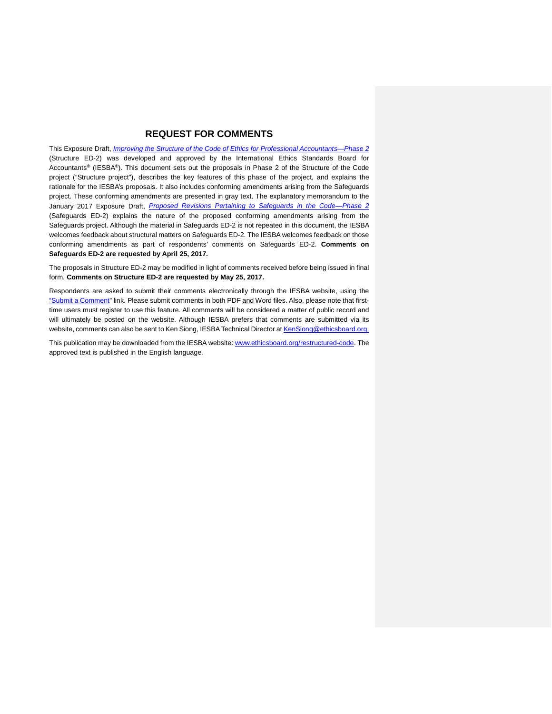## **REQUEST FOR COMMENTS**

This Exposure Draft, *[Improving the Structure of the Code of Ethics for Professional Accountants—Phase 2](https://www.ifac.org/publications-resources/improving-structure-code-ethics-professional-accountants-phase-2)* (Structure ED-2) was developed and approved by the International Ethics Standards Board for Accountants® (IESBA®). This document sets out the proposals in Phase 2 of the Structure of the Code project ("Structure project"), describes the key features of this phase of the project, and explains the rationale for the IESBA's proposals. It also includes conforming amendments arising from the Safeguards project. These conforming amendments are presented in gray text. The explanatory memorandum to the January 2017 Exposure Draft, *[Proposed Revisions Pertaining to Safeguards in the Code—Phase 2](http://www.ifac.org/publications-resources/proposed-revisions-pertaining-safeguards-code-phase-2-and-related-conforming)* (Safeguards ED-2) explains the nature of the proposed conforming amendments arising from the Safeguards project. Although the material in Safeguards ED-2 is not repeated in this document, the IESBA welcomes feedback about structural matters on Safeguards ED-2. The IESBA welcomes feedback on those conforming amendments as part of respondents' comments on Safeguards ED-2. **Comments on Safeguards ED-2 are requested by April 25, 2017.**

The proposals in Structure ED-2 may be modified in light of comments received before being issued in final form. **Comments on Structure ED-2 are requested by May 25, 2017.**

Respondents are asked to submit their comments electronically through the IESBA website, using the ["Submit a Comment"](https://www.ifac.org/publications-resources/improving-structure-code-ethics-professional-accountants-phase-2) link. Please submit comments in both PDF and Word files. Also, please note that firsttime users must register to use this feature. All comments will be considered a matter of public record and will ultimately be posted on the website. Although IESBA prefers that comments are submitted via its website, comments can also be sent to Ken Siong, IESBA Technical Director at [KenSiong@ethicsboard.org.](mailto:KenSiong@ethicsboard.org)

This publication may be downloaded from the IESBA website: [www.ethicsboard.org/restructured-code.](http://www.ethicsboard.org/restructured-code) The approved text is published in the English language.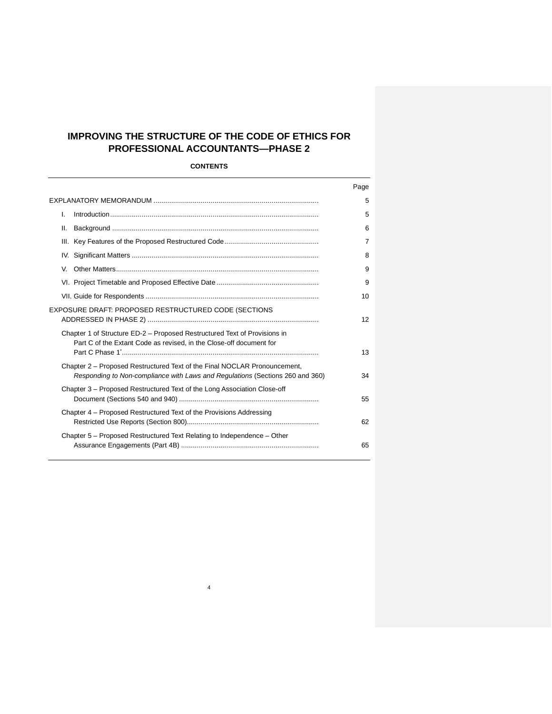# **IMPROVING THE STRUCTURE OF THE CODE OF ETHICS FOR PROFESSIONAL ACCOUNTANTS—PHASE 2**

## **CONTENTS**

| Page           |
|----------------|
| 5              |
| 5              |
| 6              |
| $\overline{7}$ |
| 8              |
| 9              |
| 9              |
| 10             |
| 12             |
|                |
| 13             |
| 34             |
| 55             |
| 62             |
| 65             |
|                |

4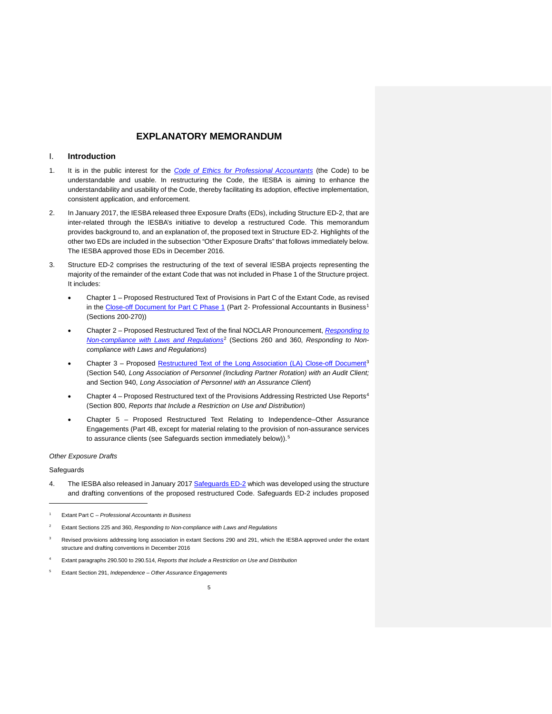### <span id="page-4-1"></span><span id="page-4-0"></span>I. **Introduction**

- 1. It is in the public interest for the *[Code of Ethics for Professional Accountants](http://www.ethicsboard.org/iesba-code)* (the Code) to be understandable and usable. In restructuring the Code, the IESBA is aiming to enhance the understandability and usability of the Code, thereby facilitating its adoption, effective implementation, consistent application, and enforcement.
- 2. In January 2017, the IESBA released three Exposure Drafts (EDs), including Structure ED-2, that are inter-related through the IESBA's initiative to develop a restructured Code. This memorandum provides background to, and an explanation of, the proposed text in Structure ED-2. Highlights of the other two EDs are included in the subsection "Other Exposure Drafts" that follows immediately below. The IESBA approved those EDs in December 2016.
- 3. Structure ED-2 comprises the restructuring of the text of several IESBA projects representing the majority of the remainder of the extant Code that was not included in Phase 1 of the Structure project. It includes:
	- Chapter 1 Proposed Restructured Text of Provisions in Part C of the Extant Code, as revised in the [Close-off Document for Part C Phase 1](http://www.ethicsboard.org/system/files/meetings/files/Agenda-Item-D-3.1-Part-C-Phase-1-Close-Off-Document.pdf) (Part 2- Professional Accountants in Business<sup>[1](#page-4-2)</sup> (Sections 200-270))
	- Chapter 2 Proposed Restructured Text of the final NOCLAR Pronouncement, *[Responding to](http://www.ifac.org/publications-resources/responding-non-compliance-laws-and-regulations)  [Non-compliance with Laws and Regulations](http://www.ifac.org/publications-resources/responding-non-compliance-laws-and-regulations)*[2](#page-4-3) (Sections 260 and 360, *Responding to Noncompliance with Laws and Regulations*)
	- Chapter 3 Proposed [Restructured Text of the Long Association \(LA\)](https://www.ifac.org/publications-resources/close-changes-code-addressing-long-association-personnel-audit-or-assurance) Close-off Document<sup>[3](#page-4-4)</sup> (Section 540*, Long Association of Personnel (Including Partner Rotation) with an Audit Client;*  and Section 940, *Long Association of Personnel with an Assurance Client*)
	- Chapter [4](#page-4-5) Proposed Restructured text of the Provisions Addressing Restricted Use Reports<sup>4</sup> (Section 800, *Reports that Include a Restriction on Use and Distribution*)
	- Chapter 5 Proposed Restructured Text Relating to Independence–Other Assurance Engagements (Part 4B, except for material relating to the provision of non-assurance services to assurance clients (see Safeguards section immediately below)).<sup>[5](#page-4-6)</sup>

#### *Other Exposure Drafts*

#### Safeguards

 $\overline{a}$ 

4. The IESBA also released in January 2017 [Safeguards ED-2](http://www.ifac.org/publications-resources/proposed-revisions-pertaining-safeguards-code-phase-2-and-related-conforming) which was developed using the structure and drafting conventions of the proposed restructured Code. Safeguards ED-2 includes proposed

- Revised provisions addressing long association in extant Sections 290 and 291, which the IESBA approved under the extant structure and drafting conventions in December 2016
- <span id="page-4-2"></span><sup>4</sup> Extant paragraphs 290.500 to 290.514, *Reports that Include a Restriction on Use and Distribution*
- <span id="page-4-6"></span><span id="page-4-5"></span><span id="page-4-4"></span><span id="page-4-3"></span><sup>5</sup> Extant Section 291, *Independence – Other Assurance Engagements*

<sup>1</sup> Extant Part C – *Professional Accountants in Business*

<sup>2</sup> Extant Sections 225 and 360, *Responding to Non-compliance with Laws and Regulations*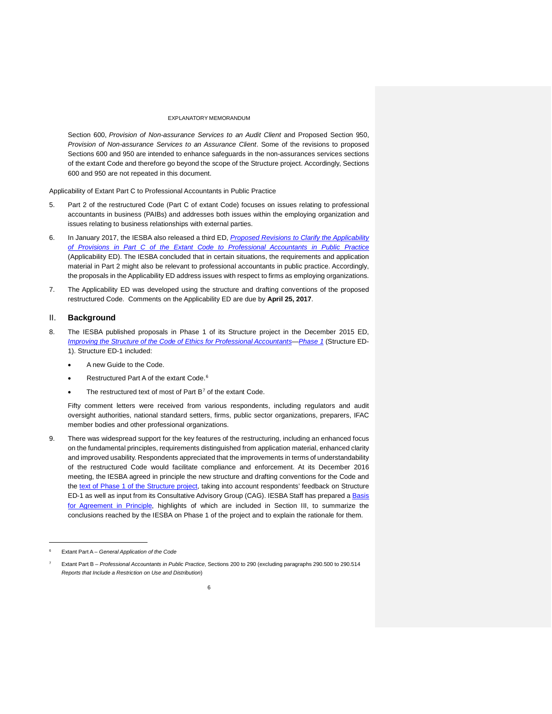Section 600, *Provision of Non-assurance Services to an Audit Client* and Proposed Section 950, *Provision of Non-assurance Services to an Assurance Client*. Some of the revisions to proposed Sections 600 and 950 are intended to enhance safeguards in the non-assurances services sections of the extant Code and therefore go beyond the scope of the Structure project. Accordingly, Sections 600 and 950 are not repeated in this document.

Applicability of Extant Part C to Professional Accountants in Public Practice

- 5. Part 2 of the restructured Code (Part C of extant Code) focuses on issues relating to professional accountants in business (PAIBs) and addresses both issues within the employing organization and issues relating to business relationships with external parties.
- 6. In January 2017, the IESBA also released a third ED, *[Proposed Revisions to Clarify the Applicability](http://www.ifac.org/publications-resources/proposed-revisions-clarify-applicability-provisions-part-c-extant-code)  [of Provisions in Part C of the Extant Code to Professional Accountants in Public](http://www.ifac.org/publications-resources/proposed-revisions-clarify-applicability-provisions-part-c-extant-code) Practice* (Applicability ED). The IESBA concluded that in certain situations, the requirements and application material in Part 2 might also be relevant to professional accountants in public practice. Accordingly, the proposals in the Applicability ED address issues with respect to firms as employing organizations.
- 7. The Applicability ED was developed using the structure and drafting conventions of the proposed restructured Code. Comments on the Applicability ED are due by **April 25, 2017**.

### <span id="page-5-0"></span>II. **Background**

- 8. The IESBA published proposals in Phase 1 of its Structure project in the December 2015 ED, *[Improving the Structure of the Code of Ethics for Professional Accountants—Phase 1](http://www.ifac.org/publications-resources/exposure-draft-improving-structure-code-ethics-professional-accountants-phase)* (Structure ED-1). Structure ED-1 included:
	- A new Guide to the Code.
	- Restructured Part A of the extant Code.<sup>[6](#page-5-1)</sup>
	- The restructured text of most of Part  $B<sup>7</sup>$  $B<sup>7</sup>$  $B<sup>7</sup>$  of the extant Code.

Fifty comment letters were received from various respondents, including regulators and audit oversight authorities, national standard setters, firms, public sector organizations, preparers, IFAC member bodies and other professional organizations.

9. There was widespread support for the key features of the restructuring, including an enhanced focus on the fundamental principles, requirements distinguished from application material, enhanced clarity and improved usability. Respondents appreciated that the improvements in terms of understandability of the restructured Code would facilitate compliance and enforcement. At its December 2016 meeting, the IESBA agreed in principle the new structure and drafting conventions for the Code and the [text of Phase 1 of the Structure project,](https://www.ifac.org/publications-resources/structure-safeguards-revisions-agreed-principle) taking into account respondents' feedback on Structure ED-1 as well as input from its Consultative Advisory Group (CAG). IESBA Staff has prepared a **Basis** [for Agreement in Principle,](https://www.ifac.org/publications-resources/structure-safeguards-revisions-agreed-principle) highlights of which are included in Section III, to summarize the conclusions reached by the IESBA on Phase 1 of the project and to explain the rationale for them.

j

<sup>6</sup> Extant Part A – *General Application of the Code*

<span id="page-5-2"></span><span id="page-5-1"></span><sup>7</sup> Extant Part B – *Professional Accountants in Public Practice*, Sections 200 to 290 (excluding paragraphs 290.500 to 290.514 *Reports that Include a Restriction on Use and Distribution*)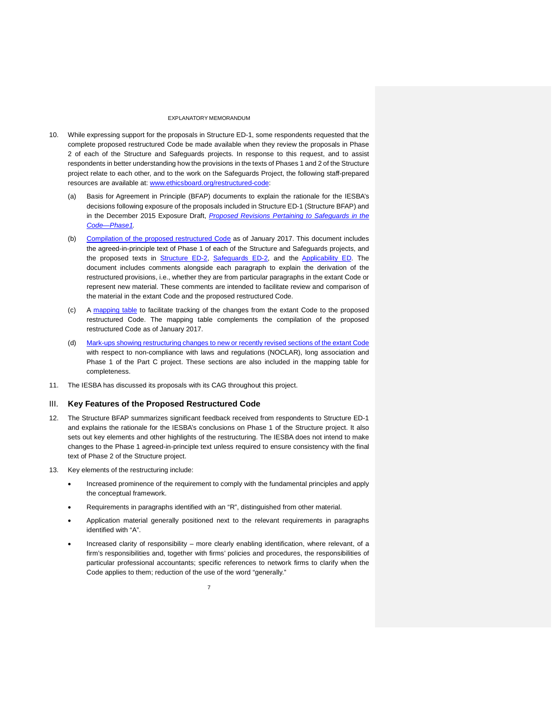- 10. While expressing support for the proposals in Structure ED-1, some respondents requested that the complete proposed restructured Code be made available when they review the proposals in Phase 2 of each of the Structure and Safeguards projects. In response to this request, and to assist respondents in better understanding how the provisions in the texts of Phases 1 and 2 of the Structure project relate to each other, and to the work on the Safeguards Project, the following staff-prepared resources are available at: [www.ethicsboard.org/restructured-code:](http://www.ethicsboard.org/restructured-code)
	- (a) Basis for Agreement in Principle (BFAP) documents to explain the rationale for the IESBA's decisions following exposure of the proposals included in Structure ED-1 (Structure BFAP) and in the December 2015 Exposure Draft, *[Proposed Revisions Pertaining to Safeguards in the](https://www.ifac.org/publications-resources/proposed-revisions-pertaining-safeguards-code-phase-1)  [Code—Phase1.](https://www.ifac.org/publications-resources/proposed-revisions-pertaining-safeguards-code-phase-1)*
	- (b) [Compilation of the proposed restructured Code](https://www.ifac.org/publications-resources/iesba-update-toward-restrutured-international-code-ethics) as of January 2017. This document includes the agreed-in-principle text of Phase 1 of each of the Structure and Safeguards projects, and the proposed texts in [Structure ED-2,](https://www.ifac.org/publications-resources/improving-structure-code-ethics-professional-accountants-phase-2) [Safeguards ED-2,](http://www.ifac.org/publications-resources/proposed-revisions-pertaining-safeguards-code-phase-2-and-related-conforming) and the [Applicability ED.](http://www.ifac.org/publications-resources/proposed-revisions-clarify-applicability-provisions-part-c-extant-code) The document includes comments alongside each paragraph to explain the derivation of the restructured provisions, i.e., whether they are from particular paragraphs in the extant Code or represent new material. These comments are intended to facilitate review and comparison of the material in the extant Code and the proposed restructured Code.
	- (c) A [mapping table](https://www.ifac.org/publications-resources/iesba-update-toward-restrutured-international-code-ethics) to facilitate tracking of the changes from the extant Code to the proposed restructured Code. The mapping table complements the compilation of the proposed restructured Code as of January 2017.
	- (d) [Mark-ups showing restructuring changes to new or recently revised sections of the extant Code](http://www.ifac.org/publications-resources/proposed-revisions-pertaining-safeguards-code-phase-2-and-related-conforming) with respect to non-compliance with laws and regulations (NOCLAR), long association and Phase 1 of the Part C project. These sections are also included in the mapping table for completeness.
- <span id="page-6-0"></span>11. The IESBA has discussed its proposals with its CAG throughout this project.

#### III. **Key Features of the Proposed Restructured Code**

- 12. The Structure BFAP summarizes significant feedback received from respondents to Structure ED-1 and explains the rationale for the IESBA's conclusions on Phase 1 of the Structure project. It also sets out key elements and other highlights of the restructuring. The IESBA does not intend to make changes to the Phase 1 agreed-in-principle text unless required to ensure consistency with the final text of Phase 2 of the Structure project.
- 13. Key elements of the restructuring include:
	- Increased prominence of the requirement to comply with the fundamental principles and apply the conceptual framework.
	- Requirements in paragraphs identified with an "R", distinguished from other material.
	- Application material generally positioned next to the relevant requirements in paragraphs identified with "A".
	- Increased clarity of responsibility more clearly enabling identification, where relevant, of a firm's responsibilities and, together with firms' policies and procedures, the responsibilities of particular professional accountants; specific references to network firms to clarify when the Code applies to them; reduction of the use of the word "generally."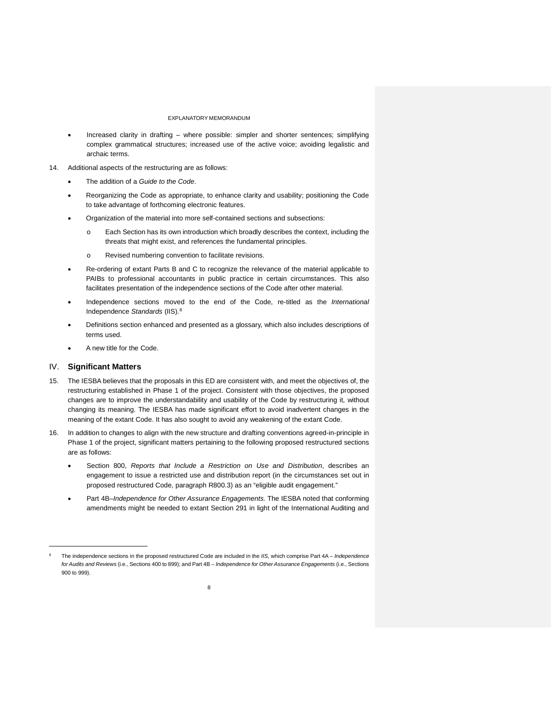- Increased clarity in drafting where possible: simpler and shorter sentences; simplifying complex grammatical structures; increased use of the active voice; avoiding legalistic and archaic terms.
- 14. Additional aspects of the restructuring are as follows:
	- The addition of a *Guide to the Code*.
	- Reorganizing the Code as appropriate, to enhance clarity and usability; positioning the Code to take advantage of forthcoming electronic features.
	- Organization of the material into more self-contained sections and subsections:
		- o Each Section has its own introduction which broadly describes the context, including the threats that might exist, and references the fundamental principles.
		- o Revised numbering convention to facilitate revisions.
	- Re-ordering of extant Parts B and C to recognize the relevance of the material applicable to PAIBs to professional accountants in public practice in certain circumstances. This also facilitates presentation of the independence sections of the Code after other material.
	- Independence sections moved to the end of the Code, re-titled as the *International*  Independence *Standards* (IIS).[8](#page-7-1)
	- Definitions section enhanced and presented as a glossary, which also includes descriptions of terms used.
	- A new title for the Code.

### <span id="page-7-0"></span>IV. **Significant Matters**

1

- 15. The IESBA believes that the proposals in this ED are consistent with, and meet the objectives of, the restructuring established in Phase 1 of the project. Consistent with those objectives, the proposed changes are to improve the understandability and usability of the Code by restructuring it, without changing its meaning. The IESBA has made significant effort to avoid inadvertent changes in the meaning of the extant Code. It has also sought to avoid any weakening of the extant Code.
- 16. In addition to changes to align with the new structure and drafting conventions agreed-in-principle in Phase 1 of the project, significant matters pertaining to the following proposed restructured sections are as follows:
	- Section 800, *Reports that Include a Restriction on Use and Distribution*, describes an engagement to issue a restricted use and distribution report (in the circumstances set out in proposed restructured Code, paragraph R800.3) as an "eligible audit engagement."
	- Part 4B–*Independence for Other Assurance Engagements.* The IESBA noted that conforming amendments might be needed to extant Section 291 in light of the International Auditing and

<span id="page-7-1"></span><sup>8</sup> The independence sections in the proposed restructured Code are included in the *IIS*, which comprise Part 4A – *Independence for Audits and Reviews* (i.e., Sections 400 to 899); and Part 4B – *Independence for Other Assurance Engagements* (i.e., Sections 900 to 999).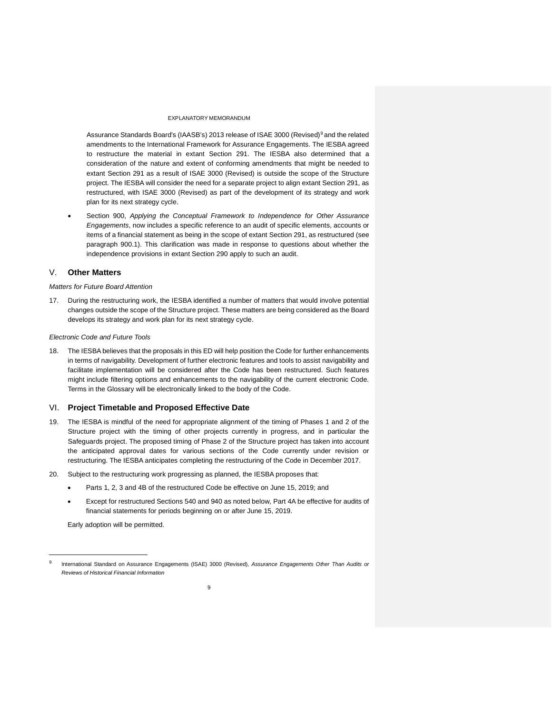Assurance Standards Board's (IAASB's) 2013 release of [ISAE 3000 \(Revised\)](http://www.ifac.org/publications-resources/international-standard-assurance-engagements-isae-3000-revised-assurance-enga)<sup>[9](#page-8-2)</sup> and the related amendments to the International Framework for Assurance Engagements. The IESBA agreed to restructure the material in extant Section 291. The IESBA also determined that a consideration of the nature and extent of conforming amendments that might be needed to extant Section 291 as a result of ISAE 3000 (Revised) is outside the scope of the Structure project. The IESBA will consider the need for a separate project to align extant Section 291, as restructured, with ISAE 3000 (Revised) as part of the development of its strategy and work plan for its next strategy cycle.

• Section 900, *Applying the Conceptual Framework to Independence for Other Assurance Engagements*, now includes a specific reference to an audit of specific elements, accounts or items of a financial statement as being in the scope of extant Section 291, as restructured (see paragraph 900.1). This clarification was made in response to questions about whether the independence provisions in extant Section 290 apply to such an audit.

## <span id="page-8-0"></span>V. **Other Matters**

#### *Matters for Future Board Attention*

17. During the restructuring work, the IESBA identified a number of matters that would involve potential changes outside the scope of the Structure project. These matters are being considered as the Board develops its strategy and work plan for its next strategy cycle.

#### *Electronic Code and Future Tools*

18. The IESBA believes that the proposals in this ED will help position the Code for further enhancements in terms of navigability. Development of further electronic features and tools to assist navigability and facilitate implementation will be considered after the Code has been restructured. Such features might include filtering options and enhancements to the navigability of the current electronic Code. Terms in the Glossary will be electronically linked to the body of the Code.

#### <span id="page-8-1"></span>VI. **Project Timetable and Proposed Effective Date**

- 19. The IESBA is mindful of the need for appropriate alignment of the timing of Phases 1 and 2 of the Structure project with the timing of other projects currently in progress, and in particular the Safeguards project. The proposed timing of Phase 2 of the Structure project has taken into account the anticipated approval dates for various sections of the Code currently under revision or restructuring. The IESBA anticipates completing the restructuring of the Code in December 2017.
- 20. Subject to the restructuring work progressing as planned, the IESBA proposes that:
	- Parts 1, 2, 3 and 4B of the restructured Code be effective on June 15, 2019; and
	- Except for restructured Sections 540 and 940 as noted below, Part 4A be effective for audits of financial statements for periods beginning on or after June 15, 2019.

Early adoption will be permitted.

1

<span id="page-8-2"></span><sup>9</sup> International Standard on Assurance Engagements (ISAE) 3000 (Revised), *Assurance Engagements Other Than Audits or Reviews of Historical Financial Information*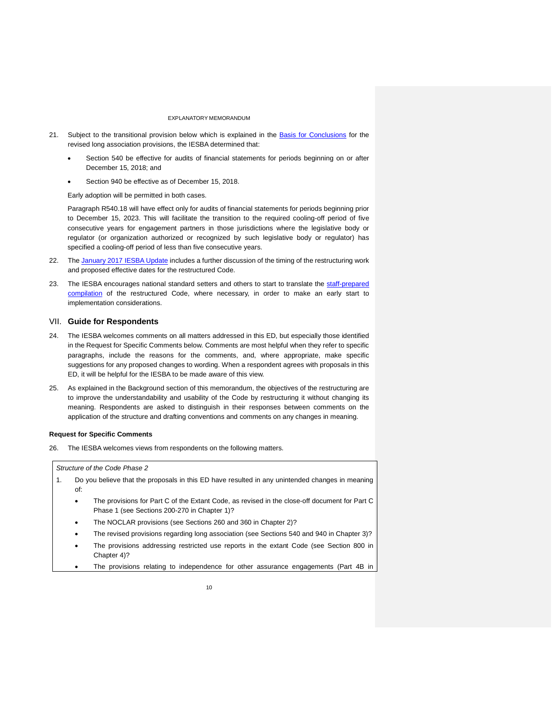- 21. Subject to the transitional provision below which is explained in the [Basis for Conclusions](https://www.ifac.org/publications-resources/close-changes-code-addressing-long-association-personnel-audit-or-assurance) for the revised long association provisions, the IESBA determined that:
	- Section 540 be effective for audits of financial statements for periods beginning on or after December 15, 2018; and
	- Section 940 be effective as of December 15, 2018.

Early adoption will be permitted in both cases.

Paragraph R540.18 will have effect only for audits of financial statements for periods beginning prior to December 15, 2023. This will facilitate the transition to the required cooling-off period of five consecutive years for engagement partners in those jurisdictions where the legislative body or regulator (or organization authorized or recognized by such legislative body or regulator) has specified a cooling-off period of less than five consecutive years.

- 22. The [January 2017 IESBA Update](https://www.ifac.org/publications-resources/iesba-update-toward-restrutured-international-code-ethics) includes a further discussion of the timing of the restructuring work and proposed effective dates for the restructured Code.
- 23. The IESBA encourages national standard setters and others to start to translate the staff-prepared [compilation](https://www.ifac.org/publications-resources/iesba-update-toward-restrutured-international-code-ethics) of the restructured Code, where necessary, in order to make an early start to implementation considerations.

### <span id="page-9-0"></span>VII. **Guide for Respondents**

- 24. The IESBA welcomes comments on all matters addressed in this ED, but especially those identified in the Request for Specific Comments below. Comments are most helpful when they refer to specific paragraphs, include the reasons for the comments, and, where appropriate, make specific suggestions for any proposed changes to wording. When a respondent agrees with proposals in this ED, it will be helpful for the IESBA to be made aware of this view.
- 25. As explained in the Background section of this memorandum, the objectives of the restructuring are to improve the understandability and usability of the Code by restructuring it without changing its meaning. Respondents are asked to distinguish in their responses between comments on the application of the structure and drafting conventions and comments on any changes in meaning.

#### **Request for Specific Comments**

26. The IESBA welcomes views from respondents on the following matters.

#### *Structure of the Code Phase 2*

- 1. Do you believe that the proposals in this ED have resulted in any unintended changes in meaning of:
	- The provisions for Part C of the Extant Code, as revised in the close-off document for Part C Phase 1 (see Sections 200-270 in Chapter 1)?
	- The NOCLAR provisions (see Sections 260 and 360 in Chapter 2)?
	- The revised provisions regarding long association (see Sections 540 and 940 in Chapter 3)?
	- The provisions addressing restricted use reports in the extant Code (see Section 800 in Chapter 4)?
	- The provisions relating to independence for other assurance engagements (Part 4B in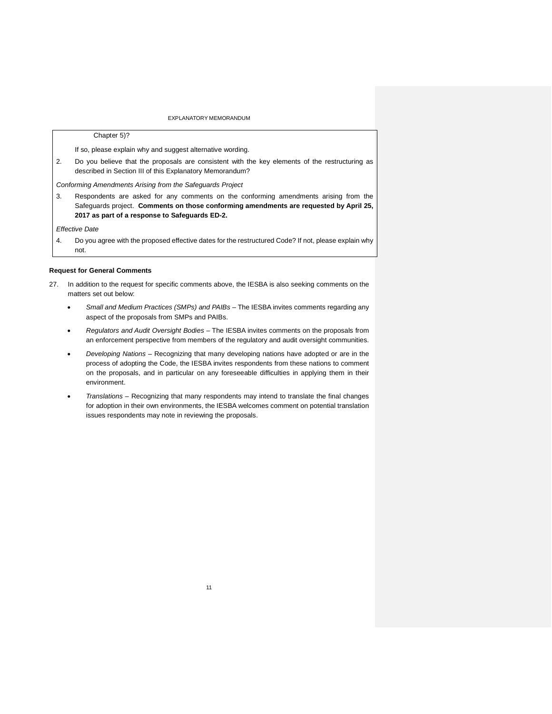#### Chapter 5)?

If so, please explain why and suggest alternative wording.

2. Do you believe that the proposals are consistent with the key elements of the restructuring as described in Section III of this Explanatory Memorandum?

*Conforming Amendments Arising from the Safeguards Project*

3. Respondents are asked for any comments on the conforming amendments arising from the Safeguards project. **Comments on those conforming amendments are requested by April 25, 2017 as part of a response to Safeguards ED-2.**

*Effective Date* 

4. Do you agree with the proposed effective dates for the restructured Code? If not, please explain why not.

#### **Request for General Comments**

- 27. In addition to the request for specific comments above, the IESBA is also seeking comments on the matters set out below:
	- *Small and Medium Practices (SMPs) and PAIBs –* The IESBA invites comments regarding any aspect of the proposals from SMPs and PAIBs.
	- *Regulators and Audit Oversight Bodies –* The IESBA invites comments on the proposals from an enforcement perspective from members of the regulatory and audit oversight communities.
	- *Developing Nations –* Recognizing that many developing nations have adopted or are in the process of adopting the Code, the IESBA invites respondents from these nations to comment on the proposals, and in particular on any foreseeable difficulties in applying them in their environment.
	- *Translations –* Recognizing that many respondents may intend to translate the final changes for adoption in their own environments, the IESBA welcomes comment on potential translation issues respondents may note in reviewing the proposals.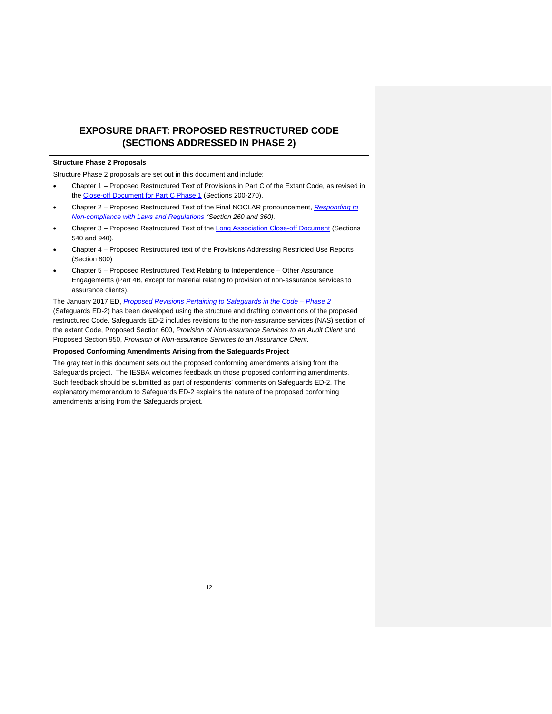# <span id="page-11-0"></span>**EXPOSURE DRAFT: PROPOSED RESTRUCTURED CODE (SECTIONS ADDRESSED IN PHASE 2)**

## **Structure Phase 2 Proposals**

Structure Phase 2 proposals are set out in this document and include:

- Chapter 1 Proposed Restructured Text of Provisions in Part C of the Extant Code, as revised in the [Close-off Document for Part C Phase 1](https://www.ifac.org/publications-resources/close-changes-part-c-code-addressing-preparation-and-presentation-information) (Sections 200-270).
- Chapter 2 Proposed Restructured Text of the Final NOCLAR pronouncement, *[Responding to](http://www.ifac.org/publications-resources/responding-non-compliance-laws-and-regulations)  [Non-compliance with Laws and Regulations](http://www.ifac.org/publications-resources/responding-non-compliance-laws-and-regulations) (Section 260 and 360).*
- Chapter 3 Proposed Restructured Text of the [Long Association Close-off Document](https://www.ifac.org/publications-resources/close-changes-code-addressing-long-association-personnel-audit-or-assurance) (Sections 540 and 940).
- Chapter 4 Proposed Restructured text of the Provisions Addressing Restricted Use Reports (Section 800)
- Chapter 5 Proposed Restructured Text Relating to Independence Other Assurance Engagements (Part 4B, except for material relating to provision of non-assurance services to assurance clients).

The January 2017 ED, *[Proposed Revisions Pertaining to Safeguards in the Code –](http://www.ifac.org/publications-resources/proposed-revisions-pertaining-safeguards-code-phase-2-and-related-conforming) Phase 2* (Safeguards ED-2) has been developed using the structure and drafting conventions of the proposed restructured Code. Safeguards ED-2 includes revisions to the non-assurance services (NAS) section of the extant Code, Proposed Section 600, *Provision of Non-assurance Services to an Audit Client* and Proposed Section 950, *Provision of Non-assurance Services to an Assurance Client*.

### **Proposed Conforming Amendments Arising from the Safeguards Project**

The gray text in this document sets out the proposed conforming amendments arising from the Safeguards project. The IESBA welcomes feedback on those proposed conforming amendments. Such feedback should be submitted as part of respondents' comments on Safeguards ED-2. The explanatory memorandum to Safeguards ED-2 explains the nature of the proposed conforming amendments arising from the Safeguards project.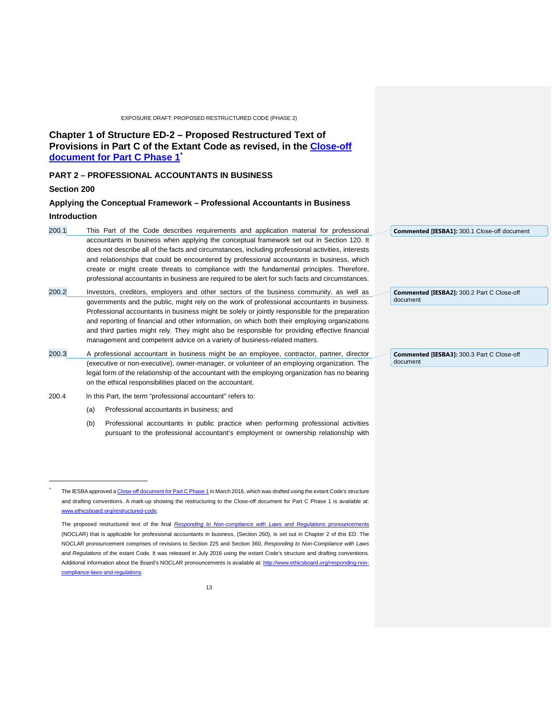## <span id="page-12-0"></span>**Chapter 1 of Structure ED-2 – Proposed Restructured Text of Provisions in Part C of the Extant Code as revised, in the [Close-off](https://www.ifac.org/publications-resources/close-changes-part-c-code-addressing-preparation-and-presentation-information)  [document for Part C Phase 1](https://www.ifac.org/publications-resources/close-changes-part-c-code-addressing-preparation-and-presentation-information)[\\*](#page-12-1)**

## **PART 2 – PROFESSIONAL ACCOUNTANTS IN BUSINESS**

### **Section 200**

j \*

## **Applying the Conceptual Framework – Professional Accountants in Business Introduction**

- 200.1 This Part of the Code describes requirements and application material for professional accountants in business when applying the conceptual framework set out in Section 120. It does not describe all of the facts and circumstances, including professional activities, interests and relationships that could be encountered by professional accountants in business, which create or might create threats to compliance with the fundamental principles. Therefore, professional accountants in business are required to be alert for such facts and circumstances.
- 200.2 Investors, creditors, employers and other sectors of the business community, as well as governments and the public, might rely on the work of professional accountants in business. Professional accountants in business might be solely or jointly responsible for the preparation and reporting of financial and other information, on which both their employing organizations and third parties might rely. They might also be responsible for providing effective financial management and competent advice on a variety of business-related matters.
- 200.3 A professional accountant in business might be an employee, contractor, partner, director (executive or non-executive), owner-manager, or volunteer of an employing organization. The legal form of the relationship of the accountant with the employing organization has no bearing on the ethical responsibilities placed on the accountant.
- 200.4 In this Part, the term "professional accountant" refers to:
	- (a) Professional accountants in business; and
	- (b) Professional accountants in public practice when performing professional activities pursuant to the professional accountant's employment or ownership relationship with

|          | Commented [IESBA1]: 300.1 Close-off document |
|----------|----------------------------------------------|
|          |                                              |
|          |                                              |
|          |                                              |
|          |                                              |
| document | Commented [IESBA2]: 300.2 Part C Close-off   |
|          |                                              |
|          |                                              |
|          |                                              |
|          |                                              |
|          | Commented [IESBA3]: 300.3 Part C Close-off   |

The IESBA approved [a Close-off document for Part C Phase 1](https://www.ifac.org/publications-resources/close-changes-part-c-code-addressing-preparation-and-presentation-information) in March 2016, which was drafted using the extant Code's structure and drafting conventions. A mark-up showing the restructuring to the Close-off document for Part C Phase 1 is available at: [www.ethicsboard.org/restructured-code.](http://www.ethicsboard.org/restructured-code)

<span id="page-12-1"></span>The proposed restructured text of the final *[Responding to Non-compliance with Laws and](https://www.ifac.org/publications-resources/responding-non-compliance-laws-and-regulations) Regulations* (NOCLAR) that is applicable for professional accountants in business, (Section 260), is set out in Chapter 2 of this ED. The NOCLAR pronouncement comprises of revisions to Section 225 and Section 360, *Responding to Non-Compliance with Laws and Regulations* of the extant Code*.* It was released in July 2016 using the extant Code's structure and drafting conventions. Additional information about the Board's NOCLAR pronouncements is available at: [http://www.ethicsboard.org/responding-non](http://www.ethicsboard.org/responding-non-compliance-laws-and-regulations)[compliance-laws-and-regulations.](http://www.ethicsboard.org/responding-non-compliance-laws-and-regulations)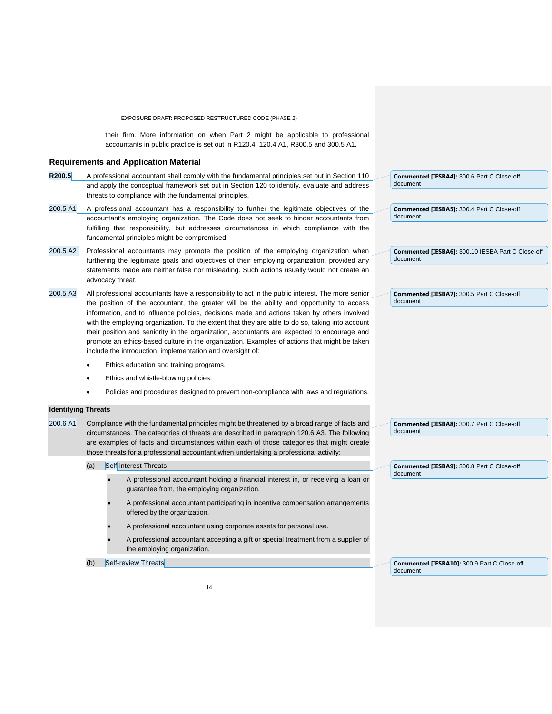their firm. More information on when Part 2 might be applicable to professional accountants in public practice is set out in R120.4, 120.4 A1, R300.5 and 300.5 A1.

#### **Requirements and Application Material**

- **R200.5** A professional accountant shall comply with the fundamental principles set out in Section 110 and apply the conceptual framework set out in Section 120 to identify, evaluate and address threats to compliance with the fundamental principles.
- 200.5 A1 A professional accountant has a responsibility to further the legitimate objectives of the accountant's employing organization. The Code does not seek to hinder accountants from fulfilling that responsibility, but addresses circumstances in which compliance with the fundamental principles might be compromised.
- 200.5 A2 Professional accountants may promote the position of the employing organization when furthering the legitimate goals and objectives of their employing organization, provided any statements made are neither false nor misleading. Such actions usually would not create an advocacy threat.
- 200.5 A3 All professional accountants have a responsibility to act in the public interest. The more senior the position of the accountant, the greater will be the ability and opportunity to access information, and to influence policies, decisions made and actions taken by others involved with the employing organization. To the extent that they are able to do so, taking into account their position and seniority in the organization, accountants are expected to encourage and promote an ethics-based culture in the organization. Examples of actions that might be taken include the introduction, implementation and oversight of:
	- Ethics education and training programs.
	- Ethics and whistle-blowing policies.
	- Policies and procedures designed to prevent non-compliance with laws and regulations.

### **Identifying Threats**

200.6 A1 Compliance with the fundamental principles might be threatened by a broad range of facts and circumstances. The categories of threats are described in paragraph 120.6 A3. The following are examples of facts and circumstances within each of those categories that might create those threats for a professional accountant when undertaking a professional activity:

- (a) Self-interest Threats
	- A professional accountant holding a financial interest in, or receiving a loan or guarantee from, the employing organization.
	- A professional accountant participating in incentive compensation arrangements offered by the organization.
	- A professional accountant using corporate assets for personal use.
	- A professional accountant accepting a gift or special treatment from a supplier of the employing organization.

(b) Self-review Threats

**Commented [IESBA4]:** 300.6 Part C Close-off document

**Commented [IESBA5]:** 300.4 Part C Close-off document

**Commented [IESBA6]:** 300.10 IESBA Part C Close-off document

**Commented [IESBA7]:** 300.5 Part C Close-off document

**Commented [IESBA8]:** 300.7 Part C Close-off document

**Commented [IESBA9]:** 300.8 Part C Close-off document

**Commented [IESBA10]:** 300.9 Part C Close-off document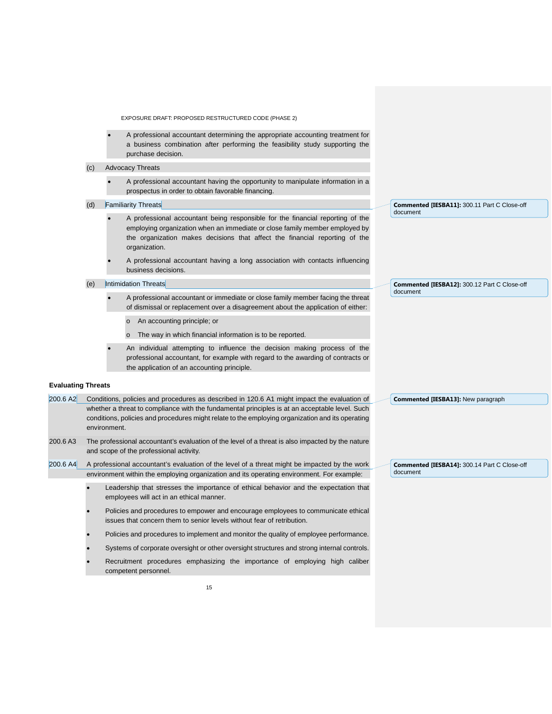- A professional accountant determining the appropriate accounting treatment for a business combination after performing the feasibility study supporting the purchase decision.
- (c) Advocacy Threats
	- A professional accountant having the opportunity to manipulate information in a prospectus in order to obtain favorable financing.
- (d) Familiarity Threats
	- A professional accountant being responsible for the financial reporting of the employing organization when an immediate or close family member employed by the organization makes decisions that affect the financial reporting of the organization.
	- A professional accountant having a long association with contacts influencing business decisions.

(e) Intimidation Threats

- A professional accountant or immediate or close family member facing the threat of dismissal or replacement over a disagreement about the application of either:
	- o An accounting principle; or
	- o The way in which financial information is to be reported.
- An individual attempting to influence the decision making process of the professional accountant, for example with regard to the awarding of contracts or the application of an accounting principle.

#### **Evaluating Threats**

200.6 A2 Conditions, policies and procedures as described in 120.6 A1 might impact the evaluation of whether a threat to compliance with the fundamental principles is at an acceptable level. Such conditions, policies and procedures might relate to the employing organization and its operating environment.

200.6 A3 The professional accountant's evaluation of the level of a threat is also impacted by the nature and scope of the professional activity.

200.6 A4 A professional accountant's evaluation of the level of a threat might be impacted by the work environment within the employing organization and its operating environment. For example:

- Leadership that stresses the importance of ethical behavior and the expectation that employees will act in an ethical manner.
- Policies and procedures to empower and encourage employees to communicate ethical issues that concern them to senior levels without fear of retribution.
- Policies and procedures to implement and monitor the quality of employee performance.
- Systems of corporate oversight or other oversight structures and strong internal controls.
- Recruitment procedures emphasizing the importance of employing high caliber competent personnel.

**Commented [IESBA11]:** 300.11 Part C Close-off document

**Commented [IESBA12]:** 300.12 Part C Close-off document

**Commented [IESBA14]:** 300.14 Part C Close-off document

**Commented [IESBA13]:** New paragraph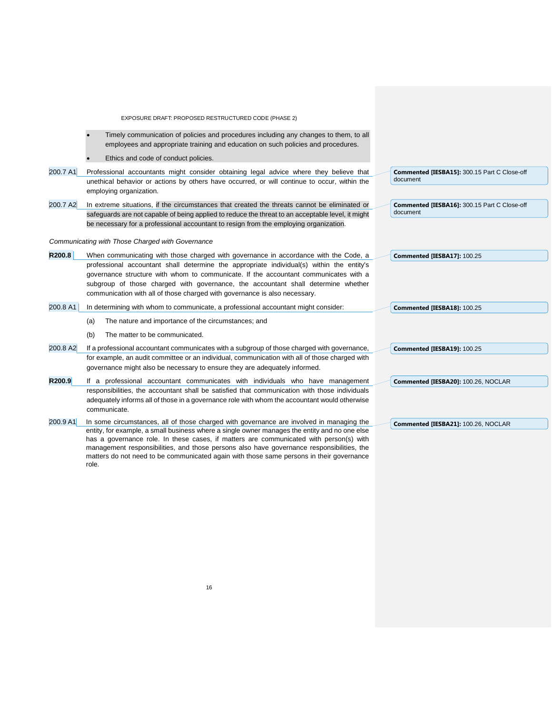| EXPOSURE DRAFT: PROPOSED RESTRUCTURED CODE (PHASE 2)                                                                                                                                                                                                                                                   |                                                          |
|--------------------------------------------------------------------------------------------------------------------------------------------------------------------------------------------------------------------------------------------------------------------------------------------------------|----------------------------------------------------------|
| Timely communication of policies and procedures including any changes to them, to all<br>employees and appropriate training and education on such policies and procedures.                                                                                                                             |                                                          |
| Ethics and code of conduct policies.                                                                                                                                                                                                                                                                   |                                                          |
| 200.7 A1<br>Professional accountants might consider obtaining legal advice where they believe that<br>unethical behavior or actions by others have occurred, or will continue to occur, within the<br>employing organization.                                                                          | Commented [IESBA15]: 300.15 Part C Close-off<br>document |
| 200.7 A2<br>In extreme situations, if the circumstances that created the threats cannot be eliminated or<br>safeguards are not capable of being applied to reduce the threat to an acceptable level, it might<br>be necessary for a professional accountant to resign from the employing organization. | Commented [IESBA16]: 300.15 Part C Close-off<br>document |
|                                                                                                                                                                                                                                                                                                        |                                                          |
| Communicating with Those Charged with Governance                                                                                                                                                                                                                                                       |                                                          |
| R200.8<br>When communicating with those charged with governance in accordance with the Code, a                                                                                                                                                                                                         | Commented [IESBA17]: 100.25                              |
| professional accountant shall determine the appropriate individual(s) within the entity's                                                                                                                                                                                                              |                                                          |
| governance structure with whom to communicate. If the accountant communicates with a<br>subgroup of those charged with governance, the accountant shall determine whether                                                                                                                              |                                                          |
| communication with all of those charged with governance is also necessary.                                                                                                                                                                                                                             |                                                          |
| 200.8 A1<br>In determining with whom to communicate, a professional accountant might consider:                                                                                                                                                                                                         | Commented [IESBA18]: 100.25                              |
|                                                                                                                                                                                                                                                                                                        |                                                          |
| The nature and importance of the circumstances; and<br>(a)                                                                                                                                                                                                                                             |                                                          |
| The matter to be communicated.<br>(b)                                                                                                                                                                                                                                                                  |                                                          |
| 200.8 A2<br>If a professional accountant communicates with a subgroup of those charged with governance,                                                                                                                                                                                                | Commented [IESBA19]: 100.25                              |
| for example, an audit committee or an individual, communication with all of those charged with                                                                                                                                                                                                         |                                                          |
| governance might also be necessary to ensure they are adequately informed.                                                                                                                                                                                                                             |                                                          |
| R200.9<br>If a professional accountant communicates with individuals who have management                                                                                                                                                                                                               | Commented [IESBA20]: 100.26, NOCLAR                      |
| responsibilities, the accountant shall be satisfied that communication with those individuals                                                                                                                                                                                                          |                                                          |
| adequately informs all of those in a governance role with whom the accountant would otherwise<br>communicate.                                                                                                                                                                                          |                                                          |
|                                                                                                                                                                                                                                                                                                        |                                                          |
| 200.9 A1<br>In some circumstances, all of those charged with governance are involved in managing the<br>entity, for example, a small business where a single owner manages the entity and no one else                                                                                                  | Commented [IESBA21]: 100.26, NOCLAR                      |
| has a governance role. In these cases, if matters are communicated with person(s) with                                                                                                                                                                                                                 |                                                          |
| management responsibilities, and those persons also have governance responsibilities, the                                                                                                                                                                                                              |                                                          |

matters do not need to be communicated again with those same persons in their governance

role.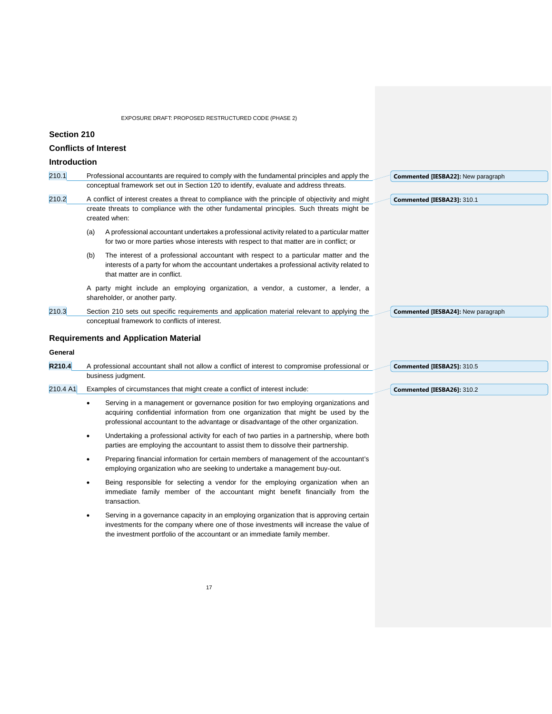## **Section 210**

## **Conflicts of Interest**

# **Introduction**

| iiiu vuucuvii |                                                                                                                                                                                                                                                                              |                                    |
|---------------|------------------------------------------------------------------------------------------------------------------------------------------------------------------------------------------------------------------------------------------------------------------------------|------------------------------------|
| 210.1         | Professional accountants are required to comply with the fundamental principles and apply the                                                                                                                                                                                | Commented [IESBA22]: New paragraph |
|               | conceptual framework set out in Section 120 to identify, evaluate and address threats.                                                                                                                                                                                       |                                    |
| 210.2         | A conflict of interest creates a threat to compliance with the principle of objectivity and might<br>create threats to compliance with the other fundamental principles. Such threats might be<br>created when:                                                              | Commented [IESBA23]: 310.1         |
|               | A professional accountant undertakes a professional activity related to a particular matter<br>(a)<br>for two or more parties whose interests with respect to that matter are in conflict; or                                                                                |                                    |
|               | (b)<br>The interest of a professional accountant with respect to a particular matter and the<br>interests of a party for whom the accountant undertakes a professional activity related to<br>that matter are in conflict.                                                   |                                    |
|               | A party might include an employing organization, a vendor, a customer, a lender, a<br>shareholder, or another party.                                                                                                                                                         |                                    |
| 210.3         | Section 210 sets out specific requirements and application material relevant to applying the<br>conceptual framework to conflicts of interest.                                                                                                                               | Commented [IESBA24]: New paragraph |
|               | <b>Requirements and Application Material</b>                                                                                                                                                                                                                                 |                                    |
| General       |                                                                                                                                                                                                                                                                              |                                    |
| R210.4        | A professional accountant shall not allow a conflict of interest to compromise professional or                                                                                                                                                                               | Commented [IESBA25]: 310.5         |
|               | business judgment.                                                                                                                                                                                                                                                           |                                    |
| 210.4 A1      | Examples of circumstances that might create a conflict of interest include:                                                                                                                                                                                                  | Commented [IESBA26]: 310.2         |
|               | Serving in a management or governance position for two employing organizations and<br>$\bullet$<br>acquiring confidential information from one organization that might be used by the<br>professional accountant to the advantage or disadvantage of the other organization. |                                    |
|               | Undertaking a professional activity for each of two parties in a partnership, where both<br>٠<br>parties are employing the accountant to assist them to dissolve their partnership.                                                                                          |                                    |
|               | Preparing financial information for certain members of management of the accountant's<br>٠<br>employing organization who are seeking to undertake a management buy-out.                                                                                                      |                                    |
|               | Being responsible for selecting a vendor for the employing organization when an<br>immediate family member of the accountant might benefit financially from the<br>transaction.                                                                                              |                                    |
|               | Serving in a governance capacity in an employing organization that is approving certain<br>investments for the company where one of those investments will increase the value of<br>the investment portfolio of the accountant or an immediate family member.                |                                    |
|               |                                                                                                                                                                                                                                                                              |                                    |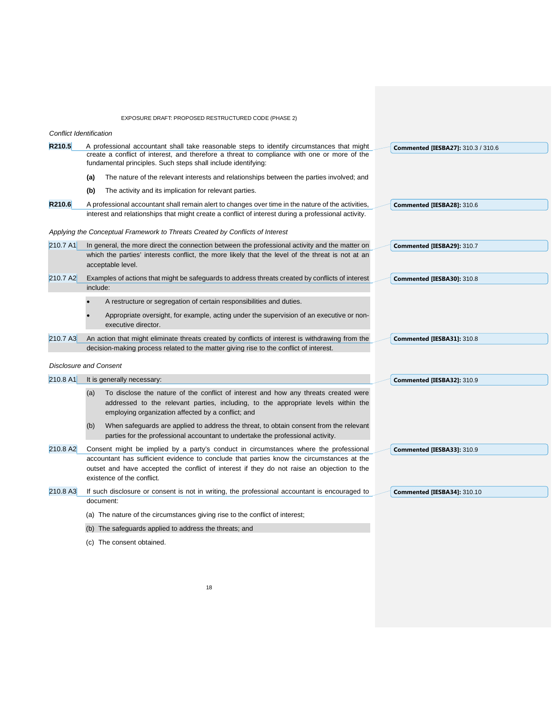|                                | EXPOSURE DRAFT: PROPOSED RESTRUCTURED CODE (PHASE 2)                                                                                                                                                                                                       |                                           |
|--------------------------------|------------------------------------------------------------------------------------------------------------------------------------------------------------------------------------------------------------------------------------------------------------|-------------------------------------------|
| <b>Conflict Identification</b> |                                                                                                                                                                                                                                                            |                                           |
| R210.5                         | A professional accountant shall take reasonable steps to identify circumstances that might<br>create a conflict of interest, and therefore a threat to compliance with one or more of the<br>fundamental principles. Such steps shall include identifying: | <b>Commented [IESBA27]: 310.3 / 310.6</b> |
|                                | The nature of the relevant interests and relationships between the parties involved; and<br>(a)                                                                                                                                                            |                                           |
|                                | (b)<br>The activity and its implication for relevant parties.                                                                                                                                                                                              |                                           |
| R210.6                         | A professional accountant shall remain alert to changes over time in the nature of the activities,<br>interest and relationships that might create a conflict of interest during a professional activity.                                                  | Commented [IESBA28]: 310.6                |
|                                | Applying the Conceptual Framework to Threats Created by Conflicts of Interest                                                                                                                                                                              |                                           |
| 210.7 A1                       | In general, the more direct the connection between the professional activity and the matter on                                                                                                                                                             | Commented [IESBA29]: 310.7                |
|                                | which the parties' interests conflict, the more likely that the level of the threat is not at an<br>acceptable level.                                                                                                                                      |                                           |
| 210.7 A2                       | Examples of actions that might be safeguards to address threats created by conflicts of interest                                                                                                                                                           | Commented [IESBA30]: 310.8                |
|                                | include:                                                                                                                                                                                                                                                   |                                           |
|                                | A restructure or segregation of certain responsibilities and duties.                                                                                                                                                                                       |                                           |
|                                | Appropriate oversight, for example, acting under the supervision of an executive or non-<br>executive director.                                                                                                                                            |                                           |
| 210.7 A3                       | An action that might eliminate threats created by conflicts of interest is withdrawing from the                                                                                                                                                            | Commented [IESBA31]: 310.8                |
|                                | decision-making process related to the matter giving rise to the conflict of interest.                                                                                                                                                                     |                                           |
|                                | <b>Disclosure and Consent</b>                                                                                                                                                                                                                              |                                           |
| 210.8 A1                       | It is generally necessary:                                                                                                                                                                                                                                 | Commented [IESBA32]: 310.9                |
|                                | To disclose the nature of the conflict of interest and how any threats created were<br>(a)<br>addressed to the relevant parties, including, to the appropriate levels within the<br>employing organization affected by a conflict; and                     |                                           |
|                                | When safeguards are applied to address the threat, to obtain consent from the relevant<br>(b)<br>parties for the professional accountant to undertake the professional activity.                                                                           |                                           |
| 210.8 A2                       | Consent might be implied by a party's conduct in circumstances where the professional                                                                                                                                                                      | Commented [IESBA33]: 310.9                |
|                                | accountant has sufficient evidence to conclude that parties know the circumstances at the<br>outset and have accepted the conflict of interest if they do not raise an objection to the<br>existence of the conflict.                                      |                                           |

210.8 A3 If such disclosure or consent is not in writing, the professional accountant is encouraged to document: **Commented [IESBA34]:** 310.10

(a) The nature of the circumstances giving rise to the conflict of interest;

(b) The safeguards applied to address the threats; and

(c) The consent obtained.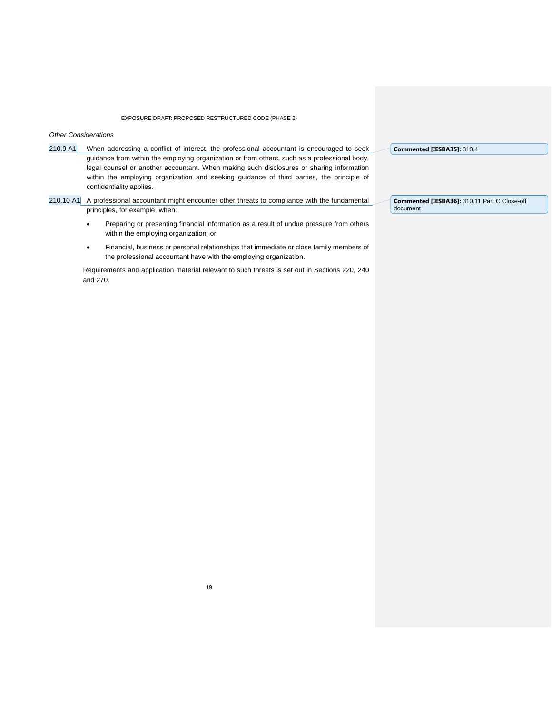*Other Considerations*

210.9 A1 When addressing a conflict of interest, the professional accountant is encouraged to seek guidance from within the employing organization or from others, such as a professional body, legal counsel or another accountant. When making such disclosures or sharing information within the employing organization and seeking guidance of third parties, the principle of confidentiality applies.

210.10 A1 A professional accountant might encounter other threats to compliance with the fundamental principles, for example, when:

- Preparing or presenting financial information as a result of undue pressure from others within the employing organization; or
- Financial, business or personal relationships that immediate or close family members of the professional accountant have with the employing organization.

Requirements and application material relevant to such threats is set out in Sections 220, 240 and 270.

**Commented [IESBA35]:** 310.4

**Commented [IESBA36]:** 310.11 Part C Close-off document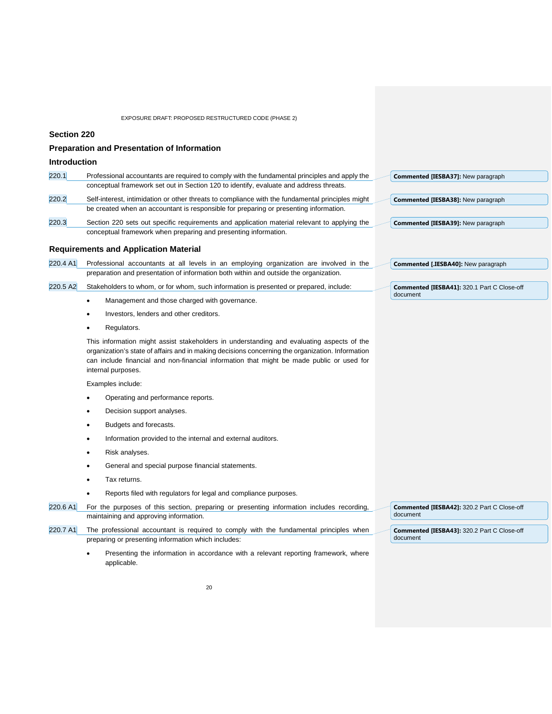## **Section 220**

|                     | <b>Preparation and Presentation of Information</b>                                                                                                                                                                                                                                                               |                                                         |
|---------------------|------------------------------------------------------------------------------------------------------------------------------------------------------------------------------------------------------------------------------------------------------------------------------------------------------------------|---------------------------------------------------------|
| <b>Introduction</b> |                                                                                                                                                                                                                                                                                                                  |                                                         |
| 220.1               | Professional accountants are required to comply with the fundamental principles and apply the                                                                                                                                                                                                                    | Commented [IESBA37]: New paragraph                      |
|                     | conceptual framework set out in Section 120 to identify, evaluate and address threats.                                                                                                                                                                                                                           |                                                         |
| 220.2               | Self-interest, intimidation or other threats to compliance with the fundamental principles might                                                                                                                                                                                                                 | Commented [IESBA38]: New paragraph                      |
|                     | be created when an accountant is responsible for preparing or presenting information.                                                                                                                                                                                                                            |                                                         |
| 220.3               | Section 220 sets out specific requirements and application material relevant to applying the                                                                                                                                                                                                                     | Commented [IESBA39]: New paragraph                      |
|                     | conceptual framework when preparing and presenting information.                                                                                                                                                                                                                                                  |                                                         |
|                     | <b>Requirements and Application Material</b>                                                                                                                                                                                                                                                                     |                                                         |
| 220.4 A1            | Professional accountants at all levels in an employing organization are involved in the                                                                                                                                                                                                                          | Commented [.IESBA40]: New paragraph                     |
|                     | preparation and presentation of information both within and outside the organization.                                                                                                                                                                                                                            |                                                         |
| 220.5 A2            | Stakeholders to whom, or for whom, such information is presented or prepared, include:                                                                                                                                                                                                                           | Commented [IESBA41]: 320.1 Part C Close-off             |
|                     | Management and those charged with governance.<br>$\bullet$                                                                                                                                                                                                                                                       | document                                                |
|                     | Investors, lenders and other creditors.                                                                                                                                                                                                                                                                          |                                                         |
|                     | Regulators.                                                                                                                                                                                                                                                                                                      |                                                         |
|                     | This information might assist stakeholders in understanding and evaluating aspects of the<br>organization's state of affairs and in making decisions concerning the organization. Information<br>can include financial and non-financial information that might be made public or used for<br>internal purposes. |                                                         |
|                     | Examples include:                                                                                                                                                                                                                                                                                                |                                                         |
|                     | Operating and performance reports.                                                                                                                                                                                                                                                                               |                                                         |
|                     | Decision support analyses.                                                                                                                                                                                                                                                                                       |                                                         |
|                     | Budgets and forecasts.                                                                                                                                                                                                                                                                                           |                                                         |
|                     | Information provided to the internal and external auditors.<br>$\bullet$                                                                                                                                                                                                                                         |                                                         |
|                     | Risk analyses.<br>٠                                                                                                                                                                                                                                                                                              |                                                         |
|                     | General and special purpose financial statements.                                                                                                                                                                                                                                                                |                                                         |
|                     | Tax returns.                                                                                                                                                                                                                                                                                                     |                                                         |
|                     | Reports filed with regulators for legal and compliance purposes.                                                                                                                                                                                                                                                 |                                                         |
| 220.6 A1            | For the purposes of this section, preparing or presenting information includes recording,<br>maintaining and approving information.                                                                                                                                                                              | Commented [IESBA42]: 320.2 Part C Close-off<br>document |
| 220.7 A1            | The professional accountant is required to comply with the fundamental principles when<br>preparing or presenting information which includes:                                                                                                                                                                    | Commented [IESBA43]: 320.2 Part C Close-off<br>document |
|                     | Presenting the information in accordance with a relevant reporting framework, where<br>applicable.                                                                                                                                                                                                               |                                                         |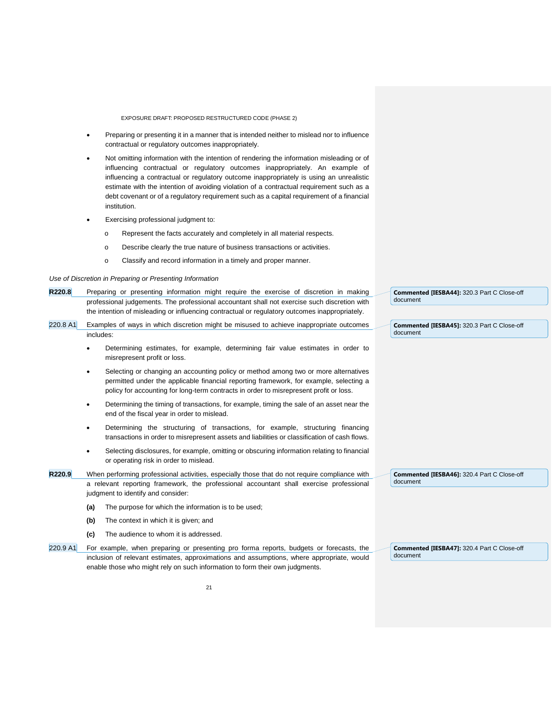- Preparing or presenting it in a manner that is intended neither to mislead nor to influence contractual or regulatory outcomes inappropriately.
- Not omitting information with the intention of rendering the information misleading or of influencing contractual or regulatory outcomes inappropriately. An example of influencing a contractual or regulatory outcome inappropriately is using an unrealistic estimate with the intention of avoiding violation of a contractual requirement such as a debt covenant or of a regulatory requirement such as a capital requirement of a financial institution.
- Exercising professional judgment to:
	- o Represent the facts accurately and completely in all material respects.
	- o Describe clearly the true nature of business transactions or activities.
	- o Classify and record information in a timely and proper manner.

*Use of Discretion in Preparing or Presenting Information*

- **R220.8** Preparing or presenting information might require the exercise of discretion in making professional judgements. The professional accountant shall not exercise such discretion with the intention of misleading or influencing contractual or regulatory outcomes inappropriately.
- 220.8 A1 Examples of ways in which discretion might be misused to achieve inappropriate outcomes includes:
	- Determining estimates, for example, determining fair value estimates in order to misrepresent profit or loss.
	- Selecting or changing an accounting policy or method among two or more alternatives permitted under the applicable financial reporting framework, for example, selecting a policy for accounting for long-term contracts in order to misrepresent profit or loss.
	- Determining the timing of transactions, for example, timing the sale of an asset near the end of the fiscal year in order to mislead.
	- Determining the structuring of transactions, for example, structuring financing transactions in order to misrepresent assets and liabilities or classification of cash flows.
	- Selecting disclosures, for example, omitting or obscuring information relating to financial or operating risk in order to mislead.
- **R220.9** When performing professional activities, especially those that do not require compliance with a relevant reporting framework, the professional accountant shall exercise professional judgment to identify and consider:
	- **(a)** The purpose for which the information is to be used;
	- **(b)** The context in which it is given; and
	- **(c)** The audience to whom it is addressed.
- 220.9 A1 For example, when preparing or presenting pro forma reports, budgets or forecasts, the inclusion of relevant estimates, approximations and assumptions, where appropriate, would enable those who might rely on such information to form their own judgments.

**Commented [IESBA44]:** 320.3 Part C Close-off document

**Commented [IESBA45]:** 320.3 Part C Close-off document

**Commented [IESBA46]:** 320.4 Part C Close-off document

**Commented [IESBA47]:** 320.4 Part C Close-off document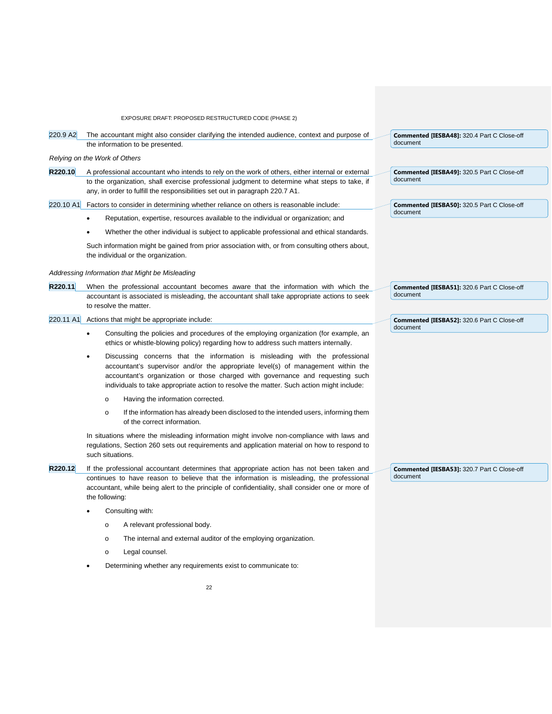EXPOSURE DRAFT: PROPOSED RESTRUCTURED CODE (PHASE 2) 220.9 A2 The accountant might also consider clarifying the intended audience, context and purpose of the information to be presented. *Relying on the Work of Others* **R220.10** A professional accountant who intends to rely on the work of others, either internal or external to the organization, shall exercise professional judgment to determine what steps to take, if any, in order to fulfill the responsibilities set out in paragraph 220.7 A1. 220.10 A1 Factors to consider in determining whether reliance on others is reasonable include: • Reputation, expertise, resources available to the individual or organization; and • Whether the other individual is subject to applicable professional and ethical standards. Such information might be gained from prior association with, or from consulting others about, the individual or the organization. *Addressing Information that Might be Misleading* **R220.11** When the professional accountant becomes aware that the information with which the accountant is associated is misleading, the accountant shall take appropriate actions to seek to resolve the matter. 220.11 A1 Actions that might be appropriate include: • Consulting the policies and procedures of the employing organization (for example, an ethics or whistle-blowing policy) regarding how to address such matters internally. Discussing concerns that the information is misleading with the professional accountant's supervisor and/or the appropriate level(s) of management within the accountant's organization or those charged with governance and requesting such individuals to take appropriate action to resolve the matter. Such action might include: o Having the information corrected. o If the information has already been disclosed to the intended users, informing them of the correct information. In situations where the misleading information might involve non-compliance with laws and regulations, Section 260 sets out requirements and application material on how to respond to such situations. **R220.12** If the professional accountant determines that appropriate action has not been taken and continues to have reason to believe that the information is misleading, the professional accountant, while being alert to the principle of confidentiality, shall consider one or more of **Commented [IESBA48]:** 320.4 Part C Close-off document **Commented [IESBA49]:** 320.5 Part C Close-off document **Commented [IESBA50]:** 320.5 Part C Close-off document **Commented [IESBA51]:** 320.6 Part C Close-off document **Commented [IESBA52]:** 320.6 Part C Close-off document **Commented [IESBA53]:** 320.7 Part C Close-off document

Determining whether any requirements exist to communicate to:

the following:

Consulting with:

o Legal counsel.

o A relevant professional body.

o The internal and external auditor of the employing organization.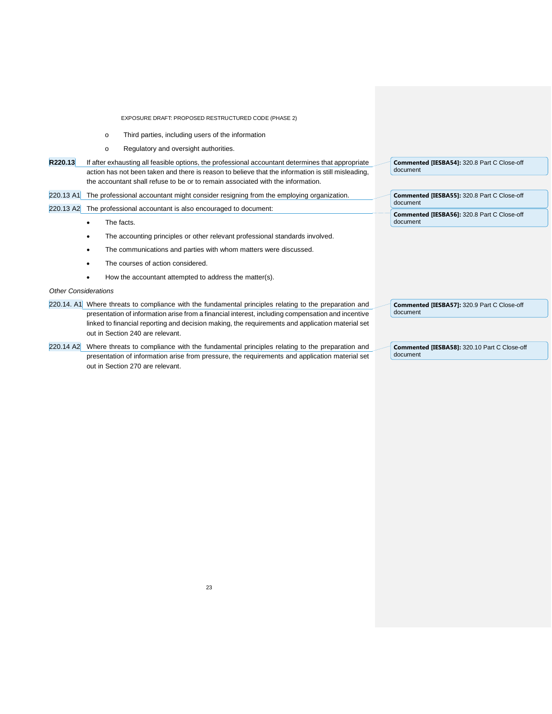- o Third parties, including users of the information
- o Regulatory and oversight authorities.
- **R220.13** If after exhausting all feasible options, the professional accountant determines that appropriate action has not been taken and there is reason to believe that the information is still misleading, the accountant shall refuse to be or to remain associated with the information.
- 220.13 A1 The professional accountant might consider resigning from the employing organization.

220.13 A2 The professional accountant is also encouraged to document:

- The facts.
- The accounting principles or other relevant professional standards involved.
- The communications and parties with whom matters were discussed.
- The courses of action considered.
- How the accountant attempted to address the matter(s).

#### *Other Considerations*

- 220.14. A1 Where threats to compliance with the fundamental principles relating to the preparation and presentation of information arise from a financial interest, including compensation and incentive linked to financial reporting and decision making, the requirements and application material set out in Section 240 are relevant.
- 220.14 A2 Where threats to compliance with the fundamental principles relating to the preparation and presentation of information arise from pressure, the requirements and application material set out in Section 270 are relevant.

**Commented [IESBA54]:** 320.8 Part C Close-off document

**Commented [IESBA55]:** 320.8 Part C Close-off document **Commented [IESBA56]:** 320.8 Part C Close-off document

**Commented [IESBA57]:** 320.9 Part C Close-off document

**Commented [IESBA58]:** 320.10 Part C Close-off document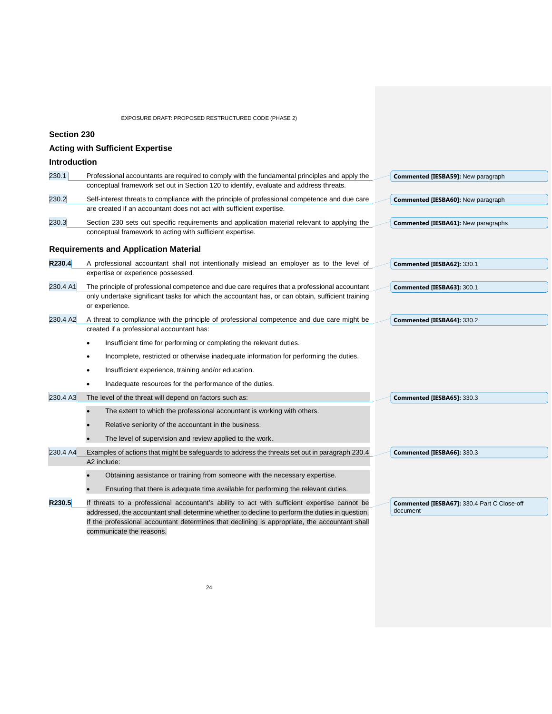**Section 230**

|                     | <b>Acting with Sufficient Expertise</b>                                                                                                                                                                                                                                                                                      |                                                         |
|---------------------|------------------------------------------------------------------------------------------------------------------------------------------------------------------------------------------------------------------------------------------------------------------------------------------------------------------------------|---------------------------------------------------------|
| <b>Introduction</b> |                                                                                                                                                                                                                                                                                                                              |                                                         |
| 230.1               | Professional accountants are required to comply with the fundamental principles and apply the<br>conceptual framework set out in Section 120 to identify, evaluate and address threats.                                                                                                                                      | Commented [IESBA59]: New paragraph                      |
| 230.2               | Self-interest threats to compliance with the principle of professional competence and due care<br>are created if an accountant does not act with sufficient expertise.                                                                                                                                                       | <b>Commented [IESBA60]:</b> New paragraph               |
| 230.3               | Section 230 sets out specific requirements and application material relevant to applying the<br>conceptual framework to acting with sufficient expertise.                                                                                                                                                                    | Commented [IESBA61]: New paragraphs                     |
|                     | <b>Requirements and Application Material</b>                                                                                                                                                                                                                                                                                 |                                                         |
| R230.4              | A professional accountant shall not intentionally mislead an employer as to the level of<br>expertise or experience possessed.                                                                                                                                                                                               | Commented [IESBA62]: 330.1                              |
| 230.4 A1            | The principle of professional competence and due care requires that a professional accountant<br>only undertake significant tasks for which the accountant has, or can obtain, sufficient training<br>or experience.                                                                                                         | Commented [IESBA63]: 300.1                              |
| 230.4 A2            | A threat to compliance with the principle of professional competence and due care might be<br>created if a professional accountant has:                                                                                                                                                                                      | Commented [IESBA64]: 330.2                              |
|                     | Insufficient time for performing or completing the relevant duties.<br>٠                                                                                                                                                                                                                                                     |                                                         |
|                     | Incomplete, restricted or otherwise inadequate information for performing the duties.<br>٠                                                                                                                                                                                                                                   |                                                         |
|                     | Insufficient experience, training and/or education.                                                                                                                                                                                                                                                                          |                                                         |
|                     | Inadequate resources for the performance of the duties.                                                                                                                                                                                                                                                                      |                                                         |
| 230.4 A3            | The level of the threat will depend on factors such as:                                                                                                                                                                                                                                                                      | Commented [IESBA65]: 330.3                              |
|                     | The extent to which the professional accountant is working with others.                                                                                                                                                                                                                                                      |                                                         |
|                     | Relative seniority of the accountant in the business.                                                                                                                                                                                                                                                                        |                                                         |
|                     | The level of supervision and review applied to the work.                                                                                                                                                                                                                                                                     |                                                         |
| 230.4 A4            | Examples of actions that might be safeguards to address the threats set out in paragraph 230.4<br>A2 include:                                                                                                                                                                                                                | Commented [IESBA66]: 330.3                              |
|                     | Obtaining assistance or training from someone with the necessary expertise.                                                                                                                                                                                                                                                  |                                                         |
|                     | Ensuring that there is adequate time available for performing the relevant duties.                                                                                                                                                                                                                                           |                                                         |
| R230.5              | If threats to a professional accountant's ability to act with sufficient expertise cannot be<br>addressed, the accountant shall determine whether to decline to perform the duties in question.<br>If the professional accountant determines that declining is appropriate, the accountant shall<br>communicate the reasons. | Commented [IESBA67]: 330.4 Part C Close-off<br>document |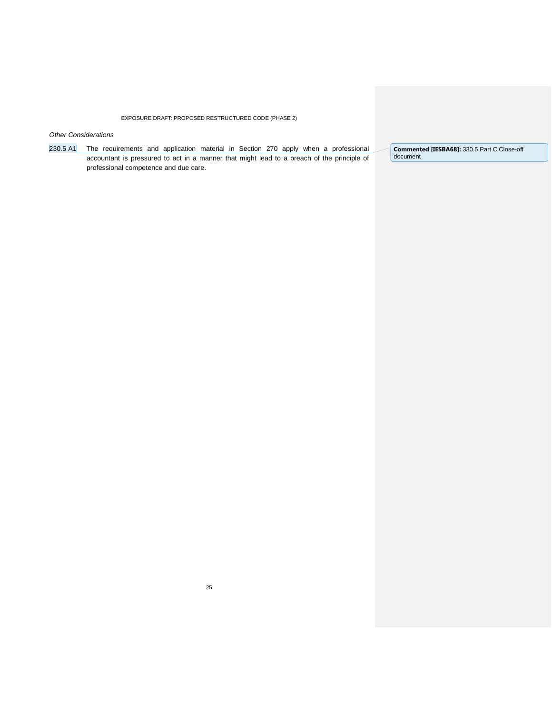*Other Considerations*

230.5 A1 The requirements and application material in Section 270 apply when a professional accountant is pressured to act in a manner that might lead to a breach of the principle of professional competence and due care.

**Commented [IESBA68]:** 330.5 Part C Close-off document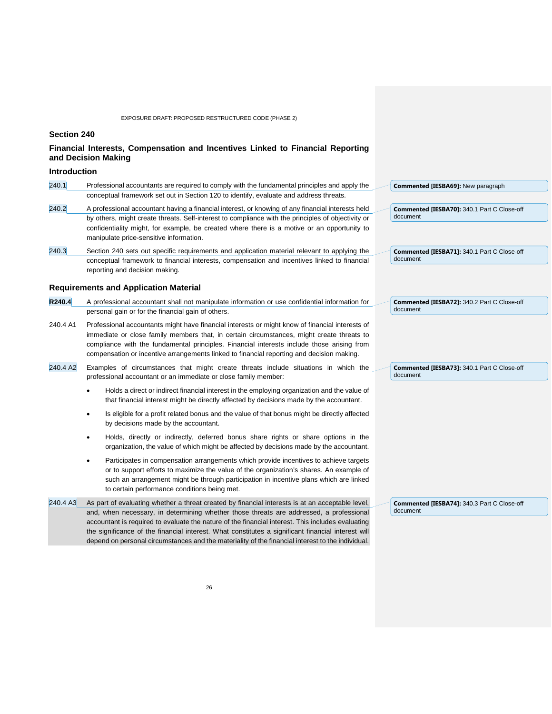## **Section 240**

## **Financial Interests, Compensation and Incentives Linked to Financial Reporting and Decision Making**

## **Introduction**

| 240.1    | Professional accountants are required to comply with the fundamental principles and apply the                                                                                                                                                                                                                                                                                                           | Commented [IESBA69]: New paragraph                             |
|----------|---------------------------------------------------------------------------------------------------------------------------------------------------------------------------------------------------------------------------------------------------------------------------------------------------------------------------------------------------------------------------------------------------------|----------------------------------------------------------------|
|          | conceptual framework set out in Section 120 to identify, evaluate and address threats.                                                                                                                                                                                                                                                                                                                  |                                                                |
| 240.2    | A professional accountant having a financial interest, or knowing of any financial interests held<br>by others, might create threats. Self-interest to compliance with the principles of objectivity or                                                                                                                                                                                                 | <b>Commented [IESBA70]: 340.1 Part C Close-off</b><br>document |
|          | confidentiality might, for example, be created where there is a motive or an opportunity to<br>manipulate price-sensitive information.                                                                                                                                                                                                                                                                  |                                                                |
| 240.3    | Section 240 sets out specific requirements and application material relevant to applying the                                                                                                                                                                                                                                                                                                            | <b>Commented [IESBA71]: 340.1 Part C Close-off</b>             |
|          | conceptual framework to financial interests, compensation and incentives linked to financial<br>reporting and decision making.                                                                                                                                                                                                                                                                          | document                                                       |
|          | <b>Requirements and Application Material</b>                                                                                                                                                                                                                                                                                                                                                            |                                                                |
| R240.4   | A professional accountant shall not manipulate information or use confidential information for<br>personal gain or for the financial gain of others.                                                                                                                                                                                                                                                    | <b>Commented [IESBA72]: 340.2 Part C Close-off</b><br>document |
| 240.4 A1 | Professional accountants might have financial interests or might know of financial interests of<br>immediate or close family members that, in certain circumstances, might create threats to<br>compliance with the fundamental principles. Financial interests include those arising from<br>compensation or incentive arrangements linked to financial reporting and decision making.                 |                                                                |
| 240.4 A2 | Examples of circumstances that might create threats include situations in which the<br>professional accountant or an immediate or close family member:                                                                                                                                                                                                                                                  | <b>Commented [IESBA73]: 340.1 Part C Close-off</b><br>document |
|          | Holds a direct or indirect financial interest in the employing organization and the value of<br>٠<br>that financial interest might be directly affected by decisions made by the accountant.                                                                                                                                                                                                            |                                                                |
|          | Is eligible for a profit related bonus and the value of that bonus might be directly affected<br>$\bullet$<br>by decisions made by the accountant.                                                                                                                                                                                                                                                      |                                                                |
|          | Holds, directly or indirectly, deferred bonus share rights or share options in the<br>$\bullet$<br>organization, the value of which might be affected by decisions made by the accountant.                                                                                                                                                                                                              |                                                                |
|          | Participates in compensation arrangements which provide incentives to achieve targets<br>$\bullet$<br>or to support efforts to maximize the value of the organization's shares. An example of<br>such an arrangement might be through participation in incentive plans which are linked<br>to certain performance conditions being met.                                                                 |                                                                |
| 240.4 A3 | As part of evaluating whether a threat created by financial interests is at an acceptable level,                                                                                                                                                                                                                                                                                                        | Commented [IESBA74]: 340.3 Part C Close-off                    |
|          | and, when necessary, in determining whether those threats are addressed, a professional<br>accountant is required to evaluate the nature of the financial interest. This includes evaluating<br>the significance of the financial interest. What constitutes a significant financial interest will<br>depend on personal circumstances and the materiality of the financial interest to the individual. | document                                                       |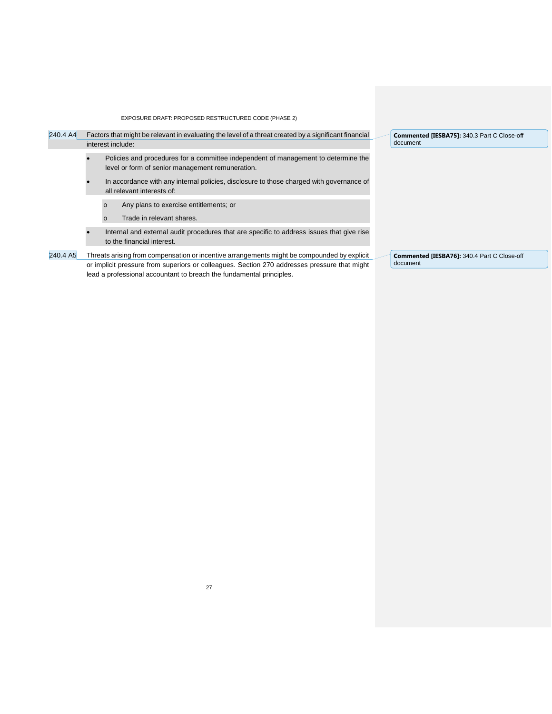| 240.4 A4 |  | Factors that might be relevant in evaluating the level of a threat created by a significant financial<br>interest include:             |  | Commented [IESBA75]: 340.3 Part C Close-off<br>document |
|----------|--|----------------------------------------------------------------------------------------------------------------------------------------|--|---------------------------------------------------------|
|          |  | Policies and procedures for a committee independent of management to determine the<br>level or form of senior management remuneration. |  |                                                         |
|          |  | In accordance with any internal policies, disclosure to those charged with governance of<br>all relevant interests of:                 |  |                                                         |
|          |  | Any plans to exercise entitlements; or<br>$\circ$                                                                                      |  |                                                         |
|          |  | Trade in relevant shares.<br>$\Omega$                                                                                                  |  |                                                         |
|          |  | Internal and external audit procedures that are specific to address issues that give rise<br>to the financial interest.                |  |                                                         |
| 240.4 A5 |  | Threats arising from compensation or incentive arrangements might be compounded by explicit                                            |  | Commented [IESBA76]: 340.4 Part C Close-off             |
|          |  | or implicit pressure from superiors or colleagues. Section 270 addresses pressure that might                                           |  | document                                                |
|          |  | lead a professional accountant to breach the fundamental principles.                                                                   |  |                                                         |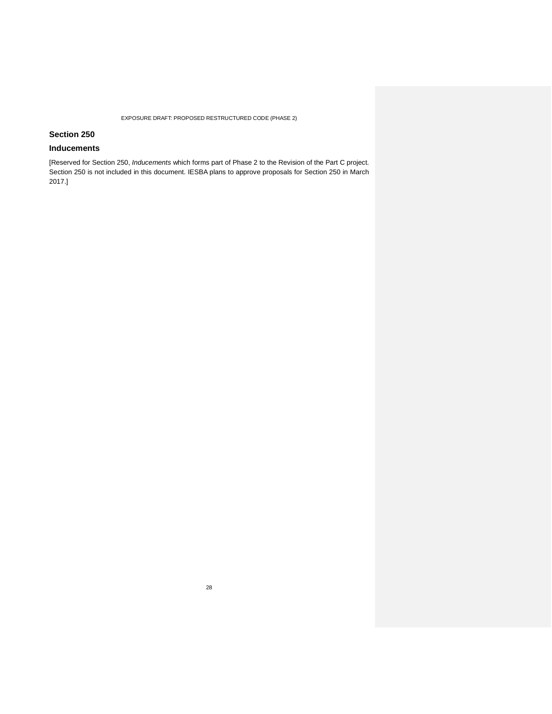## **Section 250**

## **Inducements**

[Reserved for Section 250, *Inducements* which forms part of Phase 2 to the Revision of the Part C project. Section 250 is not included in this document. IESBA plans to approve proposals for Section 250 in March 2017.]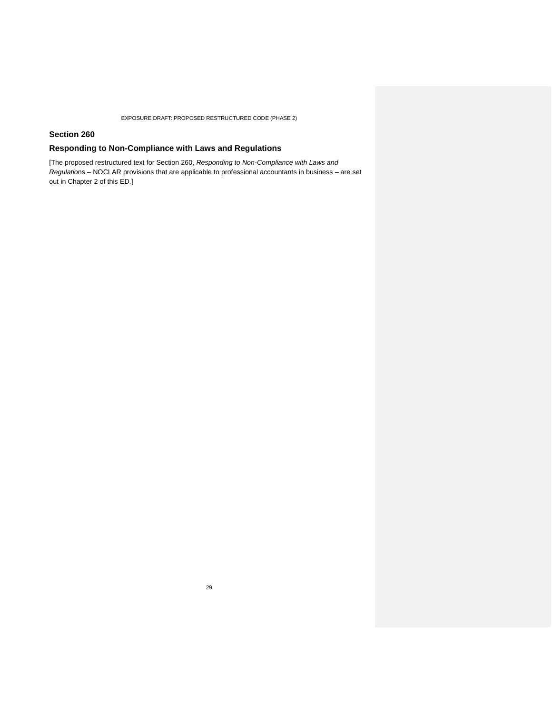## **Section 260**

## **Responding to Non-Compliance with Laws and Regulations**

[The proposed restructured text for Section 260, *Responding to Non-Compliance with Laws and Regulatio*ns – NOCLAR provisions that are applicable to professional accountants in business – are set out in Chapter 2 of this ED.]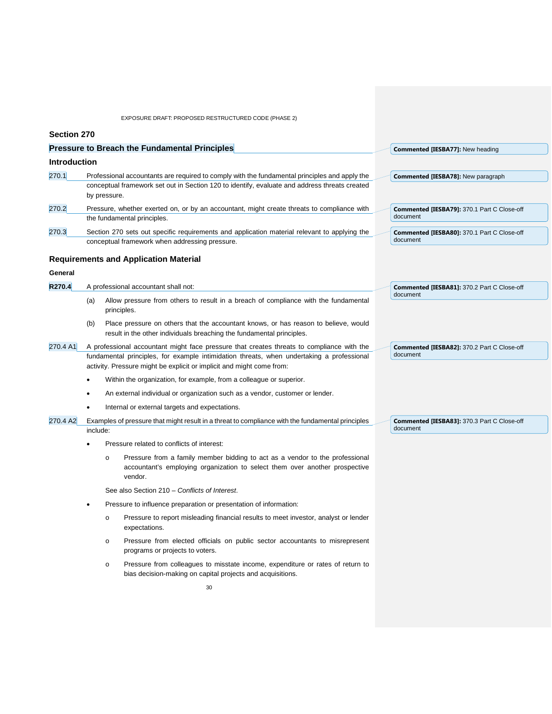| Section 270         |                                                                                                                                                                                                                                                                                                                                        |              |                                                                                                                                                                                                |                                                                |
|---------------------|----------------------------------------------------------------------------------------------------------------------------------------------------------------------------------------------------------------------------------------------------------------------------------------------------------------------------------------|--------------|------------------------------------------------------------------------------------------------------------------------------------------------------------------------------------------------|----------------------------------------------------------------|
|                     |                                                                                                                                                                                                                                                                                                                                        |              | <b>Pressure to Breach the Fundamental Principles</b>                                                                                                                                           | Commented [IESBA77]: New heading                               |
| <b>Introduction</b> |                                                                                                                                                                                                                                                                                                                                        |              |                                                                                                                                                                                                |                                                                |
| 270.1               |                                                                                                                                                                                                                                                                                                                                        |              | Professional accountants are required to comply with the fundamental principles and apply the<br>conceptual framework set out in Section 120 to identify, evaluate and address threats created | Commented [IESBA78]: New paragraph                             |
|                     |                                                                                                                                                                                                                                                                                                                                        | by pressure. |                                                                                                                                                                                                |                                                                |
| 270.2               |                                                                                                                                                                                                                                                                                                                                        |              | Pressure, whether exerted on, or by an accountant, might create threats to compliance with<br>the fundamental principles.                                                                      | Commented [IESBA79]: 370.1 Part C Close-off<br>document        |
| 270.3               |                                                                                                                                                                                                                                                                                                                                        |              | Section 270 sets out specific requirements and application material relevant to applying the<br>conceptual framework when addressing pressure.                                                 | <b>Commented [IESBA80]: 370.1 Part C Close-off</b><br>document |
|                     |                                                                                                                                                                                                                                                                                                                                        |              | <b>Requirements and Application Material</b>                                                                                                                                                   |                                                                |
| General             |                                                                                                                                                                                                                                                                                                                                        |              |                                                                                                                                                                                                |                                                                |
| R270.4              |                                                                                                                                                                                                                                                                                                                                        |              | A professional accountant shall not:                                                                                                                                                           | <b>Commented [IESBA81]: 370.2 Part C Close-off</b>             |
|                     | (a)                                                                                                                                                                                                                                                                                                                                    |              | Allow pressure from others to result in a breach of compliance with the fundamental<br>principles.                                                                                             | document                                                       |
|                     | (b)                                                                                                                                                                                                                                                                                                                                    |              | Place pressure on others that the accountant knows, or has reason to believe, would<br>result in the other individuals breaching the fundamental principles.                                   |                                                                |
| 270.4 A1            | A professional accountant might face pressure that creates threats to compliance with the<br>fundamental principles, for example intimidation threats, when undertaking a professional<br>activity. Pressure might be explicit or implicit and might come from:<br>Within the organization, for example, from a colleague or superior. |              |                                                                                                                                                                                                | <b>Commented [IESBA82]: 370.2 Part C Close-off</b><br>document |
|                     |                                                                                                                                                                                                                                                                                                                                        |              |                                                                                                                                                                                                |                                                                |
|                     |                                                                                                                                                                                                                                                                                                                                        |              | An external individual or organization such as a vendor, customer or lender.                                                                                                                   |                                                                |
|                     |                                                                                                                                                                                                                                                                                                                                        |              | Internal or external targets and expectations.                                                                                                                                                 |                                                                |
| 270.4 A2            |                                                                                                                                                                                                                                                                                                                                        |              | Examples of pressure that might result in a threat to compliance with the fundamental principles                                                                                               | Commented [IESBA83]: 370.3 Part C Close-off                    |
|                     | include:                                                                                                                                                                                                                                                                                                                               |              |                                                                                                                                                                                                | document                                                       |
|                     |                                                                                                                                                                                                                                                                                                                                        |              | Pressure related to conflicts of interest:                                                                                                                                                     |                                                                |
|                     |                                                                                                                                                                                                                                                                                                                                        | $\circ$      | Pressure from a family member bidding to act as a vendor to the professional<br>accountant's employing organization to select them over another prospective<br>vendor.                         |                                                                |
|                     |                                                                                                                                                                                                                                                                                                                                        |              | See also Section 210 - Conflicts of Interest.                                                                                                                                                  |                                                                |
|                     | Pressure to influence preparation or presentation of information:                                                                                                                                                                                                                                                                      |              |                                                                                                                                                                                                |                                                                |
|                     |                                                                                                                                                                                                                                                                                                                                        | $\circ$      | Pressure to report misleading financial results to meet investor, analyst or lender<br>expectations.                                                                                           |                                                                |
|                     |                                                                                                                                                                                                                                                                                                                                        | $\circ$      | Pressure from elected officials on public sector accountants to misrepresent<br>programs or projects to voters.                                                                                |                                                                |
|                     |                                                                                                                                                                                                                                                                                                                                        | O            | Pressure from colleagues to misstate income, expenditure or rates of return to<br>bias decision-making on capital projects and acquisitions.                                                   |                                                                |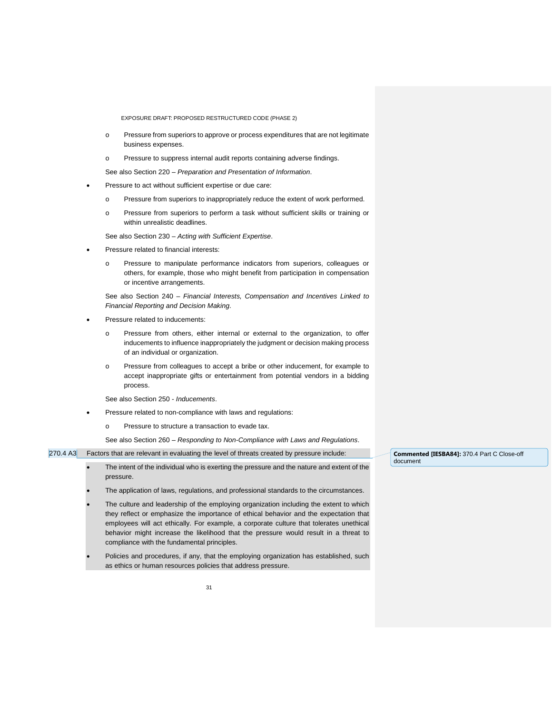- o Pressure from superiors to approve or process expenditures that are not legitimate business expenses.
- o Pressure to suppress internal audit reports containing adverse findings.

See also Section 220 – *Preparation and Presentation of Information*.

- Pressure to act without sufficient expertise or due care:
	- o Pressure from superiors to inappropriately reduce the extent of work performed.
	- o Pressure from superiors to perform a task without sufficient skills or training or within unrealistic deadlines.
	- See also Section 230 *Acting with Sufficient Expertise*.
- Pressure related to financial interests:
	- o Pressure to manipulate performance indicators from superiors, colleagues or others, for example, those who might benefit from participation in compensation or incentive arrangements.

See also Section 240 – *Financial Interests, Compensation and Incentives Linked to Financial Reporting and Decision Making*.

- Pressure related to inducements:
	- o Pressure from others, either internal or external to the organization, to offer inducements to influence inappropriately the judgment or decision making process of an individual or organization.
	- o Pressure from colleagues to accept a bribe or other inducement, for example to accept inappropriate gifts or entertainment from potential vendors in a bidding process.

See also Section 250 - *Inducements*.

- Pressure related to non-compliance with laws and regulations:
	- o Pressure to structure a transaction to evade tax.

See also Section 260 – *Responding to Non-Compliance with Laws and Regulations*.

#### 270.4 A3 Factors that are relevant in evaluating the level of threats created by pressure include:

- The intent of the individual who is exerting the pressure and the nature and extent of the pressure.
- The application of laws, regulations, and professional standards to the circumstances.
- The culture and leadership of the employing organization including the extent to which they reflect or emphasize the importance of ethical behavior and the expectation that employees will act ethically. For example, a corporate culture that tolerates unethical behavior might increase the likelihood that the pressure would result in a threat to compliance with the fundamental principles.
- Policies and procedures, if any, that the employing organization has established, such as ethics or human resources policies that address pressure.

**Commented [IESBA84]:** 370.4 Part C Close-off document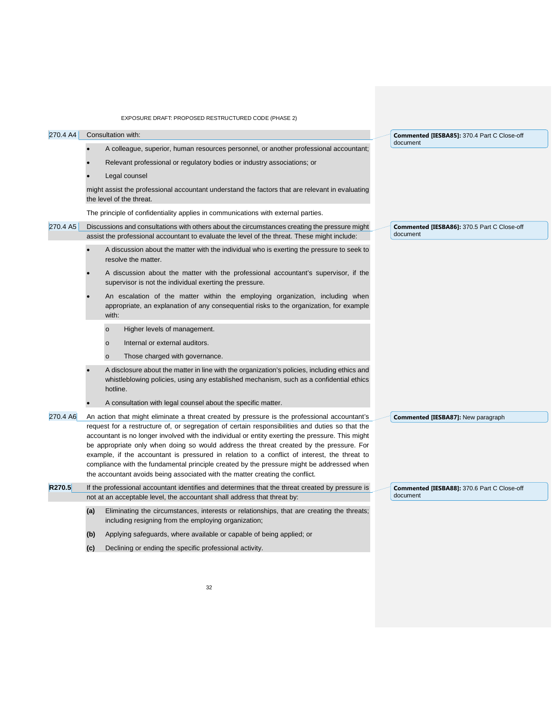| EXPOSURE DRAFT: PROPOSED RESTRUCTURED CODE (PHASE 2) |  |
|------------------------------------------------------|--|
|------------------------------------------------------|--|

| 270.4 A4 |     |          | Consultation with:                                                                                                                                                                                                                                                                                                                                                                                                                                                                                                                                                                                                                                                           | Commented [IESBA85]: 370.4 Part C Close-off             |
|----------|-----|----------|------------------------------------------------------------------------------------------------------------------------------------------------------------------------------------------------------------------------------------------------------------------------------------------------------------------------------------------------------------------------------------------------------------------------------------------------------------------------------------------------------------------------------------------------------------------------------------------------------------------------------------------------------------------------------|---------------------------------------------------------|
|          |     |          | A colleague, superior, human resources personnel, or another professional accountant;                                                                                                                                                                                                                                                                                                                                                                                                                                                                                                                                                                                        | document                                                |
|          |     |          | Relevant professional or regulatory bodies or industry associations; or                                                                                                                                                                                                                                                                                                                                                                                                                                                                                                                                                                                                      |                                                         |
|          |     |          | Legal counsel                                                                                                                                                                                                                                                                                                                                                                                                                                                                                                                                                                                                                                                                |                                                         |
|          |     |          | might assist the professional accountant understand the factors that are relevant in evaluating<br>the level of the threat.                                                                                                                                                                                                                                                                                                                                                                                                                                                                                                                                                  |                                                         |
|          |     |          | The principle of confidentiality applies in communications with external parties.                                                                                                                                                                                                                                                                                                                                                                                                                                                                                                                                                                                            |                                                         |
| 270.4 A5 |     |          | Discussions and consultations with others about the circumstances creating the pressure might<br>assist the professional accountant to evaluate the level of the threat. These might include:                                                                                                                                                                                                                                                                                                                                                                                                                                                                                | Commented [IESBA86]: 370.5 Part C Close-off<br>document |
|          |     |          | A discussion about the matter with the individual who is exerting the pressure to seek to<br>resolve the matter.                                                                                                                                                                                                                                                                                                                                                                                                                                                                                                                                                             |                                                         |
|          |     |          | A discussion about the matter with the professional accountant's supervisor, if the<br>supervisor is not the individual exerting the pressure.                                                                                                                                                                                                                                                                                                                                                                                                                                                                                                                               |                                                         |
|          |     | with:    | An escalation of the matter within the employing organization, including when<br>appropriate, an explanation of any consequential risks to the organization, for example                                                                                                                                                                                                                                                                                                                                                                                                                                                                                                     |                                                         |
|          |     | $\circ$  | Higher levels of management.                                                                                                                                                                                                                                                                                                                                                                                                                                                                                                                                                                                                                                                 |                                                         |
|          |     | $\circ$  | Internal or external auditors.                                                                                                                                                                                                                                                                                                                                                                                                                                                                                                                                                                                                                                               |                                                         |
|          |     | $\circ$  | Those charged with governance.                                                                                                                                                                                                                                                                                                                                                                                                                                                                                                                                                                                                                                               |                                                         |
|          |     | hotline. | A disclosure about the matter in line with the organization's policies, including ethics and<br>whistleblowing policies, using any established mechanism, such as a confidential ethics                                                                                                                                                                                                                                                                                                                                                                                                                                                                                      |                                                         |
|          |     |          | A consultation with legal counsel about the specific matter.                                                                                                                                                                                                                                                                                                                                                                                                                                                                                                                                                                                                                 |                                                         |
| 270.4 A6 |     |          | An action that might eliminate a threat created by pressure is the professional accountant's<br>request for a restructure of, or segregation of certain responsibilities and duties so that the<br>accountant is no longer involved with the individual or entity exerting the pressure. This might<br>be appropriate only when doing so would address the threat created by the pressure. For<br>example, if the accountant is pressured in relation to a conflict of interest, the threat to<br>compliance with the fundamental principle created by the pressure might be addressed when<br>the accountant avoids being associated with the matter creating the conflict. | Commented [IESBA87]: New paragraph                      |
| R270.5   |     |          | If the professional accountant identifies and determines that the threat created by pressure is                                                                                                                                                                                                                                                                                                                                                                                                                                                                                                                                                                              | Commented [IESBA88]: 370.6 Part C Close-off<br>document |
|          |     |          | not at an acceptable level, the accountant shall address that threat by:                                                                                                                                                                                                                                                                                                                                                                                                                                                                                                                                                                                                     |                                                         |
|          | (a) |          | Eliminating the circumstances, interests or relationships, that are creating the threats;<br>including resigning from the employing organization;                                                                                                                                                                                                                                                                                                                                                                                                                                                                                                                            |                                                         |
|          | (b) |          | Applying safeguards, where available or capable of being applied; or                                                                                                                                                                                                                                                                                                                                                                                                                                                                                                                                                                                                         |                                                         |

**(c)** Declining or ending the specific professional activity.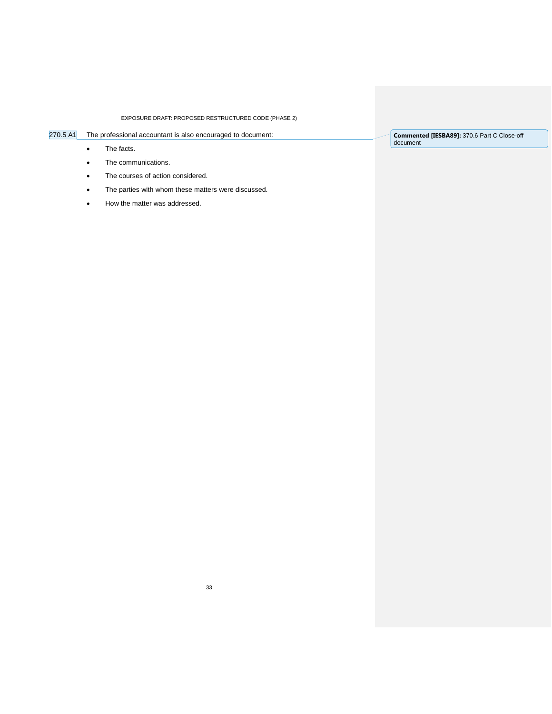# 270.5 A1 The professional accountant is also encouraged to document:

• The facts.

- The communications.
- The courses of action considered.
- The parties with whom these matters were discussed.
- How the matter was addressed.

**Commented [IESBA89]:** 370.6 Part C Close-off document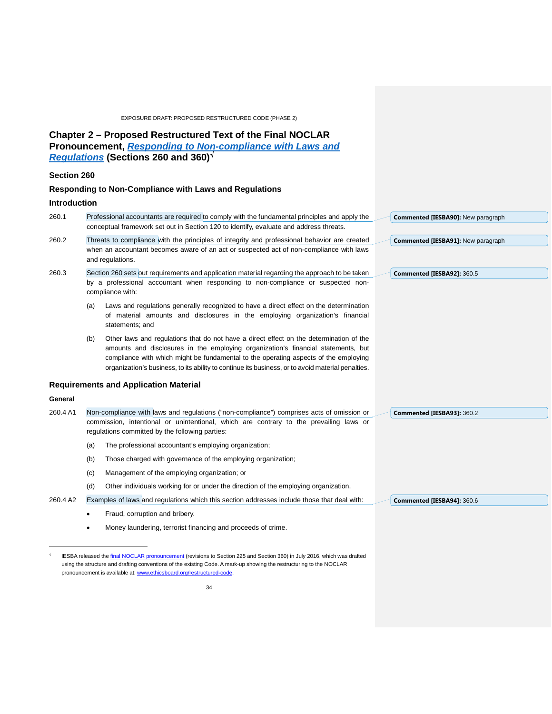## <span id="page-33-0"></span>**Chapter 2 – Proposed Restructured Text of the Final NOCLAR Pronouncement,** *[Responding to Non-compliance with Laws and](http://www.ifac.org/publications-resources/responding-non-compliance-laws-and-regulations)  [Regulations](http://www.ifac.org/publications-resources/responding-non-compliance-laws-and-regulations)* **(Sections 260 and 360)**[√](#page-33-1)

## **Section 260**

## **Responding to Non-Compliance with Laws and Regulations**

## **Introduction**

1

| 260.1                                        | Professional accountants are required to comply with the fundamental principles and apply the<br>Commented [IESBA90]: New paragraph<br>conceptual framework set out in Section 120 to identify, evaluate and address threats.                                                                                                                                                    |  |  |
|----------------------------------------------|----------------------------------------------------------------------------------------------------------------------------------------------------------------------------------------------------------------------------------------------------------------------------------------------------------------------------------------------------------------------------------|--|--|
| 260.2                                        | Threats to compliance with the principles of integrity and professional behavior are created<br>Commented [IESBA91]: New paragraph<br>when an accountant becomes aware of an act or suspected act of non-compliance with laws<br>and regulations.                                                                                                                                |  |  |
| 260.3                                        | Section 260 sets out requirements and application material regarding the approach to be taken<br>Commented [IESBA92]: 360.5<br>by a professional accountant when responding to non-compliance or suspected non-<br>compliance with:                                                                                                                                              |  |  |
|                                              | Laws and regulations generally recognized to have a direct effect on the determination<br>(a)<br>of material amounts and disclosures in the employing organization's financial<br>statements; and                                                                                                                                                                                |  |  |
|                                              | Other laws and regulations that do not have a direct effect on the determination of the<br>(b)<br>amounts and disclosures in the employing organization's financial statements, but<br>compliance with which might be fundamental to the operating aspects of the employing<br>organization's business, to its ability to continue its business, or to avoid material penalties. |  |  |
| <b>Requirements and Application Material</b> |                                                                                                                                                                                                                                                                                                                                                                                  |  |  |
| General                                      |                                                                                                                                                                                                                                                                                                                                                                                  |  |  |
| 260.4 A1                                     | Non-compliance with laws and regulations ("non-compliance") comprises acts of omission or<br>Commented [IESBA93]: 360.2<br>commission, intentional or unintentional, which are contrary to the prevailing laws or<br>regulations committed by the following parties:                                                                                                             |  |  |

**Commented [IESBA94]:** 360.6

- (a) The professional accountant's employing organization;
- (b) Those charged with governance of the employing organization;
- (c) Management of the employing organization; or
- (d) Other individuals working for or under the direction of the employing organization.
- 260.4 A2 Examples of laws and regulations which this section addresses include those that deal with:
	- Fraud, corruption and bribery.
	- Money laundering, terrorist financing and proceeds of crime.

<span id="page-33-1"></span>IESBA released the *final NOCLAR pronouncement* (revisions to Section 225 and Section 360) in July 2016, which was drafted using the structure and drafting conventions of the existing Code. A mark-up showing the restructuring to the NOCLAR pronouncement is available at: www.ethicsboard.org/restructured-code.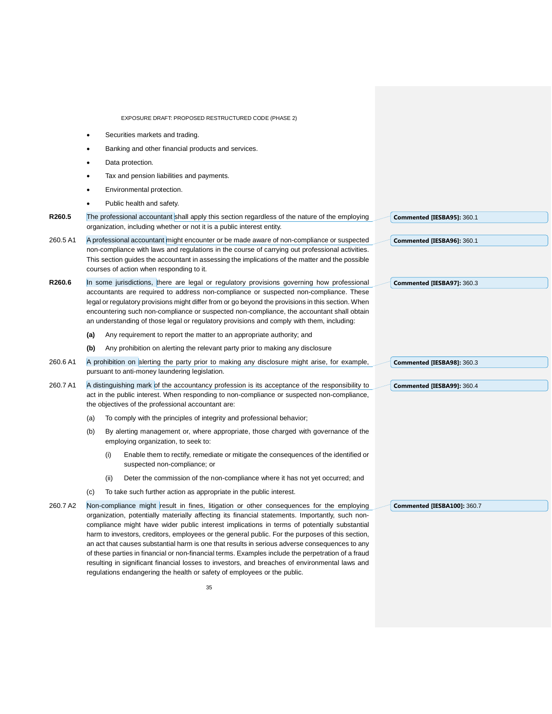|          | EXPOSURE DRAFT: PROPOSED RESTRUCTURED CODE (PHASE 2)                                                                                                                                                                                                                                                                                                                                                                                                                                                                                                                                                                                                                                                                                                                                  |                             |
|----------|---------------------------------------------------------------------------------------------------------------------------------------------------------------------------------------------------------------------------------------------------------------------------------------------------------------------------------------------------------------------------------------------------------------------------------------------------------------------------------------------------------------------------------------------------------------------------------------------------------------------------------------------------------------------------------------------------------------------------------------------------------------------------------------|-----------------------------|
|          | Securities markets and trading.<br>$\bullet$                                                                                                                                                                                                                                                                                                                                                                                                                                                                                                                                                                                                                                                                                                                                          |                             |
|          | Banking and other financial products and services.<br>$\bullet$                                                                                                                                                                                                                                                                                                                                                                                                                                                                                                                                                                                                                                                                                                                       |                             |
|          | Data protection.<br>$\bullet$                                                                                                                                                                                                                                                                                                                                                                                                                                                                                                                                                                                                                                                                                                                                                         |                             |
|          | Tax and pension liabilities and payments.<br>$\bullet$                                                                                                                                                                                                                                                                                                                                                                                                                                                                                                                                                                                                                                                                                                                                |                             |
|          | Environmental protection.                                                                                                                                                                                                                                                                                                                                                                                                                                                                                                                                                                                                                                                                                                                                                             |                             |
|          | Public health and safety.<br>$\bullet$                                                                                                                                                                                                                                                                                                                                                                                                                                                                                                                                                                                                                                                                                                                                                |                             |
| R260.5   | The professional accountant shall apply this section regardless of the nature of the employing<br>organization, including whether or not it is a public interest entity.                                                                                                                                                                                                                                                                                                                                                                                                                                                                                                                                                                                                              | Commented [IESBA95]: 360.1  |
| 260.5 A1 | A professional accountant might encounter or be made aware of non-compliance or suspected<br>non-compliance with laws and regulations in the course of carrying out professional activities.<br>This section guides the accountant in assessing the implications of the matter and the possible<br>courses of action when responding to it.                                                                                                                                                                                                                                                                                                                                                                                                                                           | Commented [IESBA96]: 360.1  |
| R260.6   | In some jurisdictions, there are legal or regulatory provisions governing how professional<br>accountants are required to address non-compliance or suspected non-compliance. These<br>legal or regulatory provisions might differ from or go beyond the provisions in this section. When<br>encountering such non-compliance or suspected non-compliance, the accountant shall obtain<br>an understanding of those legal or regulatory provisions and comply with them, including:                                                                                                                                                                                                                                                                                                   | Commented [IESBA97]: 360.3  |
|          | Any requirement to report the matter to an appropriate authority; and<br>(a)                                                                                                                                                                                                                                                                                                                                                                                                                                                                                                                                                                                                                                                                                                          |                             |
|          | Any prohibition on alerting the relevant party prior to making any disclosure<br>(b)                                                                                                                                                                                                                                                                                                                                                                                                                                                                                                                                                                                                                                                                                                  |                             |
| 260.6 A1 | A prohibition on alerting the party prior to making any disclosure might arise, for example,<br>pursuant to anti-money laundering legislation.                                                                                                                                                                                                                                                                                                                                                                                                                                                                                                                                                                                                                                        | Commented [IESBA98]: 360.3  |
| 260.7 A1 | A distinguishing mark of the accountancy profession is its acceptance of the responsibility to<br>act in the public interest. When responding to non-compliance or suspected non-compliance,<br>the objectives of the professional accountant are:                                                                                                                                                                                                                                                                                                                                                                                                                                                                                                                                    | Commented [IESBA99]: 360.4  |
|          | To comply with the principles of integrity and professional behavior;<br>(a)                                                                                                                                                                                                                                                                                                                                                                                                                                                                                                                                                                                                                                                                                                          |                             |
|          | By alerting management or, where appropriate, those charged with governance of the<br>(b)<br>employing organization, to seek to:                                                                                                                                                                                                                                                                                                                                                                                                                                                                                                                                                                                                                                                      |                             |
|          | Enable them to rectify, remediate or mitigate the consequences of the identified or<br>(i)<br>suspected non-compliance; or                                                                                                                                                                                                                                                                                                                                                                                                                                                                                                                                                                                                                                                            |                             |
|          | Deter the commission of the non-compliance where it has not yet occurred; and<br>(ii)                                                                                                                                                                                                                                                                                                                                                                                                                                                                                                                                                                                                                                                                                                 |                             |
|          | To take such further action as appropriate in the public interest.<br>(c)                                                                                                                                                                                                                                                                                                                                                                                                                                                                                                                                                                                                                                                                                                             |                             |
| 260.7 A2 | Non-compliance might result in fines, litigation or other consequences for the employing<br>organization, potentially materially affecting its financial statements. Importantly, such non-<br>compliance might have wider public interest implications in terms of potentially substantial<br>harm to investors, creditors, employees or the general public. For the purposes of this section,<br>an act that causes substantial harm is one that results in serious adverse consequences to any<br>of these parties in financial or non-financial terms. Examples include the perpetration of a fraud<br>resulting in significant financial losses to investors, and breaches of environmental laws and<br>regulations endangering the health or safety of employees or the public. | Commented [IESBA100]: 360.7 |
|          | 35                                                                                                                                                                                                                                                                                                                                                                                                                                                                                                                                                                                                                                                                                                                                                                                    |                             |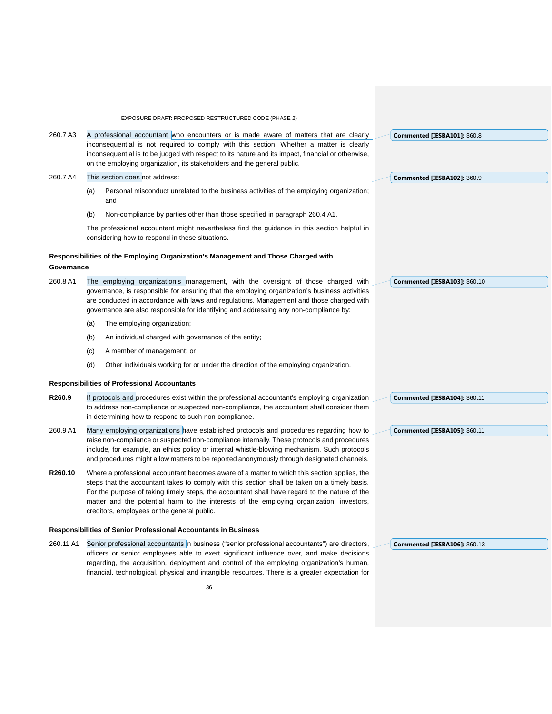EXPOSURE DRAFT: PROPOSED RESTRUCTURED CODE (PHASE 2) 36 260.7 A3 A professional accountant who encounters or is made aware of matters that are clearly inconsequential is not required to comply with this section. Whether a matter is clearly inconsequential is to be judged with respect to its nature and its impact, financial or otherwise, on the employing organization, its stakeholders and the general public. 260.7 A4 This section does not address: (a) Personal misconduct unrelated to the business activities of the employing organization; and (b) Non-compliance by parties other than those specified in paragraph 260.4 A1. The professional accountant might nevertheless find the guidance in this section helpful in considering how to respond in these situations. **Responsibilities of the Employing Organization's Management and Those Charged with Governance** 260.8 A1 The employing organization's management, with the oversight of those charged with governance, is responsible for ensuring that the employing organization's business activities are conducted in accordance with laws and regulations. Management and those charged with governance are also responsible for identifying and addressing any non-compliance by: (a) The employing organization; (b) An individual charged with governance of the entity; (c) A member of management; or (d) Other individuals working for or under the direction of the employing organization. **Responsibilities of Professional Accountants R260.9** If protocols and procedures exist within the professional accountant's employing organization to address non-compliance or suspected non-compliance, the accountant shall consider them in determining how to respond to such non-compliance. 260.9 A1 Many employing organizations have established protocols and procedures regarding how to raise non-compliance or suspected non-compliance internally. These protocols and procedures include, for example, an ethics policy or internal whistle-blowing mechanism. Such protocols and procedures might allow matters to be reported anonymously through designated channels. **R260.10** Where a professional accountant becomes aware of a matter to which this section applies, the steps that the accountant takes to comply with this section shall be taken on a timely basis. For the purpose of taking timely steps, the accountant shall have regard to the nature of the matter and the potential harm to the interests of the employing organization, investors, creditors, employees or the general public. **Responsibilities of Senior Professional Accountants in Business** 260.11 A1 Senior professional accountants in business ("senior professional accountants") are directors, officers or senior employees able to exert significant influence over, and make decisions regarding, the acquisition, deployment and control of the employing organization's human, financial, technological, physical and intangible resources. There is a greater expectation for **Commented [IESBA101]:** 360.8 **Commented [IESBA102]:** 360.9 **Commented [IESBA103]:** 360.10 **Commented [IESBA104]:** 360.11 **Commented [IESBA105]:** 360.11 **Commented [IESBA106]:** 360.13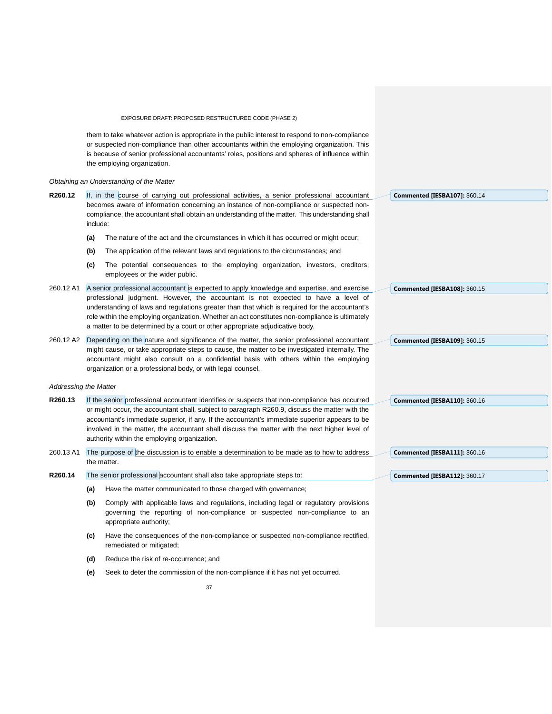them to take whatever action is appropriate in the public interest to respond to non-compliance or suspected non-compliance than other accountants within the employing organization. This is because of senior professional accountants' roles, positions and spheres of influence within the employing organization.

#### *Obtaining an Understanding of the Matter*

| R260.12 | If, in the course of carrying out professional activities, a senior professional accountant      | Commented [IESBA107]: 360.14 |
|---------|--------------------------------------------------------------------------------------------------|------------------------------|
|         | becomes aware of information concerning an instance of non-compliance or suspected non-          |                              |
|         | compliance, the accountant shall obtain an understanding of the matter. This understanding shall |                              |
|         | include:                                                                                         |                              |
|         | . The motives of the part and then pleasureated and in which it has possible and plants applied  |                              |

- **(a)** The nature of the act and the circumstances in which it has occurred or might occur;
- **(b)** The application of the relevant laws and regulations to the circumstances; and
- **(c)** The potential consequences to the employing organization, investors, creditors, employees or the wider public.

|                              | employees or the wider public.                                                                                                                                                                                                                                                                                                                                                                                                                                        |                              |
|------------------------------|-----------------------------------------------------------------------------------------------------------------------------------------------------------------------------------------------------------------------------------------------------------------------------------------------------------------------------------------------------------------------------------------------------------------------------------------------------------------------|------------------------------|
| 260.12 A1                    | A senior professional accountant is expected to apply knowledge and expertise, and exercise<br>professional judgment. However, the accountant is not expected to have a level of<br>understanding of laws and regulations greater than that which is required for the accountant's<br>role within the employing organization. Whether an act constitutes non-compliance is ultimately<br>a matter to be determined by a court or other appropriate adjudicative body. | Commented [IESBA108]: 360.15 |
| 260.12 A2                    | Depending on the nature and significance of the matter, the senior professional accountant<br>might cause, or take appropriate steps to cause, the matter to be investigated internally. The<br>accountant might also consult on a confidential basis with others within the employing<br>organization or a professional body, or with legal counsel.                                                                                                                 | Commented [IESBA109]: 360.15 |
| <b>Addressing the Matter</b> |                                                                                                                                                                                                                                                                                                                                                                                                                                                                       |                              |
| R260.13                      | If the senior professional accountant identifies or suspects that non-compliance has occurred<br>or might occur, the accountant shall, subject to paragraph R260.9, discuss the matter with the<br>accountant's immediate superior, if any. If the accountant's immediate superior appears to be<br>involved in the matter, the accountant shall discuss the matter with the next higher level of<br>authority within the employing organization.                     | Commented [IESBA110]: 360.16 |
| 260.13 A1                    | The purpose of the discussion is to enable a determination to be made as to how to address<br>the matter.                                                                                                                                                                                                                                                                                                                                                             | Commented [IESBA111]: 360.16 |

**Commented [IESBA112]:** 360.17

# **R260.14** The senior professional accountant shall also take appropriate steps to:

- **(a)** Have the matter communicated to those charged with governance;
- **(b)** Comply with applicable laws and regulations, including legal or regulatory provisions governing the reporting of non-compliance or suspected non-compliance to an appropriate authority;
- **(c)** Have the consequences of the non-compliance or suspected non-compliance rectified, remediated or mitigated;
- **(d)** Reduce the risk of re-occurrence; and
- **(e)** Seek to deter the commission of the non-compliance if it has not yet occurred.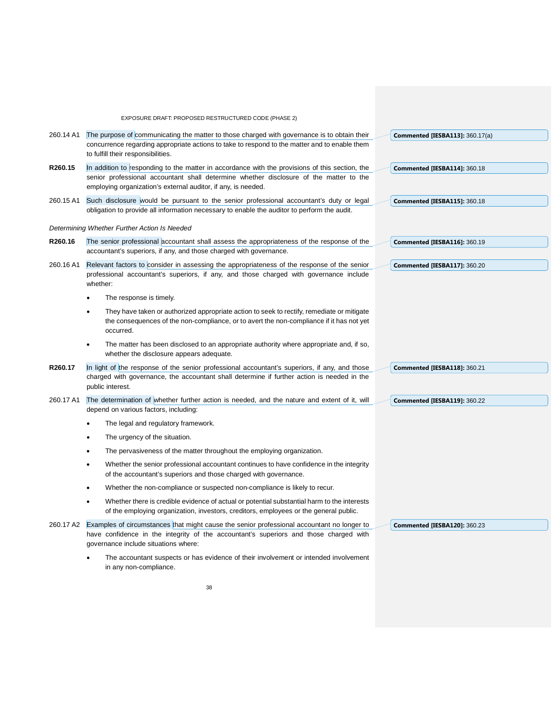EXPOSURE DRAFT: PROPOSED RESTRUCTURED CODE (PHASE 2) 260.14 A1 The purpose of communicating the matter to those charged with governance is to obtain their concurrence regarding appropriate actions to take to respond to the matter and to enable them to fulfill their responsibilities. **R260.15** In addition to responding to the matter in accordance with the provisions of this section, the senior professional accountant shall determine whether disclosure of the matter to the employing organization's external auditor, if any, is needed. 260.15 A1 Such disclosure would be pursuant to the senior professional accountant's duty or legal obligation to provide all information necessary to enable the auditor to perform the audit. *Determining Whether Further Action Is Needed* **R260.16** The senior professional accountant shall assess the appropriateness of the response of the accountant's superiors, if any, and those charged with governance. 260.16 A1 Relevant factors to consider in assessing the appropriateness of the response of the senior professional accountant's superiors, if any, and those charged with governance include whether: The response is timely. They have taken or authorized appropriate action to seek to rectify, remediate or mitigate the consequences of the non-compliance, or to avert the non-compliance if it has not yet occurred. • The matter has been disclosed to an appropriate authority where appropriate and, if so, whether the disclosure appears adequate. **R260.17** In light of the response of the senior professional accountant's superiors, if any, and those charged with governance, the accountant shall determine if further action is needed in the public interest. 260.17 A1 The determination of whether further action is needed, and the nature and extent of it, will depend on various factors, including: The legal and regulatory framework. The urgency of the situation. The pervasiveness of the matter throughout the employing organization. • Whether the senior professional accountant continues to have confidence in the integrity of the accountant's superiors and those charged with governance. • Whether the non-compliance or suspected non-compliance is likely to recur. • Whether there is credible evidence of actual or potential substantial harm to the interests of the employing organization, investors, creditors, employees or the general public. 260.17 A2 Examples of circumstances that might cause the senior professional accountant no longer to have confidence in the integrity of the accountant's superiors and those charged with governance include situations where: • The accountant suspects or has evidence of their involvement or intended involvement in any non-compliance. **Commented [IESBA113]:** 360.17(a) **Commented [IESBA114]:** 360.18 **Commented [IESBA115]:** 360.18 **Commented [IESBA116]:** 360.19 **Commented [IESBA117]:** 360.20 **Commented [IESBA118]:** 360.21 **Commented [IESBA119]:** 360.22 **Commented [IESBA120]:** 360.23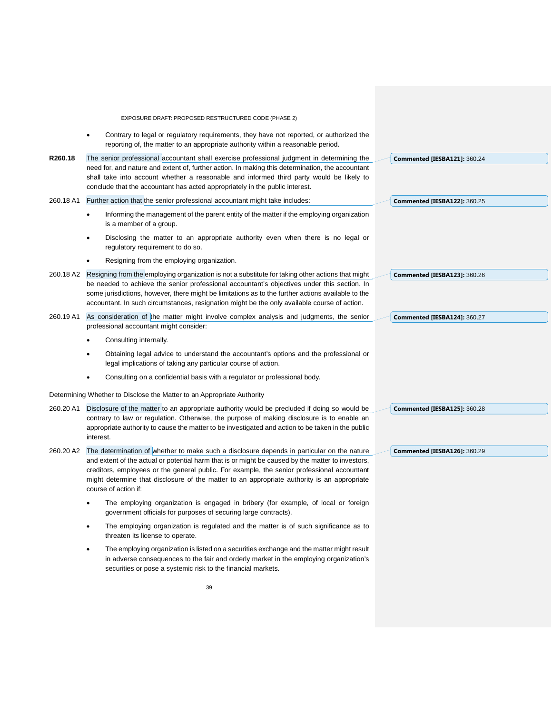|           | EXPOSURE DRAFT: PROPOSED RESTRUCTURED CODE (PHASE 2)                                                                                                                                                                                                                                                                                                                                                                  |                                     |
|-----------|-----------------------------------------------------------------------------------------------------------------------------------------------------------------------------------------------------------------------------------------------------------------------------------------------------------------------------------------------------------------------------------------------------------------------|-------------------------------------|
|           | Contrary to legal or regulatory requirements, they have not reported, or authorized the<br>reporting of, the matter to an appropriate authority within a reasonable period.                                                                                                                                                                                                                                           |                                     |
| R260.18   | The senior professional accountant shall exercise professional judgment in determining the<br>need for, and nature and extent of, further action. In making this determination, the accountant<br>shall take into account whether a reasonable and informed third party would be likely to<br>conclude that the accountant has acted appropriately in the public interest.                                            | Commented [IESBA121]: 360.24        |
| 260.18 A1 | Further action that the senior professional accountant might take includes:                                                                                                                                                                                                                                                                                                                                           | <b>Commented [IESBA122]: 360.25</b> |
|           | Informing the management of the parent entity of the matter if the employing organization<br>is a member of a group.                                                                                                                                                                                                                                                                                                  |                                     |
|           | Disclosing the matter to an appropriate authority even when there is no legal or<br>regulatory requirement to do so.                                                                                                                                                                                                                                                                                                  |                                     |
|           | Resigning from the employing organization.                                                                                                                                                                                                                                                                                                                                                                            |                                     |
| 260.18 A2 | Resigning from the employing organization is not a substitute for taking other actions that might                                                                                                                                                                                                                                                                                                                     | <b>Commented [IESBA123]: 360.26</b> |
|           | be needed to achieve the senior professional accountant's objectives under this section. In<br>some jurisdictions, however, there might be limitations as to the further actions available to the<br>accountant. In such circumstances, resignation might be the only available course of action.                                                                                                                     |                                     |
| 260.19 A1 | As consideration of the matter might involve complex analysis and judgments, the senior<br>professional accountant might consider:                                                                                                                                                                                                                                                                                    | Commented [IESBA124]: 360.27        |
|           | Consulting internally.                                                                                                                                                                                                                                                                                                                                                                                                |                                     |
|           | Obtaining legal advice to understand the accountant's options and the professional or<br>legal implications of taking any particular course of action.                                                                                                                                                                                                                                                                |                                     |
|           | Consulting on a confidential basis with a regulator or professional body.                                                                                                                                                                                                                                                                                                                                             |                                     |
|           | Determining Whether to Disclose the Matter to an Appropriate Authority                                                                                                                                                                                                                                                                                                                                                |                                     |
| 260.20 A1 | Disclosure of the matter to an appropriate authority would be precluded if doing so would be<br>contrary to law or regulation. Otherwise, the purpose of making disclosure is to enable an<br>appropriate authority to cause the matter to be investigated and action to be taken in the public<br>interest.                                                                                                          | Commented [IESBA125]: 360.28        |
| 260.20 A2 | The determination of whether to make such a disclosure depends in particular on the nature<br>and extent of the actual or potential harm that is or might be caused by the matter to investors,<br>creditors, employees or the general public. For example, the senior professional accountant<br>might determine that disclosure of the matter to an appropriate authority is an appropriate<br>course of action if: | <b>Commented [IESBA126]: 360.29</b> |
|           | The employing organization is engaged in bribery (for example, of local or foreign<br>government officials for purposes of securing large contracts).                                                                                                                                                                                                                                                                 |                                     |
|           | The employing organization is regulated and the matter is of such significance as to<br>٠<br>threaten its license to operate.                                                                                                                                                                                                                                                                                         |                                     |
|           | The employing organization is listed on a securities exchange and the matter might result<br>in adverse consequences to the fair and orderly market in the employing organization's<br>securities or pose a systemic risk to the financial markets.                                                                                                                                                                   |                                     |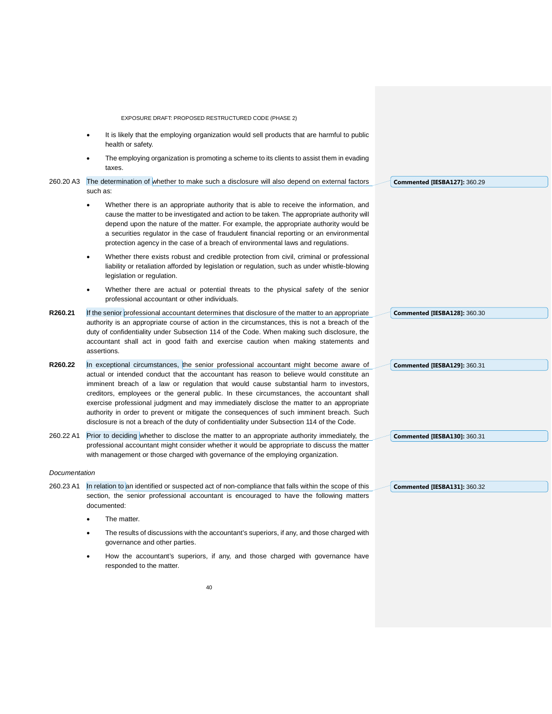|               | EXPOSURE DRAFT: PROPOSED RESTRUCTURED CODE (PHASE 2)                                                                                                                                                                                                                                                                                                                                                                                                                                                                                                                                                                                                            |                              |
|---------------|-----------------------------------------------------------------------------------------------------------------------------------------------------------------------------------------------------------------------------------------------------------------------------------------------------------------------------------------------------------------------------------------------------------------------------------------------------------------------------------------------------------------------------------------------------------------------------------------------------------------------------------------------------------------|------------------------------|
|               | It is likely that the employing organization would sell products that are harmful to public<br>health or safety.                                                                                                                                                                                                                                                                                                                                                                                                                                                                                                                                                |                              |
|               | The employing organization is promoting a scheme to its clients to assist them in evading<br>taxes.                                                                                                                                                                                                                                                                                                                                                                                                                                                                                                                                                             |                              |
| 260.20 A3     | The determination of whether to make such a disclosure will also depend on external factors<br>such as:                                                                                                                                                                                                                                                                                                                                                                                                                                                                                                                                                         | Commented [IESBA127]: 360.29 |
|               | Whether there is an appropriate authority that is able to receive the information, and<br>cause the matter to be investigated and action to be taken. The appropriate authority will<br>depend upon the nature of the matter. For example, the appropriate authority would be<br>a securities regulator in the case of fraudulent financial reporting or an environmental<br>protection agency in the case of a breach of environmental laws and regulations.                                                                                                                                                                                                   |                              |
|               | Whether there exists robust and credible protection from civil, criminal or professional<br>$\bullet$<br>liability or retaliation afforded by legislation or regulation, such as under whistle-blowing<br>legislation or regulation.                                                                                                                                                                                                                                                                                                                                                                                                                            |                              |
|               | Whether there are actual or potential threats to the physical safety of the senior<br>professional accountant or other individuals.                                                                                                                                                                                                                                                                                                                                                                                                                                                                                                                             |                              |
| R260.21       | If the senior professional accountant determines that disclosure of the matter to an appropriate<br>authority is an appropriate course of action in the circumstances, this is not a breach of the<br>duty of confidentiality under Subsection 114 of the Code. When making such disclosure, the<br>accountant shall act in good faith and exercise caution when making statements and<br>assertions.                                                                                                                                                                                                                                                           | Commented [IESBA128]: 360.30 |
| R260.22       | In exceptional circumstances, the senior professional accountant might become aware of<br>actual or intended conduct that the accountant has reason to believe would constitute an<br>imminent breach of a law or regulation that would cause substantial harm to investors,<br>creditors, employees or the general public. In these circumstances, the accountant shall<br>exercise professional judgment and may immediately disclose the matter to an appropriate<br>authority in order to prevent or mitigate the consequences of such imminent breach. Such<br>disclosure is not a breach of the duty of confidentiality under Subsection 114 of the Code. | Commented [IESBA129]: 360.31 |
| 260.22 A1     | Prior to deciding whether to disclose the matter to an appropriate authority immediately, the<br>professional accountant might consider whether it would be appropriate to discuss the matter<br>with management or those charged with governance of the employing organization.                                                                                                                                                                                                                                                                                                                                                                                | Commented [IESBA130]: 360.31 |
| Documentation |                                                                                                                                                                                                                                                                                                                                                                                                                                                                                                                                                                                                                                                                 |                              |
| 260.23 A1     | In relation to an identified or suspected act of non-compliance that falls within the scope of this<br>section, the senior professional accountant is encouraged to have the following matters<br>documented:                                                                                                                                                                                                                                                                                                                                                                                                                                                   | Commented [IESBA131]: 360.32 |
|               | The matter.                                                                                                                                                                                                                                                                                                                                                                                                                                                                                                                                                                                                                                                     |                              |
|               | The results of discussions with the accountant's superiors, if any, and those charged with<br>governance and other parties.                                                                                                                                                                                                                                                                                                                                                                                                                                                                                                                                     |                              |
|               | How the accountant's superiors, if any, and those charged with governance have<br>responded to the matter.                                                                                                                                                                                                                                                                                                                                                                                                                                                                                                                                                      |                              |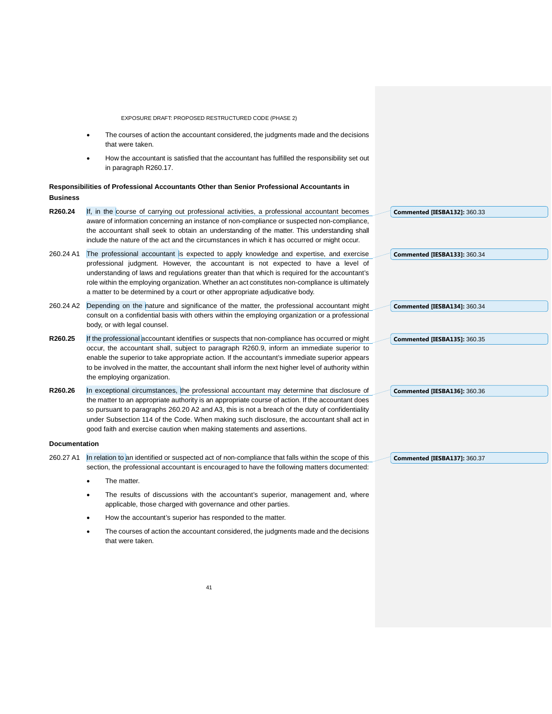EXPOSURE DRAFT: PROPOSED RESTRUCTURED CODE (PHASE 2) The courses of action the accountant considered, the judgments made and the decisions that were taken. • How the accountant is satisfied that the accountant has fulfilled the responsibility set out in paragraph R260.17. **Responsibilities of Professional Accountants Other than Senior Professional Accountants in Business R260.24** If, in the course of carrying out professional activities, a professional accountant becomes aware of information concerning an instance of non-compliance or suspected non-compliance, the accountant shall seek to obtain an understanding of the matter. This understanding shall include the nature of the act and the circumstances in which it has occurred or might occur. 260.24 A1 The professional accountant is expected to apply knowledge and expertise, and exercise professional judgment. However, the accountant is not expected to have a level of understanding of laws and regulations greater than that which is required for the accountant's role within the employing organization. Whether an act constitutes non-compliance is ultimately a matter to be determined by a court or other appropriate adjudicative body. 260.24 A2 Depending on the nature and significance of the matter, the professional accountant might consult on a confidential basis with others within the employing organization or a professional body, or with legal counsel. **R260.25** If the professional accountant identifies or suspects that non-compliance has occurred or might occur, the accountant shall, subject to paragraph R260.9, inform an immediate superior to enable the superior to take appropriate action. If the accountant's immediate superior appears to be involved in the matter, the accountant shall inform the next higher level of authority within the employing organization. **R260.26** In exceptional circumstances, the professional accountant may determine that disclosure of the matter to an appropriate authority is an appropriate course of action. If the accountant does so pursuant to paragraphs 260.20 A2 and A3, this is not a breach of the duty of confidentiality under Subsection 114 of the Code. When making such disclosure, the accountant shall act in good faith and exercise caution when making statements and assertions. **Documentation** 260.27 A1 In relation to an identified or suspected act of non-compliance that falls within the scope of this section, the professional accountant is encouraged to have the following matters documented: The matter. The results of discussions with the accountant's superior, management and, where applicable, those charged with governance and other parties. • How the accountant's superior has responded to the matter. **Commented [IESBA132]:** 360.33 **Commented [IESBA133]:** 360.34 **Commented [IESBA134]:** 360.34 **Commented [IESBA135]:** 360.35 **Commented [IESBA136]:** 360.36 **Commented [IESBA137]:** 360.37

The courses of action the accountant considered, the judgments made and the decisions that were taken.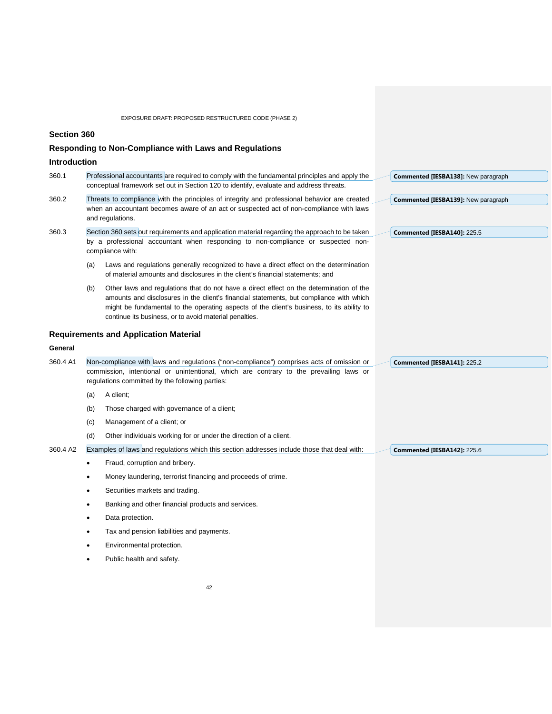## **Section 360**

# **Responding to Non-Compliance with Laws and Regulations**

# **Introduction**

| 360.1    |     | Professional accountants are required to comply with the fundamental principles and apply the<br>conceptual framework set out in Section 120 to identify, evaluate and address threats.                                                                                                                                                   | Commented [IESBA138]: New paragraph |
|----------|-----|-------------------------------------------------------------------------------------------------------------------------------------------------------------------------------------------------------------------------------------------------------------------------------------------------------------------------------------------|-------------------------------------|
| 360.2    |     | Threats to compliance with the principles of integrity and professional behavior are created<br>when an accountant becomes aware of an act or suspected act of non-compliance with laws<br>and regulations.                                                                                                                               | Commented [IESBA139]: New paragraph |
| 360.3    |     | Section 360 sets out requirements and application material regarding the approach to be taken<br>by a professional accountant when responding to non-compliance or suspected non-<br>compliance with:                                                                                                                                     | Commented [IESBA140]: 225.5         |
|          | (a) | Laws and regulations generally recognized to have a direct effect on the determination<br>of material amounts and disclosures in the client's financial statements; and                                                                                                                                                                   |                                     |
|          | (b) | Other laws and regulations that do not have a direct effect on the determination of the<br>amounts and disclosures in the client's financial statements, but compliance with which<br>might be fundamental to the operating aspects of the client's business, to its ability to<br>continue its business, or to avoid material penalties. |                                     |
|          |     | <b>Requirements and Application Material</b>                                                                                                                                                                                                                                                                                              |                                     |
| General  |     |                                                                                                                                                                                                                                                                                                                                           |                                     |
| 360.4 A1 |     | Non-compliance with laws and regulations ("non-compliance") comprises acts of omission or<br>commission, intentional or unintentional, which are contrary to the prevailing laws or<br>regulations committed by the following parties:                                                                                                    | Commented [IESBA141]: 225.2         |
|          | (a) | A client:                                                                                                                                                                                                                                                                                                                                 |                                     |
|          | (b) | Those charged with governance of a client;                                                                                                                                                                                                                                                                                                |                                     |
|          | (c) | Management of a client; or                                                                                                                                                                                                                                                                                                                |                                     |
|          | (d) | Other individuals working for or under the direction of a client.                                                                                                                                                                                                                                                                         |                                     |
| 360.4 A2 |     | Examples of laws and regulations which this section addresses include those that deal with:                                                                                                                                                                                                                                               | Commented [IESBA142]: 225.6         |
|          |     | Fraud, corruption and bribery.                                                                                                                                                                                                                                                                                                            |                                     |
|          | ٠   | Money laundering, terrorist financing and proceeds of crime.                                                                                                                                                                                                                                                                              |                                     |
|          |     | Securities markets and trading.                                                                                                                                                                                                                                                                                                           |                                     |
|          |     | Banking and other financial products and services.                                                                                                                                                                                                                                                                                        |                                     |
|          |     | Data protection.                                                                                                                                                                                                                                                                                                                          |                                     |
|          |     | Tax and pension liabilities and payments.                                                                                                                                                                                                                                                                                                 |                                     |
|          |     |                                                                                                                                                                                                                                                                                                                                           |                                     |

- Environmental protection.
- Public health and safety.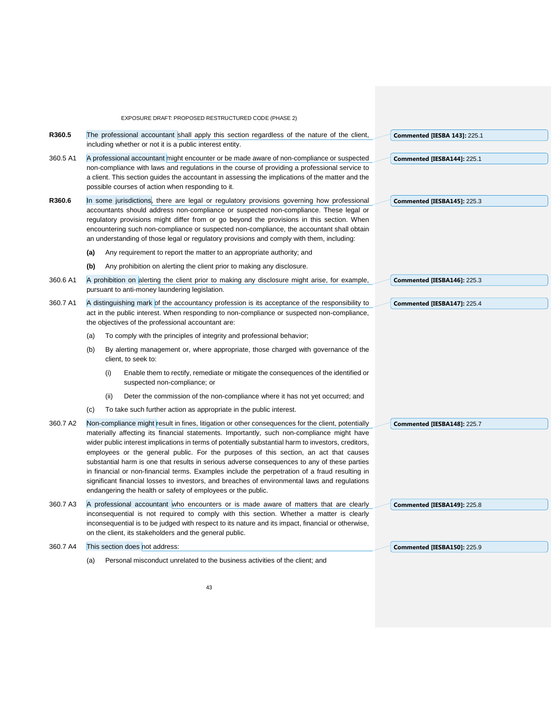|          |     |      | EXPOSURE DRAFT: PROPOSED RESTRUCTURED CODE (PHASE 2)                                                                                                                                                                                                                                                                                                                                                                                                                                                                                                                                                                                                                                                                                                                 |                                    |
|----------|-----|------|----------------------------------------------------------------------------------------------------------------------------------------------------------------------------------------------------------------------------------------------------------------------------------------------------------------------------------------------------------------------------------------------------------------------------------------------------------------------------------------------------------------------------------------------------------------------------------------------------------------------------------------------------------------------------------------------------------------------------------------------------------------------|------------------------------------|
| R360.5   |     |      | The professional accountant shall apply this section regardless of the nature of the client,<br>including whether or not it is a public interest entity.                                                                                                                                                                                                                                                                                                                                                                                                                                                                                                                                                                                                             | Commented [IESBA 143]: 225.1       |
| 360.5 A1 |     |      | A professional accountant might encounter or be made aware of non-compliance or suspected<br>non-compliance with laws and regulations in the course of providing a professional service to<br>a client. This section guides the accountant in assessing the implications of the matter and the<br>possible courses of action when responding to it.                                                                                                                                                                                                                                                                                                                                                                                                                  | Commented [IESBA144]: 225.1        |
| R360.6   | (a) |      | In some jurisdictions, there are legal or regulatory provisions governing how professional<br>accountants should address non-compliance or suspected non-compliance. These legal or<br>regulatory provisions might differ from or go beyond the provisions in this section. When<br>encountering such non-compliance or suspected non-compliance, the accountant shall obtain<br>an understanding of those legal or regulatory provisions and comply with them, including:<br>Any requirement to report the matter to an appropriate authority; and                                                                                                                                                                                                                  | Commented [IESBA145]: 225.3        |
|          | (b) |      | Any prohibition on alerting the client prior to making any disclosure.                                                                                                                                                                                                                                                                                                                                                                                                                                                                                                                                                                                                                                                                                               |                                    |
| 360.6 A1 |     |      | A prohibition on alerting the client prior to making any disclosure might arise, for example,<br>pursuant to anti-money laundering legislation.                                                                                                                                                                                                                                                                                                                                                                                                                                                                                                                                                                                                                      | Commented [IESBA146]: 225.3        |
| 360.7 A1 |     |      | A distinguishing mark of the accountancy profession is its acceptance of the responsibility to<br>act in the public interest. When responding to non-compliance or suspected non-compliance,<br>the objectives of the professional accountant are:                                                                                                                                                                                                                                                                                                                                                                                                                                                                                                                   | Commented [IESBA147]: 225.4        |
|          | (a) |      | To comply with the principles of integrity and professional behavior;                                                                                                                                                                                                                                                                                                                                                                                                                                                                                                                                                                                                                                                                                                |                                    |
|          | (b) |      | By alerting management or, where appropriate, those charged with governance of the<br>client, to seek to:                                                                                                                                                                                                                                                                                                                                                                                                                                                                                                                                                                                                                                                            |                                    |
|          |     | (i)  | Enable them to rectify, remediate or mitigate the consequences of the identified or<br>suspected non-compliance; or                                                                                                                                                                                                                                                                                                                                                                                                                                                                                                                                                                                                                                                  |                                    |
|          |     | (ii) | Deter the commission of the non-compliance where it has not yet occurred; and                                                                                                                                                                                                                                                                                                                                                                                                                                                                                                                                                                                                                                                                                        |                                    |
|          | (c) |      | To take such further action as appropriate in the public interest.                                                                                                                                                                                                                                                                                                                                                                                                                                                                                                                                                                                                                                                                                                   |                                    |
| 360.7 A2 |     |      | Non-compliance might result in fines, litigation or other consequences for the client, potentially<br>materially affecting its financial statements. Importantly, such non-compliance might have<br>wider public interest implications in terms of potentially substantial harm to investors, creditors,<br>employees or the general public. For the purposes of this section, an act that causes<br>substantial harm is one that results in serious adverse consequences to any of these parties<br>in financial or non-financial terms. Examples include the perpetration of a fraud resulting in<br>significant financial losses to investors, and breaches of environmental laws and regulations<br>endangering the health or safety of employees or the public. | Commented [IESBA148]: 225.7        |
| 360.7 A3 |     |      | A professional accountant who encounters or is made aware of matters that are clearly                                                                                                                                                                                                                                                                                                                                                                                                                                                                                                                                                                                                                                                                                | Commented [IESBA149]: 225.8        |
|          |     |      | inconsequential is not required to comply with this section. Whether a matter is clearly<br>inconsequential is to be judged with respect to its nature and its impact, financial or otherwise,<br>on the client, its stakeholders and the general public.                                                                                                                                                                                                                                                                                                                                                                                                                                                                                                            |                                    |
| 360.7 A4 |     |      | This section does not address:                                                                                                                                                                                                                                                                                                                                                                                                                                                                                                                                                                                                                                                                                                                                       | <b>Commented [IESBA150]: 225.9</b> |
|          | (a) |      | Personal misconduct unrelated to the business activities of the client; and                                                                                                                                                                                                                                                                                                                                                                                                                                                                                                                                                                                                                                                                                          |                                    |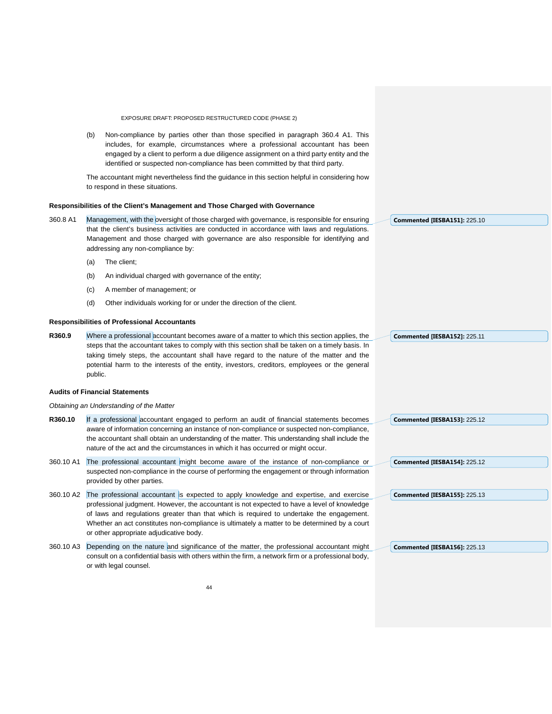(b) Non-compliance by parties other than those specified in paragraph 360.4 A1. This includes, for example, circumstances where a professional accountant has been engaged by a client to perform a due diligence assignment on a third party entity and the identified or suspected non-compliance has been committed by that third party.

The accountant might nevertheless find the guidance in this section helpful in considering how to respond in these situations.

#### **Responsibilities of the Client's Management and Those Charged with Governance**

| 360.8 A1  | Management, with the oversight of those charged with governance, is responsible for ensuring<br>that the client's business activities are conducted in accordance with laws and regulations.<br>Management and those charged with governance are also responsible for identifying and<br>addressing any non-compliance by: |                                                                                                                                                                                                                                                                                                                                                                                                                              |  | <b>Commented [IESBA151]: 225.10</b> |
|-----------|----------------------------------------------------------------------------------------------------------------------------------------------------------------------------------------------------------------------------------------------------------------------------------------------------------------------------|------------------------------------------------------------------------------------------------------------------------------------------------------------------------------------------------------------------------------------------------------------------------------------------------------------------------------------------------------------------------------------------------------------------------------|--|-------------------------------------|
|           | (a)                                                                                                                                                                                                                                                                                                                        | The client:                                                                                                                                                                                                                                                                                                                                                                                                                  |  |                                     |
|           | (b)                                                                                                                                                                                                                                                                                                                        | An individual charged with governance of the entity;                                                                                                                                                                                                                                                                                                                                                                         |  |                                     |
|           | (c)                                                                                                                                                                                                                                                                                                                        | A member of management; or                                                                                                                                                                                                                                                                                                                                                                                                   |  |                                     |
|           | (d)                                                                                                                                                                                                                                                                                                                        | Other individuals working for or under the direction of the client.                                                                                                                                                                                                                                                                                                                                                          |  |                                     |
|           |                                                                                                                                                                                                                                                                                                                            | <b>Responsibilities of Professional Accountants</b>                                                                                                                                                                                                                                                                                                                                                                          |  |                                     |
| R360.9    |                                                                                                                                                                                                                                                                                                                            | Where a professional accountant becomes aware of a matter to which this section applies, the                                                                                                                                                                                                                                                                                                                                 |  | Commented [IESBA152]: 225.11        |
|           | public.                                                                                                                                                                                                                                                                                                                    | steps that the accountant takes to comply with this section shall be taken on a timely basis. In<br>taking timely steps, the accountant shall have regard to the nature of the matter and the<br>potential harm to the interests of the entity, investors, creditors, employees or the general                                                                                                                               |  |                                     |
|           |                                                                                                                                                                                                                                                                                                                            | <b>Audits of Financial Statements</b>                                                                                                                                                                                                                                                                                                                                                                                        |  |                                     |
|           |                                                                                                                                                                                                                                                                                                                            | Obtaining an Understanding of the Matter                                                                                                                                                                                                                                                                                                                                                                                     |  |                                     |
| R360.10   |                                                                                                                                                                                                                                                                                                                            | If a professional accountant engaged to perform an audit of financial statements becomes<br>aware of information concerning an instance of non-compliance or suspected non-compliance,<br>the accountant shall obtain an understanding of the matter. This understanding shall include the<br>nature of the act and the circumstances in which it has occurred or might occur.                                               |  | <b>Commented [IESBA153]: 225.12</b> |
| 360.10 A1 |                                                                                                                                                                                                                                                                                                                            | The professional accountant might become aware of the instance of non-compliance or<br>suspected non-compliance in the course of performing the engagement or through information<br>provided by other parties.                                                                                                                                                                                                              |  | Commented [IESBA154]: 225.12        |
| 360.10 A2 |                                                                                                                                                                                                                                                                                                                            | The professional accountant is expected to apply knowledge and expertise, and exercise<br>professional judgment. However, the accountant is not expected to have a level of knowledge<br>of laws and requlations greater than that which is required to undertake the engagement.<br>Whether an act constitutes non-compliance is ultimately a matter to be determined by a court<br>or other appropriate adjudicative body. |  | Commented [IESBA155]: 225.13        |

360.10 A3 Depending on the nature and significance of the matter, the professional accountant might consult on a confidential basis with others within the firm, a network firm or a professional body, or with legal counsel.

**Commented [IESBA156]:** 225.13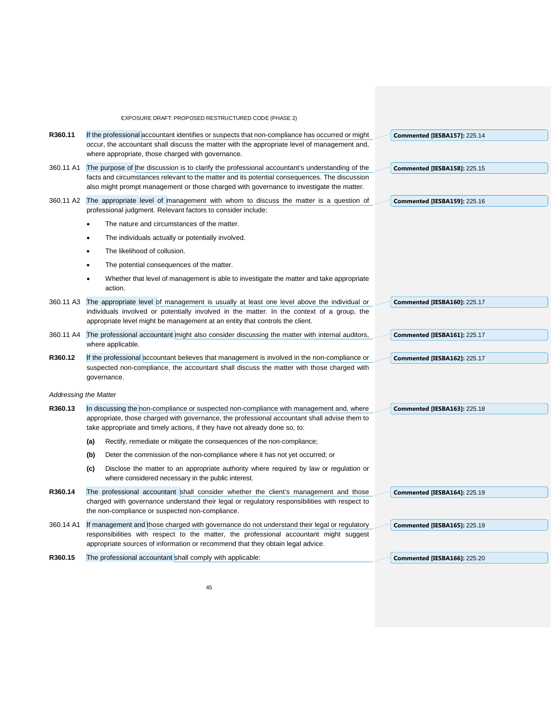|           | EXPOSURE DRAFT: PROPOSED RESTRUCTURED CODE (PHASE 2)                                                                                                                                                                    |  |
|-----------|-------------------------------------------------------------------------------------------------------------------------------------------------------------------------------------------------------------------------|--|
| R360.11   | If the professional accountant identifies or suspects that non-compliance has occurred or might<br><b>Commented [IESBA157]: 225.14</b>                                                                                  |  |
|           | occur, the accountant shall discuss the matter with the appropriate level of management and,<br>where appropriate, those charged with governance.                                                                       |  |
| 360.11 A1 | The purpose of the discussion is to clarify the professional accountant's understanding of the<br><b>Commented [IESBA158]: 225.15</b>                                                                                   |  |
|           | facts and circumstances relevant to the matter and its potential consequences. The discussion<br>also might prompt management or those charged with governance to investigate the matter.                               |  |
| 360.11 A2 | The appropriate level of management with whom to discuss the matter is a question of<br><b>Commented [IESBA159]: 225.16</b><br>professional judgment. Relevant factors to consider include:                             |  |
|           | The nature and circumstances of the matter.                                                                                                                                                                             |  |
|           | The individuals actually or potentially involved.<br>$\bullet$                                                                                                                                                          |  |
|           | The likelihood of collusion.<br>$\bullet$                                                                                                                                                                               |  |
|           | The potential consequences of the matter.<br>$\bullet$                                                                                                                                                                  |  |
|           | Whether that level of management is able to investigate the matter and take appropriate<br>$\bullet$<br>action.                                                                                                         |  |
| 360.11 A3 | The appropriate level of management is usually at least one level above the individual or<br>Commented [IESBA160]: 225.17<br>individuals involved or potentially involved in the matter. In the context of a group, the |  |
|           | appropriate level might be management at an entity that controls the client.                                                                                                                                            |  |
| 360.11 A4 | The professional accountant might also consider discussing the matter with internal auditors,<br><b>Commented [IESBA161]: 225.17</b><br>where applicable.                                                               |  |
| R360.12   | If the professional accountant believes that management is involved in the non-compliance or<br>Commented [IESBA162]: 225.17                                                                                            |  |
|           | suspected non-compliance, the accountant shall discuss the matter with those charged with<br>governance.                                                                                                                |  |
|           | <b>Addressing the Matter</b>                                                                                                                                                                                            |  |
| R360.13   | In discussing the non-compliance or suspected non-compliance with management and, where<br><b>Commented [IESBA163]: 225.18</b>                                                                                          |  |
|           | appropriate, those charged with governance, the professional accountant shall advise them to<br>take appropriate and timely actions, if they have not already done so, to:                                              |  |
|           | Rectify, remediate or mitigate the consequences of the non-compliance;<br>(a)                                                                                                                                           |  |
|           | (b)<br>Deter the commission of the non-compliance where it has not yet occurred; or                                                                                                                                     |  |
|           | Disclose the matter to an appropriate authority where required by law or regulation or<br>(c)<br>where considered necessary in the public interest.                                                                     |  |
| R360.14   | The professional accountant shall consider whether the client's management and those<br><b>Commented [IESBA164]: 225.19</b>                                                                                             |  |
|           | charged with governance understand their legal or regulatory responsibilities with respect to<br>the non-compliance or suspected non-compliance.                                                                        |  |
| 360.14 A1 | If management and those charged with governance do not understand their legal or regulatory<br><b>Commented [IESBA165]: 225.19</b>                                                                                      |  |
|           | responsibilities with respect to the matter, the professional accountant might suggest<br>appropriate sources of information or recommend that they obtain legal advice.                                                |  |
| R360.15   | The professional accountant shall comply with applicable:<br>Commented [IESBA166]: 225.20                                                                                                                               |  |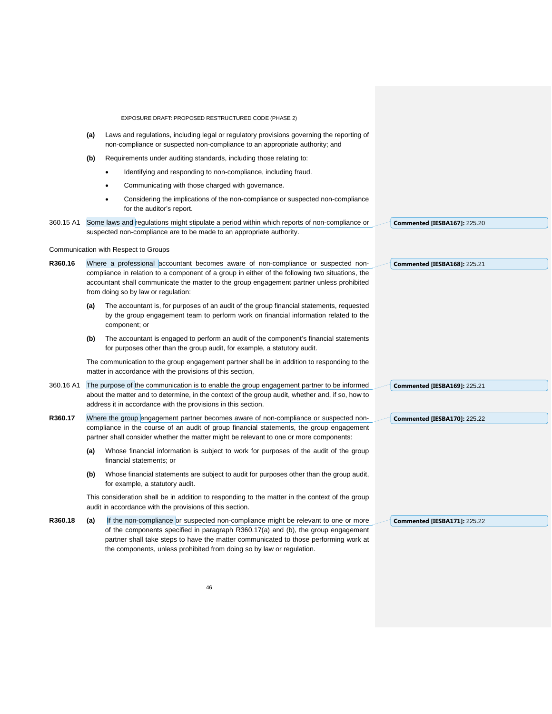|           | EXPOSURE DRAFT: PROPOSED RESTRUCTURED CODE (PHASE 2)                                                                                                                                                                                                                                                                                            |                                     |
|-----------|-------------------------------------------------------------------------------------------------------------------------------------------------------------------------------------------------------------------------------------------------------------------------------------------------------------------------------------------------|-------------------------------------|
|           | Laws and regulations, including legal or regulatory provisions governing the reporting of<br>(a)<br>non-compliance or suspected non-compliance to an appropriate authority; and                                                                                                                                                                 |                                     |
|           | (b)<br>Requirements under auditing standards, including those relating to:                                                                                                                                                                                                                                                                      |                                     |
|           | Identifying and responding to non-compliance, including fraud.<br>$\bullet$                                                                                                                                                                                                                                                                     |                                     |
|           | Communicating with those charged with governance.<br>$\bullet$                                                                                                                                                                                                                                                                                  |                                     |
|           | Considering the implications of the non-compliance or suspected non-compliance<br>$\bullet$<br>for the auditor's report.                                                                                                                                                                                                                        |                                     |
| 360.15 A1 | Some laws and regulations might stipulate a period within which reports of non-compliance or<br>suspected non-compliance are to be made to an appropriate authority.                                                                                                                                                                            | <b>Commented [IESBA167]: 225.20</b> |
|           | Communication with Respect to Groups                                                                                                                                                                                                                                                                                                            |                                     |
| R360.16   | Where a professional accountant becomes aware of non-compliance or suspected non-<br>compliance in relation to a component of a group in either of the following two situations, the<br>accountant shall communicate the matter to the group engagement partner unless prohibited<br>from doing so by law or regulation:                        | Commented [IESBA168]: 225.21        |
|           | The accountant is, for purposes of an audit of the group financial statements, requested<br>(a)<br>by the group engagement team to perform work on financial information related to the<br>component; or                                                                                                                                        |                                     |
|           | The accountant is engaged to perform an audit of the component's financial statements<br>(b)<br>for purposes other than the group audit, for example, a statutory audit.                                                                                                                                                                        |                                     |
|           | The communication to the group engagement partner shall be in addition to responding to the<br>matter in accordance with the provisions of this section,                                                                                                                                                                                        |                                     |
| 360.16 A1 | The purpose of the communication is to enable the group engagement partner to be informed<br>about the matter and to determine, in the context of the group audit, whether and, if so, how to<br>address it in accordance with the provisions in this section.                                                                                  | <b>Commented [IESBA169]: 225.21</b> |
| R360.17   | Where the group engagement partner becomes aware of non-compliance or suspected non-                                                                                                                                                                                                                                                            | <b>Commented [IESBA170]: 225.22</b> |
|           | compliance in the course of an audit of group financial statements, the group engagement<br>partner shall consider whether the matter might be relevant to one or more components:                                                                                                                                                              |                                     |
|           | Whose financial information is subject to work for purposes of the audit of the group<br>(a)<br>financial statements; or                                                                                                                                                                                                                        |                                     |
|           | Whose financial statements are subject to audit for purposes other than the group audit,<br>(b)<br>for example, a statutory audit.                                                                                                                                                                                                              |                                     |
|           | This consideration shall be in addition to responding to the matter in the context of the group<br>audit in accordance with the provisions of this section.                                                                                                                                                                                     |                                     |
| R360.18   | If the non-compliance or suspected non-compliance might be relevant to one or more<br>(a)<br>of the components specified in paragraph R360.17(a) and (b), the group engagement<br>partner shall take steps to have the matter communicated to those performing work at<br>the components, unless prohibited from doing so by law or regulation. | Commented [IESBA171]: 225.22        |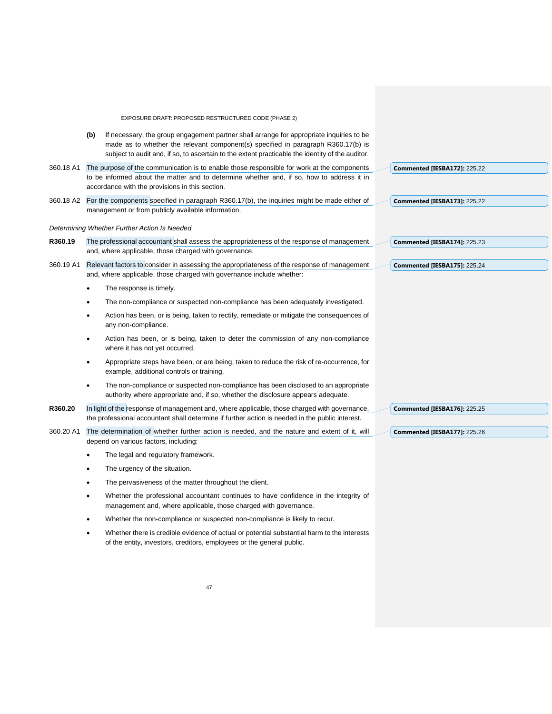|           |     | EXPOSURE DRAFT: PROPOSED RESTRUCTURED CODE (PHASE 2)                                                                                                                                                                                                                              |                                     |
|-----------|-----|-----------------------------------------------------------------------------------------------------------------------------------------------------------------------------------------------------------------------------------------------------------------------------------|-------------------------------------|
|           | (b) | If necessary, the group engagement partner shall arrange for appropriate inquiries to be<br>made as to whether the relevant component(s) specified in paragraph R360.17(b) is<br>subject to audit and, if so, to ascertain to the extent practicable the identity of the auditor. |                                     |
| 360.18 A1 |     | The purpose of the communication is to enable those responsible for work at the components<br>to be informed about the matter and to determine whether and, if so, how to address it in<br>accordance with the provisions in this section.                                        | <b>Commented [IESBA172]: 225.22</b> |
|           |     | 360.18 A2 For the components specified in paragraph R360.17(b), the inquiries might be made either of<br>management or from publicly available information.                                                                                                                       | <b>Commented [IESBA173]: 225.22</b> |
|           |     | Determining Whether Further Action Is Needed                                                                                                                                                                                                                                      |                                     |
| R360.19   |     | The professional accountant shall assess the appropriateness of the response of management<br>and, where applicable, those charged with governance.                                                                                                                               | <b>Commented [IESBA174]: 225.23</b> |
| 360.19 A1 |     | Relevant factors to consider in assessing the appropriateness of the response of management<br>and, where applicable, those charged with governance include whether:                                                                                                              | Commented [IESBA175]: 225.24        |
|           |     | The response is timely.                                                                                                                                                                                                                                                           |                                     |
|           |     | The non-compliance or suspected non-compliance has been adequately investigated.                                                                                                                                                                                                  |                                     |
|           |     | Action has been, or is being, taken to rectify, remediate or mitigate the consequences of<br>any non-compliance.                                                                                                                                                                  |                                     |
|           |     | Action has been, or is being, taken to deter the commission of any non-compliance<br>where it has not yet occurred.                                                                                                                                                               |                                     |
|           |     | Appropriate steps have been, or are being, taken to reduce the risk of re-occurrence, for<br>example, additional controls or training.                                                                                                                                            |                                     |
|           |     | The non-compliance or suspected non-compliance has been disclosed to an appropriate<br>authority where appropriate and, if so, whether the disclosure appears adequate.                                                                                                           |                                     |
| R360.20   |     | In light of the response of management and, where applicable, those charged with governance,<br>the professional accountant shall determine if further action is needed in the public interest.                                                                                   | <b>Commented [IESBA176]: 225.25</b> |
| 360.20 A1 |     | The determination of whether further action is needed, and the nature and extent of it, will<br>depend on various factors, including:                                                                                                                                             | <b>Commented [IESBA177]: 225.26</b> |
|           |     | The legal and regulatory framework.                                                                                                                                                                                                                                               |                                     |
|           |     | The urgency of the situation.                                                                                                                                                                                                                                                     |                                     |
|           |     | The pervasiveness of the matter throughout the client.                                                                                                                                                                                                                            |                                     |
|           |     | Whether the professional accountant continues to have confidence in the integrity of<br>management and, where applicable, those charged with governance.                                                                                                                          |                                     |
|           |     | Whether the non-compliance or suspected non-compliance is likely to recur.                                                                                                                                                                                                        |                                     |
|           |     | Whether there is credible evidence of actual or potential substantial harm to the interests<br>of the entity, investors, creditors, employees or the general public.                                                                                                              |                                     |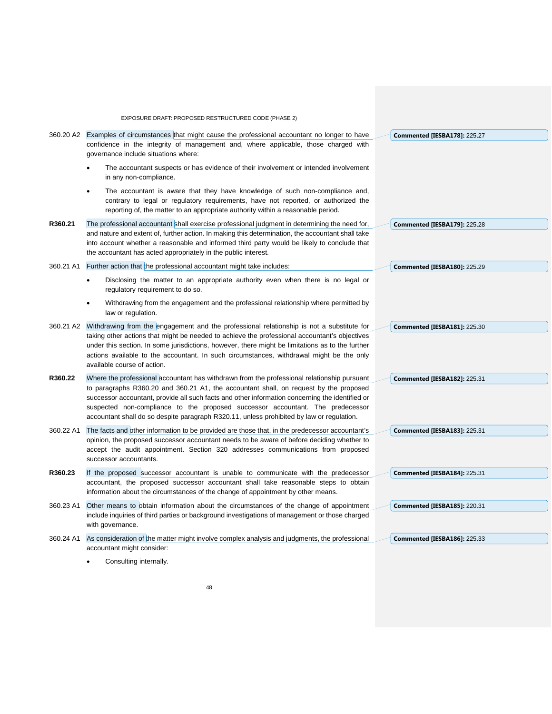|           | EXPOSURE DRAFT: PROPOSED RESTRUCTURED CODE (PHASE 2)                                                                                                                                                                                                                                                                                                                                                                      |                                     |
|-----------|---------------------------------------------------------------------------------------------------------------------------------------------------------------------------------------------------------------------------------------------------------------------------------------------------------------------------------------------------------------------------------------------------------------------------|-------------------------------------|
| 360.20 A2 | Examples of circumstances that might cause the professional accountant no longer to have<br>confidence in the integrity of management and, where applicable, those charged with<br>governance include situations where:                                                                                                                                                                                                   | Commented [IESBA178]: 225.27        |
|           | The accountant suspects or has evidence of their involvement or intended involvement<br>in any non-compliance.                                                                                                                                                                                                                                                                                                            |                                     |
|           | The accountant is aware that they have knowledge of such non-compliance and,<br>$\bullet$<br>contrary to legal or regulatory requirements, have not reported, or authorized the<br>reporting of, the matter to an appropriate authority within a reasonable period.                                                                                                                                                       |                                     |
| R360.21   | The professional accountant shall exercise professional judgment in determining the need for,                                                                                                                                                                                                                                                                                                                             | Commented [IESBA179]: 225.28        |
|           | and nature and extent of, further action. In making this determination, the accountant shall take<br>into account whether a reasonable and informed third party would be likely to conclude that<br>the accountant has acted appropriately in the public interest.                                                                                                                                                        |                                     |
| 360.21 A1 | Further action that the professional accountant might take includes:                                                                                                                                                                                                                                                                                                                                                      | <b>Commented [IESBA180]: 225.29</b> |
|           | Disclosing the matter to an appropriate authority even when there is no legal or<br>regulatory requirement to do so.                                                                                                                                                                                                                                                                                                      |                                     |
|           | Withdrawing from the engagement and the professional relationship where permitted by<br>law or regulation.                                                                                                                                                                                                                                                                                                                |                                     |
| 360.21 A2 | Withdrawing from the engagement and the professional relationship is not a substitute for<br>taking other actions that might be needed to achieve the professional accountant's objectives<br>under this section. In some jurisdictions, however, there might be limitations as to the further<br>actions available to the accountant. In such circumstances, withdrawal might be the only<br>available course of action. | <b>Commented [IESBA181]: 225.30</b> |
| R360.22   | Where the professional accountant has withdrawn from the professional relationship pursuant                                                                                                                                                                                                                                                                                                                               | Commented [IESBA182]: 225.31        |
|           | to paragraphs R360.20 and 360.21 A1, the accountant shall, on request by the proposed<br>successor accountant, provide all such facts and other information concerning the identified or<br>suspected non-compliance to the proposed successor accountant. The predecessor<br>accountant shall do so despite paragraph R320.11, unless prohibited by law or regulation.                                                   |                                     |
| 360.22 A1 | The facts and other information to be provided are those that, in the predecessor accountant's                                                                                                                                                                                                                                                                                                                            | <b>Commented [IESBA183]: 225.31</b> |
|           | opinion, the proposed successor accountant needs to be aware of before deciding whether to<br>accept the audit appointment. Section 320 addresses communications from proposed<br>successor accountants.                                                                                                                                                                                                                  |                                     |
| R360.23   | If the proposed successor accountant is unable to communicate with the predecessor                                                                                                                                                                                                                                                                                                                                        | Commented [IESBA184]: 225.31        |
|           | accountant, the proposed successor accountant shall take reasonable steps to obtain<br>information about the circumstances of the change of appointment by other means.                                                                                                                                                                                                                                                   |                                     |
| 360.23 A1 | Other means to obtain information about the circumstances of the change of appointment<br>include inquiries of third parties or background investigations of management or those charged<br>with governance.                                                                                                                                                                                                              | Commented [IESBA185]: 220.31        |
| 360.24 A1 | As consideration of the matter might involve complex analysis and judgments, the professional<br>accountant might consider:                                                                                                                                                                                                                                                                                               | <b>Commented [IESBA186]: 225.33</b> |

• Consulting internally.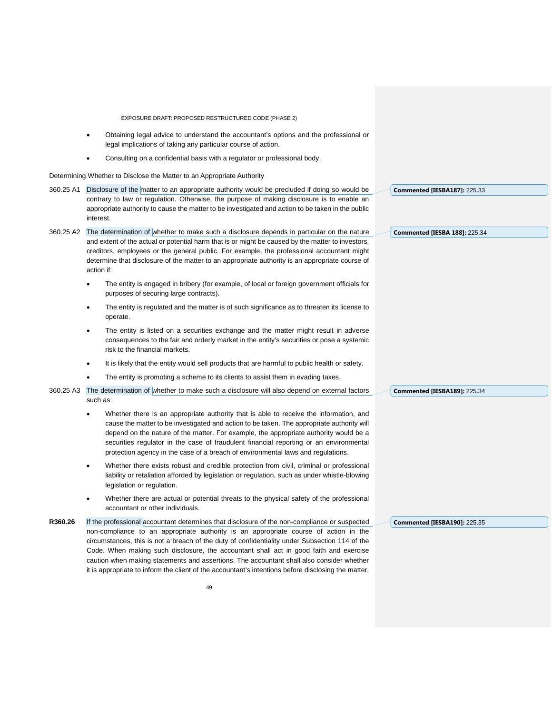- Obtaining legal advice to understand the accountant's options and the professional or legal implications of taking any particular course of action.
- Consulting on a confidential basis with a regulator or professional body.

Determining Whether to Disclose the Matter to an Appropriate Authority

|           | Determining whether to Disclose the Matter to an Appropriate Authority                                                                                                                                                                                                                                                                                                                                                                                                                                                                                                               |                                      |
|-----------|--------------------------------------------------------------------------------------------------------------------------------------------------------------------------------------------------------------------------------------------------------------------------------------------------------------------------------------------------------------------------------------------------------------------------------------------------------------------------------------------------------------------------------------------------------------------------------------|--------------------------------------|
| 360.25 A1 | Disclosure of the matter to an appropriate authority would be precluded if doing so would be<br>contrary to law or regulation. Otherwise, the purpose of making disclosure is to enable an<br>appropriate authority to cause the matter to be investigated and action to be taken in the public<br>interest.                                                                                                                                                                                                                                                                         | <b>Commented [IESBA187]: 225.33</b>  |
| 360.25 A2 | The determination of whether to make such a disclosure depends in particular on the nature<br>and extent of the actual or potential harm that is or might be caused by the matter to investors,<br>creditors, employees or the general public. For example, the professional accountant might<br>determine that disclosure of the matter to an appropriate authority is an appropriate course of<br>action if:                                                                                                                                                                       | <b>Commented [IESBA 188]: 225.34</b> |
|           | The entity is engaged in bribery (for example, of local or foreign government officials for<br>$\bullet$<br>purposes of securing large contracts).<br>The entity is regulated and the matter is of such significance as to threaten its license to<br>$\bullet$<br>operate.                                                                                                                                                                                                                                                                                                          |                                      |
|           | The entity is listed on a securities exchange and the matter might result in adverse<br>$\bullet$<br>consequences to the fair and orderly market in the entity's securities or pose a systemic<br>risk to the financial markets.                                                                                                                                                                                                                                                                                                                                                     |                                      |
|           | It is likely that the entity would sell products that are harmful to public health or safety.<br>$\bullet$                                                                                                                                                                                                                                                                                                                                                                                                                                                                           |                                      |
|           | The entity is promoting a scheme to its clients to assist them in evading taxes.                                                                                                                                                                                                                                                                                                                                                                                                                                                                                                     |                                      |
| 360.25 A3 | The determination of whether to make such a disclosure will also depend on external factors<br>such as:                                                                                                                                                                                                                                                                                                                                                                                                                                                                              | <b>Commented [IESBA189]: 225.34</b>  |
|           | Whether there is an appropriate authority that is able to receive the information, and<br>$\bullet$<br>cause the matter to be investigated and action to be taken. The appropriate authority will<br>depend on the nature of the matter. For example, the appropriate authority would be a<br>securities regulator in the case of fraudulent financial reporting or an environmental<br>protection agency in the case of a breach of environmental laws and regulations.                                                                                                             |                                      |
|           | Whether there exists robust and credible protection from civil, criminal or professional<br>$\bullet$<br>liability or retaliation afforded by legislation or regulation, such as under whistle-blowing<br>legislation or regulation.                                                                                                                                                                                                                                                                                                                                                 |                                      |
|           | Whether there are actual or potential threats to the physical safety of the professional<br>$\bullet$<br>accountant or other individuals.                                                                                                                                                                                                                                                                                                                                                                                                                                            |                                      |
| R360.26   | If the professional accountant determines that disclosure of the non-compliance or suspected<br>non-compliance to an appropriate authority is an appropriate course of action in the<br>circumstances, this is not a breach of the duty of confidentiality under Subsection 114 of the<br>Code. When making such disclosure, the accountant shall act in good faith and exercise<br>caution when making statements and assertions. The accountant shall also consider whether<br>it is appropriate to inform the client of the accountant's intentions before disclosing the matter. | <b>Commented [IESBA190]: 225.35</b>  |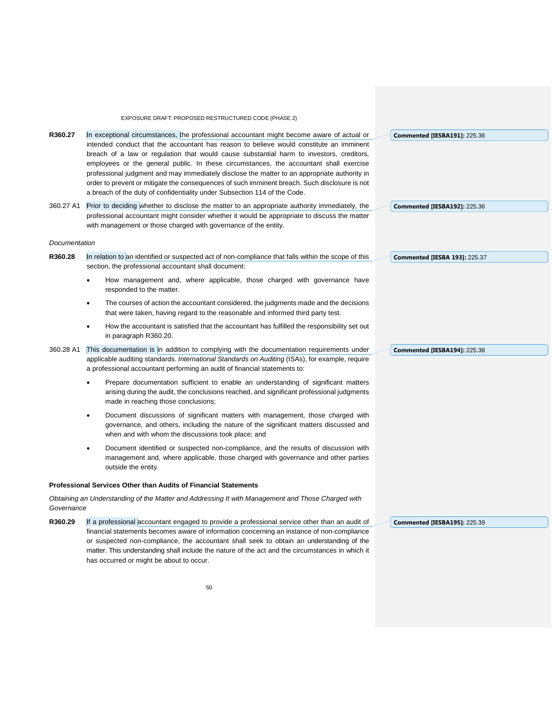|               | EXPOSURE DRAFT: PROPOSED RESTRUCTURED CODE (PHASE 2)                                                                                                                                                                                                                                                                                                                                                                                                                                                                                                                                                                                                     |                                      |
|---------------|----------------------------------------------------------------------------------------------------------------------------------------------------------------------------------------------------------------------------------------------------------------------------------------------------------------------------------------------------------------------------------------------------------------------------------------------------------------------------------------------------------------------------------------------------------------------------------------------------------------------------------------------------------|--------------------------------------|
| R360.27       | In exceptional circumstances, the professional accountant might become aware of actual or<br>intended conduct that the accountant has reason to believe would constitute an imminent<br>breach of a law or regulation that would cause substantial harm to investors, creditors,<br>employees or the general public. In these circumstances, the accountant shall exercise<br>professional judgment and may immediately disclose the matter to an appropriate authority in<br>order to prevent or mitigate the consequences of such imminent breach. Such disclosure is not<br>a breach of the duty of confidentiality under Subsection 114 of the Code. | <b>Commented [IESBA191]: 225.36</b>  |
| 360.27 A1     | Prior to deciding whether to disclose the matter to an appropriate authority immediately, the<br>professional accountant might consider whether it would be appropriate to discuss the matter<br>with management or those charged with governance of the entity.                                                                                                                                                                                                                                                                                                                                                                                         | <b>Commented [IESBA192]: 225.36</b>  |
| Documentation |                                                                                                                                                                                                                                                                                                                                                                                                                                                                                                                                                                                                                                                          |                                      |
| R360.28       | In relation to an identified or suspected act of non-compliance that falls within the scope of this<br>section, the professional accountant shall document:                                                                                                                                                                                                                                                                                                                                                                                                                                                                                              | <b>Commented [IESBA 193]: 225.37</b> |
|               | How management and, where applicable, those charged with governance have<br>٠<br>responded to the matter.                                                                                                                                                                                                                                                                                                                                                                                                                                                                                                                                                |                                      |
|               | The courses of action the accountant considered, the judgments made and the decisions<br>$\bullet$<br>that were taken, having regard to the reasonable and informed third party test.                                                                                                                                                                                                                                                                                                                                                                                                                                                                    |                                      |
|               | How the accountant is satisfied that the accountant has fulfilled the responsibility set out<br>$\bullet$<br>in paragraph R360.20.                                                                                                                                                                                                                                                                                                                                                                                                                                                                                                                       |                                      |
| 360.28 A1     | This documentation is in addition to complying with the documentation requirements under<br>applicable auditing standards. International Standards on Auditing (ISAs), for example, require<br>a professional accountant performing an audit of financial statements to:                                                                                                                                                                                                                                                                                                                                                                                 | <b>Commented [IESBA194]: 225.38</b>  |
|               | Prepare documentation sufficient to enable an understanding of significant matters<br>$\bullet$<br>arising during the audit, the conclusions reached, and significant professional judgments<br>made in reaching those conclusions;                                                                                                                                                                                                                                                                                                                                                                                                                      |                                      |
|               | Document discussions of significant matters with management, those charged with<br>$\bullet$<br>governance, and others, including the nature of the significant matters discussed and<br>when and with whom the discussions took place; and                                                                                                                                                                                                                                                                                                                                                                                                              |                                      |
|               | Document identified or suspected non-compliance, and the results of discussion with<br>$\bullet$<br>management and, where applicable, those charged with governance and other parties<br>outside the entity.                                                                                                                                                                                                                                                                                                                                                                                                                                             |                                      |
|               | <b>Professional Services Other than Audits of Financial Statements</b>                                                                                                                                                                                                                                                                                                                                                                                                                                                                                                                                                                                   |                                      |
| Governance    | Obtaining an Understanding of the Matter and Addressing It with Management and Those Charged with                                                                                                                                                                                                                                                                                                                                                                                                                                                                                                                                                        |                                      |
| R360.29       | If a professional accountant engaged to provide a professional service other than an audit of<br>financial statements becomes aware of information concerning an instance of non-compliance<br>or suspected non-compliance, the accountant shall seek to obtain an understanding of the<br>matter. This understanding shall include the nature of the act and the circumstances in which it                                                                                                                                                                                                                                                              | <b>Commented [IESBA195]: 225.39</b>  |

has occurred or might be about to occur.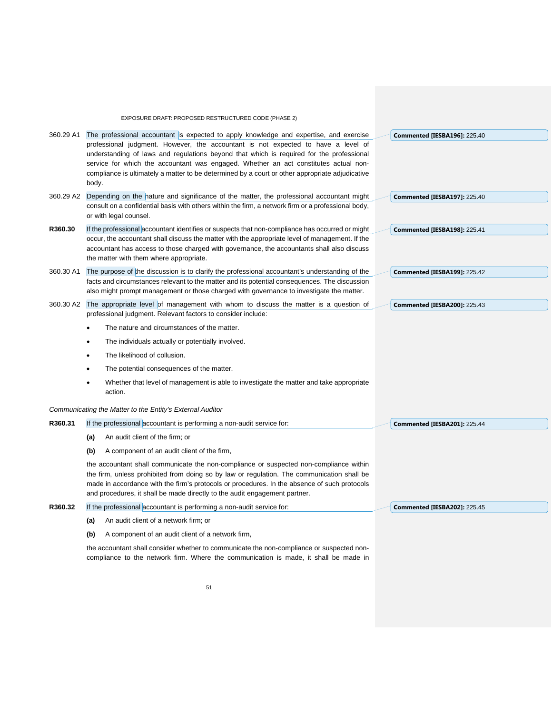|           | EXPOSURE DRAFT: PROPOSED RESTRUCTURED CODE (PHASE 2)                                                                                                                                                                                                                                                                                                                              |                                     |
|-----------|-----------------------------------------------------------------------------------------------------------------------------------------------------------------------------------------------------------------------------------------------------------------------------------------------------------------------------------------------------------------------------------|-------------------------------------|
| 360.29 A1 | The professional accountant is expected to apply knowledge and expertise, and exercise                                                                                                                                                                                                                                                                                            | <b>Commented [IESBA196]: 225.40</b> |
|           | professional judgment. However, the accountant is not expected to have a level of<br>understanding of laws and regulations beyond that which is required for the professional<br>service for which the accountant was engaged. Whether an act constitutes actual non-<br>compliance is ultimately a matter to be determined by a court or other appropriate adjudicative<br>body. |                                     |
| 360.29 A2 | Depending on the nature and significance of the matter, the professional accountant might                                                                                                                                                                                                                                                                                         | <b>Commented [IESBA197]: 225.40</b> |
|           | consult on a confidential basis with others within the firm, a network firm or a professional body,<br>or with legal counsel.                                                                                                                                                                                                                                                     |                                     |
| R360.30   | If the professional accountant identifies or suspects that non-compliance has occurred or might                                                                                                                                                                                                                                                                                   | Commented [IESBA198]: 225.41        |
|           | occur, the accountant shall discuss the matter with the appropriate level of management. If the<br>accountant has access to those charged with governance, the accountants shall also discuss<br>the matter with them where appropriate.                                                                                                                                          |                                     |
| 360.30 A1 | The purpose of the discussion is to clarify the professional accountant's understanding of the                                                                                                                                                                                                                                                                                    | <b>Commented [IESBA199]: 225.42</b> |
|           | facts and circumstances relevant to the matter and its potential consequences. The discussion<br>also might prompt management or those charged with governance to investigate the matter.                                                                                                                                                                                         |                                     |
| 360.30 A2 | The appropriate level of management with whom to discuss the matter is a question of<br>professional judgment. Relevant factors to consider include:                                                                                                                                                                                                                              | <b>Commented [IESBA200]: 225.43</b> |
|           | The nature and circumstances of the matter.                                                                                                                                                                                                                                                                                                                                       |                                     |
|           | The individuals actually or potentially involved.                                                                                                                                                                                                                                                                                                                                 |                                     |
|           | The likelihood of collusion.                                                                                                                                                                                                                                                                                                                                                      |                                     |
|           | The potential consequences of the matter.                                                                                                                                                                                                                                                                                                                                         |                                     |
|           | Whether that level of management is able to investigate the matter and take appropriate<br>action.                                                                                                                                                                                                                                                                                |                                     |
|           | Communicating the Matter to the Entity's External Auditor                                                                                                                                                                                                                                                                                                                         |                                     |
| R360.31   | If the professional accountant is performing a non-audit service for:                                                                                                                                                                                                                                                                                                             | <b>Commented [IESBA201]: 225.44</b> |
|           | An audit client of the firm; or<br>(a)                                                                                                                                                                                                                                                                                                                                            |                                     |
|           | A component of an audit client of the firm,<br>(b)                                                                                                                                                                                                                                                                                                                                |                                     |
|           | the accountant shall communicate the non-compliance or suspected non-compliance within<br>the firm, unless prohibited from doing so by law or regulation. The communication shall be<br>made in accordance with the firm's protocols or procedures. In the absence of such protocols<br>and procedures, it shall be made directly to the audit engagement partner.                |                                     |
| R360.32   | If the professional accountant is performing a non-audit service for:                                                                                                                                                                                                                                                                                                             | <b>Commented [IESBA202]: 225.45</b> |
|           | An audit client of a network firm; or<br>(a)                                                                                                                                                                                                                                                                                                                                      |                                     |
|           | A component of an audit client of a network firm,<br>(b)                                                                                                                                                                                                                                                                                                                          |                                     |
|           | the accountant shall consider whether to communicate the non-compliance or suspected non-<br>compliance to the network firm. Where the communication is made, it shall be made in                                                                                                                                                                                                 |                                     |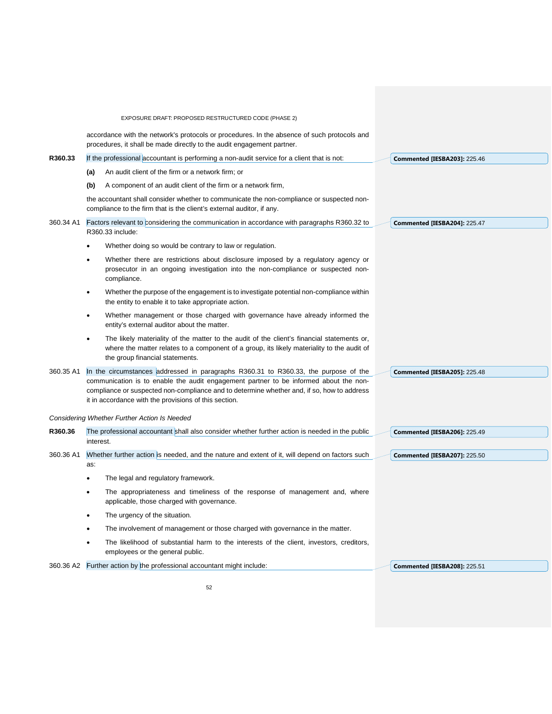| EXPOSURE DRAFT: PROPOSED RESTRUCTURED CODE (PHASE 2)<br>accordance with the network's protocols or procedures. In the absence of such protocols and<br>procedures, it shall be made directly to the audit engagement partner.<br>R360.33<br>If the professional accountant is performing a non-audit service for a client that is not:<br><b>Commented [IESBA203]: 225.46</b><br>An audit client of the firm or a network firm; or<br>(a)<br>A component of an audit client of the firm or a network firm,<br>(b)<br>the accountant shall consider whether to communicate the non-compliance or suspected non-<br>compliance to the firm that is the client's external auditor, if any.<br>360.34 A1<br>Factors relevant to considering the communication in accordance with paragraphs R360.32 to<br><b>Commented [IESBA204]: 225.47</b><br>R360.33 include:<br>Whether doing so would be contrary to law or regulation.<br>Whether there are restrictions about disclosure imposed by a regulatory agency or<br>prosecutor in an ongoing investigation into the non-compliance or suspected non-<br>compliance.<br>Whether the purpose of the engagement is to investigate potential non-compliance within<br>$\bullet$<br>the entity to enable it to take appropriate action.<br>Whether management or those charged with governance have already informed the<br>$\bullet$<br>entity's external auditor about the matter.<br>The likely materiality of the matter to the audit of the client's financial statements or,<br>٠<br>where the matter relates to a component of a group, its likely materiality to the audit of<br>the group financial statements.<br>In the circumstances addressed in paragraphs R360.31 to R360.33, the purpose of the<br>360.35 A1<br><b>Commented [IESBA205]: 225.48</b><br>communication is to enable the audit engagement partner to be informed about the non-<br>compliance or suspected non-compliance and to determine whether and, if so, how to address<br>it in accordance with the provisions of this section.<br>Considering Whether Further Action Is Needed<br>R360.36<br>The professional accountant shall also consider whether further action is needed in the public<br><b>Commented [IESBA206]: 225.49</b><br>interest.<br>Whether further action is needed, and the nature and extent of it, will depend on factors such<br>360.36 A1<br><b>Commented [IESBA207]: 225.50</b><br>as:<br>The legal and regulatory framework.<br>The appropriateness and timeliness of the response of management and, where<br>applicable, those charged with governance.<br>The urgency of the situation.<br>The involvement of management or those charged with governance in the matter.<br>The likelihood of substantial harm to the interests of the client, investors, creditors,<br>employees or the general public.<br>Further action by the professional accountant might include:<br>360.36 A2<br><b>Commented [IESBA208]: 225.51</b> |  |  |
|--------------------------------------------------------------------------------------------------------------------------------------------------------------------------------------------------------------------------------------------------------------------------------------------------------------------------------------------------------------------------------------------------------------------------------------------------------------------------------------------------------------------------------------------------------------------------------------------------------------------------------------------------------------------------------------------------------------------------------------------------------------------------------------------------------------------------------------------------------------------------------------------------------------------------------------------------------------------------------------------------------------------------------------------------------------------------------------------------------------------------------------------------------------------------------------------------------------------------------------------------------------------------------------------------------------------------------------------------------------------------------------------------------------------------------------------------------------------------------------------------------------------------------------------------------------------------------------------------------------------------------------------------------------------------------------------------------------------------------------------------------------------------------------------------------------------------------------------------------------------------------------------------------------------------------------------------------------------------------------------------------------------------------------------------------------------------------------------------------------------------------------------------------------------------------------------------------------------------------------------------------------------------------------------------------------------------------------------------------------------------------------------------------------------------------------------------------------------------------------------------------------------------------------------------------------------------------------------------------------------------------------------------------------------------------------------------------------------------------------------------------------------------------------------------------------------------------------------------------------------------------------------------------------------------------------------------------------------------------------|--|--|
|                                                                                                                                                                                                                                                                                                                                                                                                                                                                                                                                                                                                                                                                                                                                                                                                                                                                                                                                                                                                                                                                                                                                                                                                                                                                                                                                                                                                                                                                                                                                                                                                                                                                                                                                                                                                                                                                                                                                                                                                                                                                                                                                                                                                                                                                                                                                                                                                                                                                                                                                                                                                                                                                                                                                                                                                                                                                                                                                                                                      |  |  |
|                                                                                                                                                                                                                                                                                                                                                                                                                                                                                                                                                                                                                                                                                                                                                                                                                                                                                                                                                                                                                                                                                                                                                                                                                                                                                                                                                                                                                                                                                                                                                                                                                                                                                                                                                                                                                                                                                                                                                                                                                                                                                                                                                                                                                                                                                                                                                                                                                                                                                                                                                                                                                                                                                                                                                                                                                                                                                                                                                                                      |  |  |
|                                                                                                                                                                                                                                                                                                                                                                                                                                                                                                                                                                                                                                                                                                                                                                                                                                                                                                                                                                                                                                                                                                                                                                                                                                                                                                                                                                                                                                                                                                                                                                                                                                                                                                                                                                                                                                                                                                                                                                                                                                                                                                                                                                                                                                                                                                                                                                                                                                                                                                                                                                                                                                                                                                                                                                                                                                                                                                                                                                                      |  |  |
|                                                                                                                                                                                                                                                                                                                                                                                                                                                                                                                                                                                                                                                                                                                                                                                                                                                                                                                                                                                                                                                                                                                                                                                                                                                                                                                                                                                                                                                                                                                                                                                                                                                                                                                                                                                                                                                                                                                                                                                                                                                                                                                                                                                                                                                                                                                                                                                                                                                                                                                                                                                                                                                                                                                                                                                                                                                                                                                                                                                      |  |  |
|                                                                                                                                                                                                                                                                                                                                                                                                                                                                                                                                                                                                                                                                                                                                                                                                                                                                                                                                                                                                                                                                                                                                                                                                                                                                                                                                                                                                                                                                                                                                                                                                                                                                                                                                                                                                                                                                                                                                                                                                                                                                                                                                                                                                                                                                                                                                                                                                                                                                                                                                                                                                                                                                                                                                                                                                                                                                                                                                                                                      |  |  |
|                                                                                                                                                                                                                                                                                                                                                                                                                                                                                                                                                                                                                                                                                                                                                                                                                                                                                                                                                                                                                                                                                                                                                                                                                                                                                                                                                                                                                                                                                                                                                                                                                                                                                                                                                                                                                                                                                                                                                                                                                                                                                                                                                                                                                                                                                                                                                                                                                                                                                                                                                                                                                                                                                                                                                                                                                                                                                                                                                                                      |  |  |
|                                                                                                                                                                                                                                                                                                                                                                                                                                                                                                                                                                                                                                                                                                                                                                                                                                                                                                                                                                                                                                                                                                                                                                                                                                                                                                                                                                                                                                                                                                                                                                                                                                                                                                                                                                                                                                                                                                                                                                                                                                                                                                                                                                                                                                                                                                                                                                                                                                                                                                                                                                                                                                                                                                                                                                                                                                                                                                                                                                                      |  |  |
|                                                                                                                                                                                                                                                                                                                                                                                                                                                                                                                                                                                                                                                                                                                                                                                                                                                                                                                                                                                                                                                                                                                                                                                                                                                                                                                                                                                                                                                                                                                                                                                                                                                                                                                                                                                                                                                                                                                                                                                                                                                                                                                                                                                                                                                                                                                                                                                                                                                                                                                                                                                                                                                                                                                                                                                                                                                                                                                                                                                      |  |  |
|                                                                                                                                                                                                                                                                                                                                                                                                                                                                                                                                                                                                                                                                                                                                                                                                                                                                                                                                                                                                                                                                                                                                                                                                                                                                                                                                                                                                                                                                                                                                                                                                                                                                                                                                                                                                                                                                                                                                                                                                                                                                                                                                                                                                                                                                                                                                                                                                                                                                                                                                                                                                                                                                                                                                                                                                                                                                                                                                                                                      |  |  |
|                                                                                                                                                                                                                                                                                                                                                                                                                                                                                                                                                                                                                                                                                                                                                                                                                                                                                                                                                                                                                                                                                                                                                                                                                                                                                                                                                                                                                                                                                                                                                                                                                                                                                                                                                                                                                                                                                                                                                                                                                                                                                                                                                                                                                                                                                                                                                                                                                                                                                                                                                                                                                                                                                                                                                                                                                                                                                                                                                                                      |  |  |
|                                                                                                                                                                                                                                                                                                                                                                                                                                                                                                                                                                                                                                                                                                                                                                                                                                                                                                                                                                                                                                                                                                                                                                                                                                                                                                                                                                                                                                                                                                                                                                                                                                                                                                                                                                                                                                                                                                                                                                                                                                                                                                                                                                                                                                                                                                                                                                                                                                                                                                                                                                                                                                                                                                                                                                                                                                                                                                                                                                                      |  |  |
|                                                                                                                                                                                                                                                                                                                                                                                                                                                                                                                                                                                                                                                                                                                                                                                                                                                                                                                                                                                                                                                                                                                                                                                                                                                                                                                                                                                                                                                                                                                                                                                                                                                                                                                                                                                                                                                                                                                                                                                                                                                                                                                                                                                                                                                                                                                                                                                                                                                                                                                                                                                                                                                                                                                                                                                                                                                                                                                                                                                      |  |  |
|                                                                                                                                                                                                                                                                                                                                                                                                                                                                                                                                                                                                                                                                                                                                                                                                                                                                                                                                                                                                                                                                                                                                                                                                                                                                                                                                                                                                                                                                                                                                                                                                                                                                                                                                                                                                                                                                                                                                                                                                                                                                                                                                                                                                                                                                                                                                                                                                                                                                                                                                                                                                                                                                                                                                                                                                                                                                                                                                                                                      |  |  |
|                                                                                                                                                                                                                                                                                                                                                                                                                                                                                                                                                                                                                                                                                                                                                                                                                                                                                                                                                                                                                                                                                                                                                                                                                                                                                                                                                                                                                                                                                                                                                                                                                                                                                                                                                                                                                                                                                                                                                                                                                                                                                                                                                                                                                                                                                                                                                                                                                                                                                                                                                                                                                                                                                                                                                                                                                                                                                                                                                                                      |  |  |
|                                                                                                                                                                                                                                                                                                                                                                                                                                                                                                                                                                                                                                                                                                                                                                                                                                                                                                                                                                                                                                                                                                                                                                                                                                                                                                                                                                                                                                                                                                                                                                                                                                                                                                                                                                                                                                                                                                                                                                                                                                                                                                                                                                                                                                                                                                                                                                                                                                                                                                                                                                                                                                                                                                                                                                                                                                                                                                                                                                                      |  |  |
|                                                                                                                                                                                                                                                                                                                                                                                                                                                                                                                                                                                                                                                                                                                                                                                                                                                                                                                                                                                                                                                                                                                                                                                                                                                                                                                                                                                                                                                                                                                                                                                                                                                                                                                                                                                                                                                                                                                                                                                                                                                                                                                                                                                                                                                                                                                                                                                                                                                                                                                                                                                                                                                                                                                                                                                                                                                                                                                                                                                      |  |  |
|                                                                                                                                                                                                                                                                                                                                                                                                                                                                                                                                                                                                                                                                                                                                                                                                                                                                                                                                                                                                                                                                                                                                                                                                                                                                                                                                                                                                                                                                                                                                                                                                                                                                                                                                                                                                                                                                                                                                                                                                                                                                                                                                                                                                                                                                                                                                                                                                                                                                                                                                                                                                                                                                                                                                                                                                                                                                                                                                                                                      |  |  |
|                                                                                                                                                                                                                                                                                                                                                                                                                                                                                                                                                                                                                                                                                                                                                                                                                                                                                                                                                                                                                                                                                                                                                                                                                                                                                                                                                                                                                                                                                                                                                                                                                                                                                                                                                                                                                                                                                                                                                                                                                                                                                                                                                                                                                                                                                                                                                                                                                                                                                                                                                                                                                                                                                                                                                                                                                                                                                                                                                                                      |  |  |
|                                                                                                                                                                                                                                                                                                                                                                                                                                                                                                                                                                                                                                                                                                                                                                                                                                                                                                                                                                                                                                                                                                                                                                                                                                                                                                                                                                                                                                                                                                                                                                                                                                                                                                                                                                                                                                                                                                                                                                                                                                                                                                                                                                                                                                                                                                                                                                                                                                                                                                                                                                                                                                                                                                                                                                                                                                                                                                                                                                                      |  |  |
|                                                                                                                                                                                                                                                                                                                                                                                                                                                                                                                                                                                                                                                                                                                                                                                                                                                                                                                                                                                                                                                                                                                                                                                                                                                                                                                                                                                                                                                                                                                                                                                                                                                                                                                                                                                                                                                                                                                                                                                                                                                                                                                                                                                                                                                                                                                                                                                                                                                                                                                                                                                                                                                                                                                                                                                                                                                                                                                                                                                      |  |  |
|                                                                                                                                                                                                                                                                                                                                                                                                                                                                                                                                                                                                                                                                                                                                                                                                                                                                                                                                                                                                                                                                                                                                                                                                                                                                                                                                                                                                                                                                                                                                                                                                                                                                                                                                                                                                                                                                                                                                                                                                                                                                                                                                                                                                                                                                                                                                                                                                                                                                                                                                                                                                                                                                                                                                                                                                                                                                                                                                                                                      |  |  |
|                                                                                                                                                                                                                                                                                                                                                                                                                                                                                                                                                                                                                                                                                                                                                                                                                                                                                                                                                                                                                                                                                                                                                                                                                                                                                                                                                                                                                                                                                                                                                                                                                                                                                                                                                                                                                                                                                                                                                                                                                                                                                                                                                                                                                                                                                                                                                                                                                                                                                                                                                                                                                                                                                                                                                                                                                                                                                                                                                                                      |  |  |
|                                                                                                                                                                                                                                                                                                                                                                                                                                                                                                                                                                                                                                                                                                                                                                                                                                                                                                                                                                                                                                                                                                                                                                                                                                                                                                                                                                                                                                                                                                                                                                                                                                                                                                                                                                                                                                                                                                                                                                                                                                                                                                                                                                                                                                                                                                                                                                                                                                                                                                                                                                                                                                                                                                                                                                                                                                                                                                                                                                                      |  |  |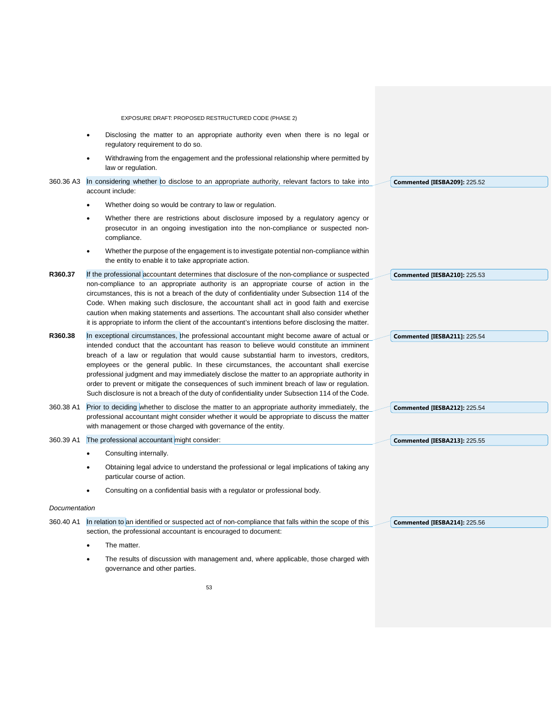|               | EXPOSURE DRAFT: PROPOSED RESTRUCTURED CODE (PHASE 2)                                                                                                                                                                                                                                                                                                                                                                                                                                                                                                                                                                                                                          |                                     |
|---------------|-------------------------------------------------------------------------------------------------------------------------------------------------------------------------------------------------------------------------------------------------------------------------------------------------------------------------------------------------------------------------------------------------------------------------------------------------------------------------------------------------------------------------------------------------------------------------------------------------------------------------------------------------------------------------------|-------------------------------------|
|               | Disclosing the matter to an appropriate authority even when there is no legal or<br>regulatory requirement to do so.                                                                                                                                                                                                                                                                                                                                                                                                                                                                                                                                                          |                                     |
|               | Withdrawing from the engagement and the professional relationship where permitted by<br>$\bullet$<br>law or regulation.                                                                                                                                                                                                                                                                                                                                                                                                                                                                                                                                                       |                                     |
| 360.36 A3     | In considering whether to disclose to an appropriate authority, relevant factors to take into<br>account include:                                                                                                                                                                                                                                                                                                                                                                                                                                                                                                                                                             | <b>Commented [IESBA209]: 225.52</b> |
|               | Whether doing so would be contrary to law or regulation.                                                                                                                                                                                                                                                                                                                                                                                                                                                                                                                                                                                                                      |                                     |
|               | Whether there are restrictions about disclosure imposed by a regulatory agency or<br>٠<br>prosecutor in an ongoing investigation into the non-compliance or suspected non-<br>compliance.                                                                                                                                                                                                                                                                                                                                                                                                                                                                                     |                                     |
|               | Whether the purpose of the engagement is to investigate potential non-compliance within<br>$\bullet$<br>the entity to enable it to take appropriate action.                                                                                                                                                                                                                                                                                                                                                                                                                                                                                                                   |                                     |
| R360.37       | If the professional accountant determines that disclosure of the non-compliance or suspected<br>non-compliance to an appropriate authority is an appropriate course of action in the<br>circumstances, this is not a breach of the duty of confidentiality under Subsection 114 of the<br>Code. When making such disclosure, the accountant shall act in good faith and exercise<br>caution when making statements and assertions. The accountant shall also consider whether<br>it is appropriate to inform the client of the accountant's intentions before disclosing the matter.                                                                                          | <b>Commented [IESBA210]: 225.53</b> |
| R360.38       | In exceptional circumstances, the professional accountant might become aware of actual or<br>intended conduct that the accountant has reason to believe would constitute an imminent<br>breach of a law or regulation that would cause substantial harm to investors, creditors,<br>employees or the general public. In these circumstances, the accountant shall exercise<br>professional judgment and may immediately disclose the matter to an appropriate authority in<br>order to prevent or mitigate the consequences of such imminent breach of law or regulation.<br>Such disclosure is not a breach of the duty of confidentiality under Subsection 114 of the Code. | <b>Commented [IESBA211]: 225.54</b> |
| 360.38 A1     | Prior to deciding whether to disclose the matter to an appropriate authority immediately, the<br>professional accountant might consider whether it would be appropriate to discuss the matter<br>with management or those charged with governance of the entity.                                                                                                                                                                                                                                                                                                                                                                                                              | <b>Commented [IESBA212]: 225.54</b> |
| 360.39 A1     | The professional accountant might consider:                                                                                                                                                                                                                                                                                                                                                                                                                                                                                                                                                                                                                                   | <b>Commented [IESBA213]: 225.55</b> |
|               | Consulting internally.                                                                                                                                                                                                                                                                                                                                                                                                                                                                                                                                                                                                                                                        |                                     |
|               | Obtaining legal advice to understand the professional or legal implications of taking any<br>٠<br>particular course of action.                                                                                                                                                                                                                                                                                                                                                                                                                                                                                                                                                |                                     |
|               | Consulting on a confidential basis with a regulator or professional body.                                                                                                                                                                                                                                                                                                                                                                                                                                                                                                                                                                                                     |                                     |
| Documentation |                                                                                                                                                                                                                                                                                                                                                                                                                                                                                                                                                                                                                                                                               |                                     |
| 360.40 A1     | In relation to an identified or suspected act of non-compliance that falls within the scope of this<br>section, the professional accountant is encouraged to document:                                                                                                                                                                                                                                                                                                                                                                                                                                                                                                        | <b>Commented [IESBA214]: 225.56</b> |
|               | The matter.                                                                                                                                                                                                                                                                                                                                                                                                                                                                                                                                                                                                                                                                   |                                     |
|               | The results of discussion with management and, where applicable, those charged with<br>governance and other parties.                                                                                                                                                                                                                                                                                                                                                                                                                                                                                                                                                          |                                     |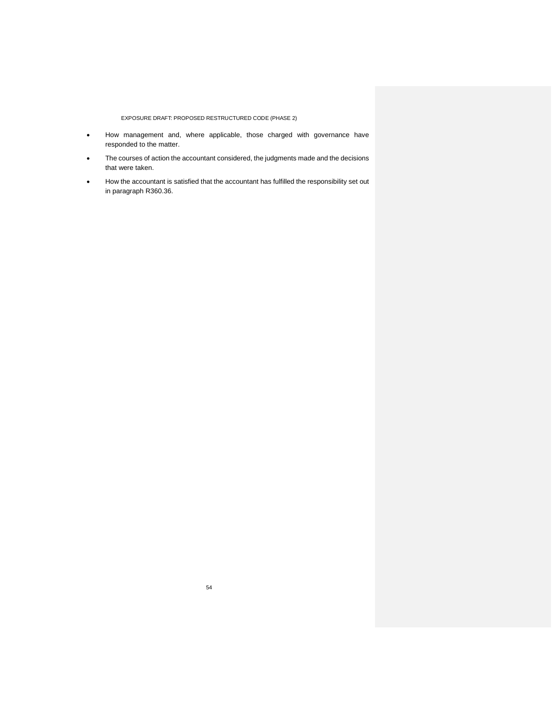- How management and, where applicable, those charged with governance have responded to the matter.
- The courses of action the accountant considered, the judgments made and the decisions that were taken.
- How the accountant is satisfied that the accountant has fulfilled the responsibility set out in paragraph R360.36.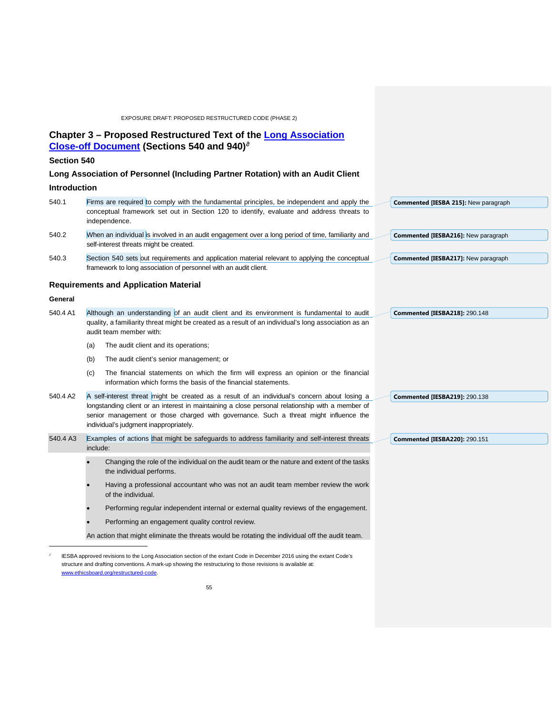# **Chapter 3 – Proposed Restructured Text of the [Long Association](https://www.ifac.org/publications-resources/close-changes-code-addressing-long-association-personnel-audit-or-assurance)  [Close-off Document](https://www.ifac.org/publications-resources/close-changes-code-addressing-long-association-personnel-audit-or-assurance) (Sections 540 and 940)**[∂](#page-54-0)

## **Section 540**

# **Long Association of Personnel (Including Partner Rotation) with an Audit Client**

## **Introduction**

| 540.1    | Firms are required to comply with the fundamental principles, be independent and apply the<br>conceptual framework set out in Section 120 to identify, evaluate and address threats to                                                                                                                                               | Commented [IESBA 215]: New paragraph |
|----------|--------------------------------------------------------------------------------------------------------------------------------------------------------------------------------------------------------------------------------------------------------------------------------------------------------------------------------------|--------------------------------------|
|          | independence.                                                                                                                                                                                                                                                                                                                        |                                      |
| 540.2    | When an individual is involved in an audit engagement over a long period of time, familiarity and<br>self-interest threats might be created.                                                                                                                                                                                         | Commented [IESBA216]: New paragraph  |
| 540.3    | Section 540 sets out requirements and application material relevant to applying the conceptual                                                                                                                                                                                                                                       | Commented [IESBA217]: New paragraph  |
|          | framework to long association of personnel with an audit client.                                                                                                                                                                                                                                                                     |                                      |
|          | <b>Requirements and Application Material</b>                                                                                                                                                                                                                                                                                         |                                      |
| General  |                                                                                                                                                                                                                                                                                                                                      |                                      |
| 540.4 A1 | Although an understanding of an audit client and its environment is fundamental to audit<br>quality, a familiarity threat might be created as a result of an individual's long association as an<br>audit team member with:                                                                                                          | <b>Commented [IESBA218]: 290.148</b> |
|          | The audit client and its operations;<br>(a)                                                                                                                                                                                                                                                                                          |                                      |
|          | The audit client's senior management; or<br>(b)                                                                                                                                                                                                                                                                                      |                                      |
|          | The financial statements on which the firm will express an opinion or the financial<br>(c)<br>information which forms the basis of the financial statements.                                                                                                                                                                         |                                      |
| 540.4 A2 | A self-interest threat might be created as a result of an individual's concern about losing a<br>longstanding client or an interest in maintaining a close personal relationship with a member of<br>senior management or those charged with governance. Such a threat might influence the<br>individual's judgment inappropriately. | <b>Commented [IESBA219]: 290.138</b> |
| 540.4 A3 | Examples of actions that might be safeguards to address familiarity and self-interest threats<br>include:                                                                                                                                                                                                                            | <b>Commented [IESBA220]: 290.151</b> |
|          | Changing the role of the individual on the audit team or the nature and extent of the tasks<br>the individual performs.                                                                                                                                                                                                              |                                      |
|          | Having a professional accountant who was not an audit team member review the work<br>of the individual.                                                                                                                                                                                                                              |                                      |
|          | Performing regular independent internal or external quality reviews of the engagement.                                                                                                                                                                                                                                               |                                      |
|          | Performing an engagement quality control review.                                                                                                                                                                                                                                                                                     |                                      |
|          | An action that might eliminate the threats would be rotating the individual off the audit team.                                                                                                                                                                                                                                      |                                      |
|          |                                                                                                                                                                                                                                                                                                                                      |                                      |
|          | IESBA approved revisions to the Long Association section of the extant Code in December 2016 using the extant Code's                                                                                                                                                                                                                 |                                      |

<span id="page-54-0"></span>structure and drafting conventions. A mark-up showing the restructuring to those revisions is available at: [www.ethicsboard.org/restructured-code.](http://www.ethicsboard.org/restructured-code)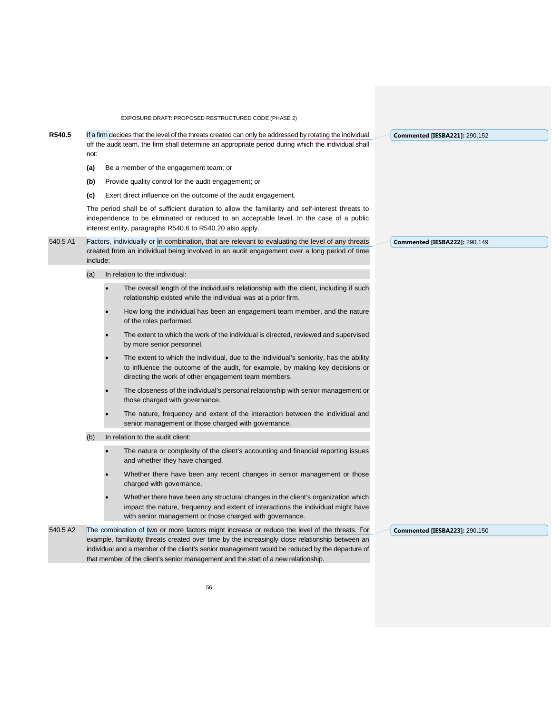**R540.5** If a firm decides that the level of the threats created can only be addressed by rotating the individual off the audit team, the firm shall determine an appropriate period during which the individual shall not:

- **(a)** Be a member of the engagement team; or
- **(b)** Provide quality control for the audit engagement; or
- **(c)** Exert direct influence on the outcome of the audit engagement.

The period shall be of sufficient duration to allow the familiarity and self-interest threats to independence to be eliminated or reduced to an acceptable level. In the case of a public interest entity, paragraphs R540.6 to R540.20 also apply.

- 540.5 A1 Factors, individually or in combination, that are relevant to evaluating the level of any threats created from an individual being involved in an audit engagement over a long period of time include:
	- (a) In relation to the individual:
		- The overall length of the individual's relationship with the client, including if such relationship existed while the individual was at a prior firm.
		- How long the individual has been an engagement team member, and the nature of the roles performed.
		- The extent to which the work of the individual is directed, reviewed and supervised by more senior personnel.
		- The extent to which the individual, due to the individual's seniority, has the ability to influence the outcome of the audit, for example, by making key decisions or directing the work of other engagement team members.
		- The closeness of the individual's personal relationship with senior management or those charged with governance.
		- The nature, frequency and extent of the interaction between the individual and senior management or those charged with governance.
	- (b) In relation to the audit client:
		- The nature or complexity of the client's accounting and financial reporting issues and whether they have changed.
		- Whether there have been any recent changes in senior management or those charged with governance.
		- Whether there have been any structural changes in the client's organization which impact the nature, frequency and extent of interactions the individual might have with senior management or those charged with governance.

540.5 A2 The combination of two or more factors might increase or reduce the level of the threats. For example, familiarity threats created over time by the increasingly close relationship between an individual and a member of the client's senior management would be reduced by the departure of that member of the client's senior management and the start of a new relationship.

**Commented [IESBA221]:** 290.152

**Commented [IESBA222]:** 290.149

**Commented [IESBA223]:** 290.150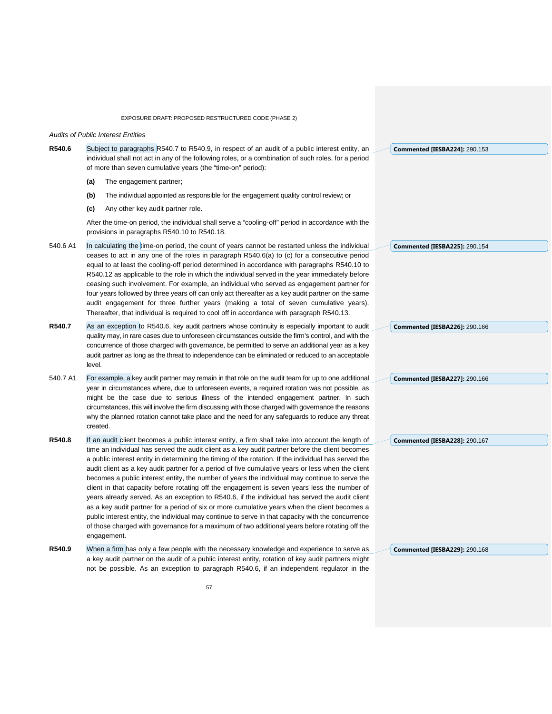EXPOSURE DRAFT: PROPOSED RESTRUCTURED CODE (PHASE 2) *Audits of Public Interest Entities* **R540.6** Subject to paragraphs R540.7 to R540.9, in respect of an audit of a public interest entity, an individual shall not act in any of the following roles, or a combination of such roles, for a period of more than seven cumulative years (the "time-on" period): **(a)** The engagement partner; **(b)** The individual appointed as responsible for the engagement quality control review; or **(c)** Any other key audit partner role. After the time-on period, the individual shall serve a "cooling-off" period in accordance with the provisions in paragraphs R540.10 to R540.18. 540.6 A1 In calculating the time-on period, the count of years cannot be restarted unless the individual ceases to act in any one of the roles in paragraph R540.6(a) to (c) for a consecutive period equal to at least the cooling-off period determined in accordance with paragraphs R540.10 to R540.12 as applicable to the role in which the individual served in the year immediately before ceasing such involvement. For example, an individual who served as engagement partner for four years followed by three years off can only act thereafter as a key audit partner on the same audit engagement for three further years (making a total of seven cumulative years). Thereafter, that individual is required to cool off in accordance with paragraph R540.13. **R540.7** As an exception to R540.6, key audit partners whose continuity is especially important to audit quality may, in rare cases due to unforeseen circumstances outside the firm's control, and with the concurrence of those charged with governance, be permitted to serve an additional year as a key audit partner as long as the threat to independence can be eliminated or reduced to an acceptable level. 540.7 A1 For example, a key audit partner may remain in that role on the audit team for up to one additional year in circumstances where, due to unforeseen events, a required rotation was not possible, as might be the case due to serious illness of the intended engagement partner. In such circumstances, this will involve the firm discussing with those charged with governance the reasons why the planned rotation cannot take place and the need for any safeguards to reduce any threat created. **R540.8** If an audit client becomes a public interest entity, a firm shall take into account the length of time an individual has served the audit client as a key audit partner before the client becomes a public interest entity in determining the timing of the rotation. If the individual has served the audit client as a key audit partner for a period of five cumulative years or less when the client becomes a public interest entity, the number of years the individual may continue to serve the client in that capacity before rotating off the engagement is seven years less the number of years already served. As an exception to R540.6, if the individual has served the audit client as a key audit partner for a period of six or more cumulative years when the client becomes a public interest entity, the individual may continue to serve in that capacity with the concurrence of those charged with governance for a maximum of two additional years before rotating off the engagement. **R540.9** When a firm has only a few people with the necessary knowledge and experience to serve as a key audit partner on the audit of a public interest entity, rotation of key audit partners might not be possible. As an exception to paragraph R540.6, if an independent regulator in the **Commented [IESBA224]:** 290.153 **Commented [IESBA225]:** 290.154 **Commented [IESBA226]:** 290.166 **Commented [IESBA227]:** 290.166 **Commented [IESBA228]:** 290.167 **Commented [IESBA229]:** 290.168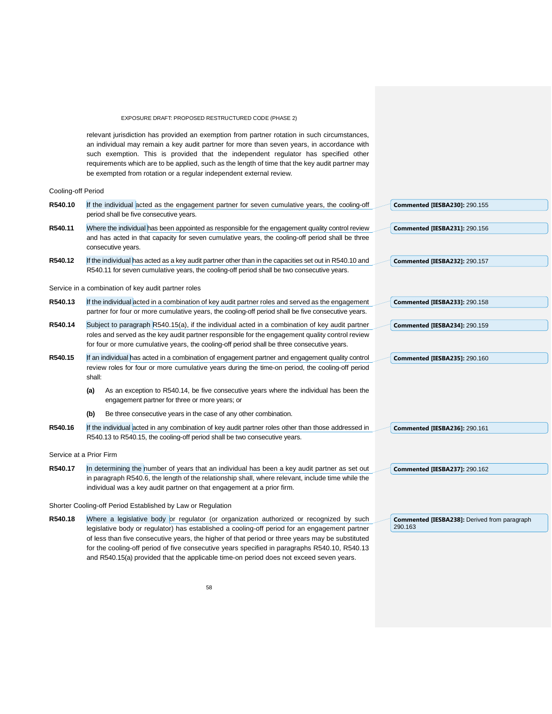relevant jurisdiction has provided an exemption from partner rotation in such circumstances, an individual may remain a key audit partner for more than seven years, in accordance with such exemption. This is provided that the independent regulator has specified other requirements which are to be applied, such as the length of time that the key audit partner may be exempted from rotation or a regular independent external review.

#### Cooling-off Period

| R540.10 | If the individual acted as the engagement partner for seven cumulative years, the cooling-off<br><b>Commented [IESBA230]: 290.155</b><br>period shall be five consecutive years.                                                                                                                                                  |  |  |  |  |  |  |
|---------|-----------------------------------------------------------------------------------------------------------------------------------------------------------------------------------------------------------------------------------------------------------------------------------------------------------------------------------|--|--|--|--|--|--|
| R540.11 | Where the individual has been appointed as responsible for the engagement quality control review<br>Commented [IESBA231]: 290.156<br>and has acted in that capacity for seven cumulative years, the cooling-off period shall be three<br>consecutive years.                                                                       |  |  |  |  |  |  |
| R540.12 | If the individual has acted as a key audit partner other than in the capacities set out in R540.10 and<br>Commented [IESBA232]: 290.157<br>R540.11 for seven cumulative years, the cooling-off period shall be two consecutive years.                                                                                             |  |  |  |  |  |  |
|         | Service in a combination of key audit partner roles                                                                                                                                                                                                                                                                               |  |  |  |  |  |  |
| R540.13 | If the individual acted in a combination of key audit partner roles and served as the engagement<br><b>Commented [IESBA233]: 290.158</b><br>partner for four or more cumulative years, the cooling-off period shall be five consecutive years.                                                                                    |  |  |  |  |  |  |
| R540.14 | Subject to paragraph R540.15(a), if the individual acted in a combination of key audit partner<br>Commented [IESBA234]: 290.159<br>roles and served as the key audit partner responsible for the engagement quality control review<br>for four or more cumulative years, the cooling-off period shall be three consecutive years. |  |  |  |  |  |  |
| R540.15 | If an individual has acted in a combination of engagement partner and engagement quality control<br><b>Commented [IESBA235]: 290.160</b><br>review roles for four or more cumulative years during the time-on period, the cooling-off period<br>shall:                                                                            |  |  |  |  |  |  |
|         | As an exception to R540.14, be five consecutive years where the individual has been the<br>(a)<br>engagement partner for three or more years; or                                                                                                                                                                                  |  |  |  |  |  |  |
|         | Be three consecutive years in the case of any other combination.<br>(b)                                                                                                                                                                                                                                                           |  |  |  |  |  |  |
| R540.16 | If the individual acted in any combination of key audit partner roles other than those addressed in<br><b>Commented [IESBA236]: 290.161</b><br>R540.13 to R540.15, the cooling-off period shall be two consecutive years.                                                                                                         |  |  |  |  |  |  |
|         | Service at a Prior Firm                                                                                                                                                                                                                                                                                                           |  |  |  |  |  |  |
| R540.17 | In determining the number of years that an individual has been a key audit partner as set out<br><b>Commented [IESBA237]: 290.162</b><br>in paragraph R540.6, the length of the relationship shall, where relevant, include time while the<br>individual was a key audit partner on that engagement at a prior firm.              |  |  |  |  |  |  |
|         | Shorter Cooling-off Period Established by Law or Regulation                                                                                                                                                                                                                                                                       |  |  |  |  |  |  |
|         | $\blacksquare$ . And $\blacksquare$ . Alternative the state of the state of the construction of the state of the state of the state of the state of the state of the state of the state of the state of the state of the state of the state o                                                                                     |  |  |  |  |  |  |

**R540.18** Where a legislative body or regulator (or organization authorized or recognized by such legislative body or regulator) has established a cooling-off period for an engagement partner of less than five consecutive years, the higher of that period or three years may be substituted for the cooling-off period of five consecutive years specified in paragraphs R540.10, R540.13 and R540.15(a) provided that the applicable time-on period does not exceed seven years.

**Commented [IESBA238]:** Derived from paragraph 290.163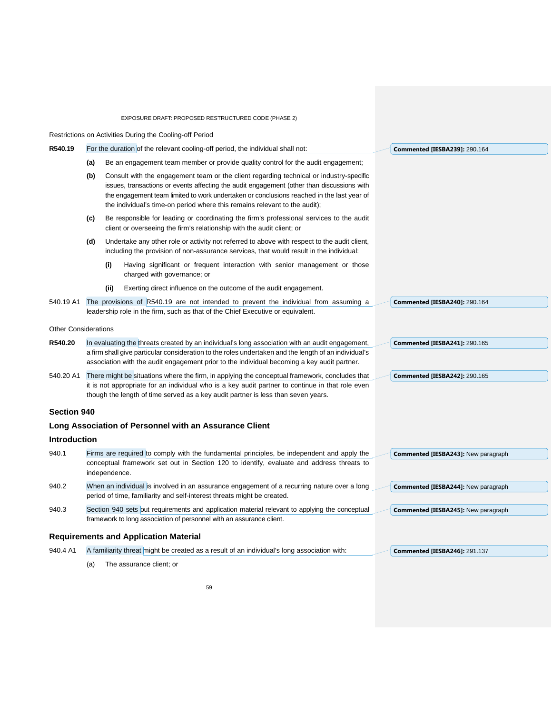|                             |                                                                                                                                                                                                                                                                                                                                                                         |               | Restrictions on Activities During the Cooling-off Period                                                                                                                                                                                                                                |  |                                            |
|-----------------------------|-------------------------------------------------------------------------------------------------------------------------------------------------------------------------------------------------------------------------------------------------------------------------------------------------------------------------------------------------------------------------|---------------|-----------------------------------------------------------------------------------------------------------------------------------------------------------------------------------------------------------------------------------------------------------------------------------------|--|--------------------------------------------|
| R540.19                     |                                                                                                                                                                                                                                                                                                                                                                         |               | For the duration of the relevant cooling-off period, the individual shall not:                                                                                                                                                                                                          |  | <b>Commented [IESBA239]: 290.164</b>       |
|                             | Be an engagement team member or provide quality control for the audit engagement;<br>(a)                                                                                                                                                                                                                                                                                |               |                                                                                                                                                                                                                                                                                         |  |                                            |
|                             | Consult with the engagement team or the client regarding technical or industry-specific<br>(b)<br>issues, transactions or events affecting the audit engagement (other than discussions with<br>the engagement team limited to work undertaken or conclusions reached in the last year of<br>the individual's time-on period where this remains relevant to the audit); |               |                                                                                                                                                                                                                                                                                         |  |                                            |
|                             | (c)                                                                                                                                                                                                                                                                                                                                                                     |               | Be responsible for leading or coordinating the firm's professional services to the audit<br>client or overseeing the firm's relationship with the audit client; or                                                                                                                      |  |                                            |
|                             | (d)                                                                                                                                                                                                                                                                                                                                                                     |               | Undertake any other role or activity not referred to above with respect to the audit client,<br>including the provision of non-assurance services, that would result in the individual:                                                                                                 |  |                                            |
|                             |                                                                                                                                                                                                                                                                                                                                                                         | (i)           | Having significant or frequent interaction with senior management or those<br>charged with governance; or                                                                                                                                                                               |  |                                            |
|                             |                                                                                                                                                                                                                                                                                                                                                                         | (ii)          | Exerting direct influence on the outcome of the audit engagement.                                                                                                                                                                                                                       |  |                                            |
| 540.19 A1                   |                                                                                                                                                                                                                                                                                                                                                                         |               | The provisions of R540.19 are not intended to prevent the individual from assuming a<br>leadership role in the firm, such as that of the Chief Executive or equivalent.                                                                                                                 |  | <b>Commented [IESBA240]: 290.164</b>       |
| <b>Other Considerations</b> |                                                                                                                                                                                                                                                                                                                                                                         |               |                                                                                                                                                                                                                                                                                         |  |                                            |
| R540.20                     | In evaluating the threats created by an individual's long association with an audit engagement,<br>a firm shall give particular consideration to the roles undertaken and the length of an individual's<br>association with the audit engagement prior to the individual becoming a key audit partner.                                                                  |               |                                                                                                                                                                                                                                                                                         |  | <b>Commented [IESBA241]: 290.165</b>       |
| 540.20 A1                   |                                                                                                                                                                                                                                                                                                                                                                         |               | There might be situations where the firm, in applying the conceptual framework, concludes that<br>it is not appropriate for an individual who is a key audit partner to continue in that role even<br>though the length of time served as a key audit partner is less than seven years. |  | <b>Commented [IESBA242]: 290.165</b>       |
| Section 940                 |                                                                                                                                                                                                                                                                                                                                                                         |               |                                                                                                                                                                                                                                                                                         |  |                                            |
|                             |                                                                                                                                                                                                                                                                                                                                                                         |               | Long Association of Personnel with an Assurance Client                                                                                                                                                                                                                                  |  |                                            |
| Introduction                |                                                                                                                                                                                                                                                                                                                                                                         |               |                                                                                                                                                                                                                                                                                         |  |                                            |
| 940.1                       |                                                                                                                                                                                                                                                                                                                                                                         | independence. | Firms are required to comply with the fundamental principles, be independent and apply the<br>conceptual framework set out in Section 120 to identify, evaluate and address threats to                                                                                                  |  | <b>Commented [IESBA243]: New paragraph</b> |
| 940.2                       |                                                                                                                                                                                                                                                                                                                                                                         |               | When an individual is involved in an assurance engagement of a recurring nature over a long<br>period of time, familiarity and self-interest threats might be created.                                                                                                                  |  | Commented [IESBA244]: New paragraph        |
| 940.3                       |                                                                                                                                                                                                                                                                                                                                                                         |               | Section 940 sets out requirements and application material relevant to applying the conceptual<br>framework to long association of personnel with an assurance client.                                                                                                                  |  | Commented [IESBA245]: New paragraph        |
|                             |                                                                                                                                                                                                                                                                                                                                                                         |               | <b>Requirements and Application Material</b>                                                                                                                                                                                                                                            |  |                                            |
| 940.4 A1                    |                                                                                                                                                                                                                                                                                                                                                                         |               | A familiarity threat might be created as a result of an individual's long association with:                                                                                                                                                                                             |  | <b>Commented [IESBA246]: 291.137</b>       |
|                             | (a)                                                                                                                                                                                                                                                                                                                                                                     |               | The assurance client; or                                                                                                                                                                                                                                                                |  |                                            |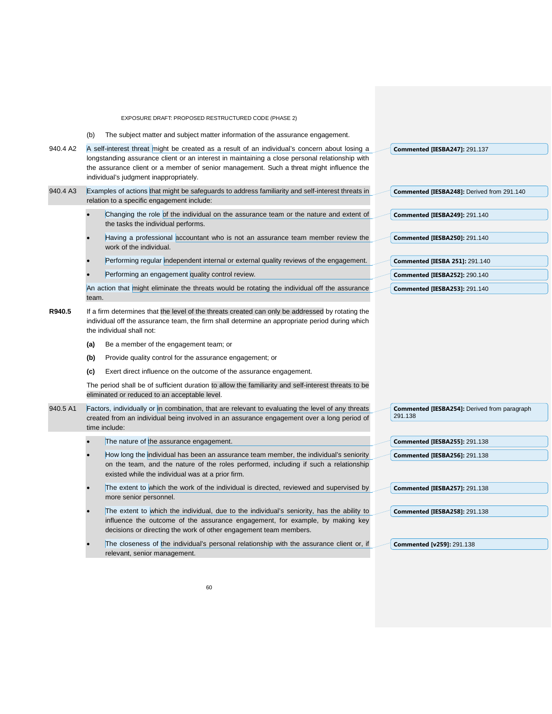(b) The subject matter and subject matter information of the assurance engagement.

| 940.4 A2 | A self-interest threat might be created as a result of an individual's concern about losing a<br><b>Commented [IESBA247]: 291.137</b><br>longstanding assurance client or an interest in maintaining a close personal relationship with<br>the assurance client or a member of senior management. Such a threat might influence the<br>individual's judgment inappropriately. |                                                                                                                                                                                                                                                 |  |                                                                |  |  |
|----------|-------------------------------------------------------------------------------------------------------------------------------------------------------------------------------------------------------------------------------------------------------------------------------------------------------------------------------------------------------------------------------|-------------------------------------------------------------------------------------------------------------------------------------------------------------------------------------------------------------------------------------------------|--|----------------------------------------------------------------|--|--|
| 940.4 A3 |                                                                                                                                                                                                                                                                                                                                                                               | Examples of actions that might be safeguards to address familiarity and self-interest threats in<br>relation to a specific engagement include:                                                                                                  |  | Commented [IESBA248]: Derived from 291.140                     |  |  |
|          |                                                                                                                                                                                                                                                                                                                                                                               | Changing the role of the individual on the assurance team or the nature and extent of<br>the tasks the individual performs.                                                                                                                     |  | <b>Commented [IESBA249]: 291.140</b>                           |  |  |
|          |                                                                                                                                                                                                                                                                                                                                                                               | Having a professional accountant who is not an assurance team member review the<br>work of the individual.                                                                                                                                      |  | <b>Commented [IESBA250]: 291.140</b>                           |  |  |
|          |                                                                                                                                                                                                                                                                                                                                                                               | Performing regular independent internal or external quality reviews of the engagement.                                                                                                                                                          |  | <b>Commented [IESBA 251]: 291.140</b>                          |  |  |
|          |                                                                                                                                                                                                                                                                                                                                                                               | Performing an engagement quality control review.                                                                                                                                                                                                |  | <b>Commented [IESBA252]: 290.140</b>                           |  |  |
|          | team.                                                                                                                                                                                                                                                                                                                                                                         | An action that might eliminate the threats would be rotating the individual off the assurance                                                                                                                                                   |  | <b>Commented [IESBA253]: 291.140</b>                           |  |  |
| R940.5   |                                                                                                                                                                                                                                                                                                                                                                               | If a firm determines that the level of the threats created can only be addressed by rotating the<br>individual off the assurance team, the firm shall determine an appropriate period during which<br>the individual shall not:                 |  |                                                                |  |  |
|          | (a)                                                                                                                                                                                                                                                                                                                                                                           | Be a member of the engagement team; or                                                                                                                                                                                                          |  |                                                                |  |  |
|          | (b)                                                                                                                                                                                                                                                                                                                                                                           | Provide quality control for the assurance engagement; or                                                                                                                                                                                        |  |                                                                |  |  |
|          | (c)                                                                                                                                                                                                                                                                                                                                                                           | Exert direct influence on the outcome of the assurance engagement.                                                                                                                                                                              |  |                                                                |  |  |
|          |                                                                                                                                                                                                                                                                                                                                                                               | The period shall be of sufficient duration to allow the familiarity and self-interest threats to be<br>eliminated or reduced to an acceptable level.                                                                                            |  |                                                                |  |  |
| 940.5 A1 |                                                                                                                                                                                                                                                                                                                                                                               | Factors, individually or in combination, that are relevant to evaluating the level of any threats<br>created from an individual being involved in an assurance engagement over a long period of<br>time include:                                |  | <b>Commented [IESBA254]: Derived from paragraph</b><br>291.138 |  |  |
|          |                                                                                                                                                                                                                                                                                                                                                                               | The nature of the assurance engagement.                                                                                                                                                                                                         |  | <b>Commented [IESBA255]: 291.138</b>                           |  |  |
|          |                                                                                                                                                                                                                                                                                                                                                                               | How long the individual has been an assurance team member, the individual's seniority<br>on the team, and the nature of the roles performed, including if such a relationship<br>existed while the individual was at a prior firm.              |  | <b>Commented [IESBA256]: 291.138</b>                           |  |  |
|          |                                                                                                                                                                                                                                                                                                                                                                               | The extent to which the work of the individual is directed, reviewed and supervised by<br>more senior personnel.                                                                                                                                |  | <b>Commented [IESBA257]: 291.138</b>                           |  |  |
|          |                                                                                                                                                                                                                                                                                                                                                                               | The extent to which the individual, due to the individual's seniority, has the ability to<br>influence the outcome of the assurance engagement, for example, by making key<br>decisions or directing the work of other engagement team members. |  | <b>Commented [IESBA258]: 291.138</b>                           |  |  |
|          |                                                                                                                                                                                                                                                                                                                                                                               | The closeness of the individual's personal relationship with the assurance client or, if<br>relevant, senior management.                                                                                                                        |  | <b>Commented [v259]: 291.138</b>                               |  |  |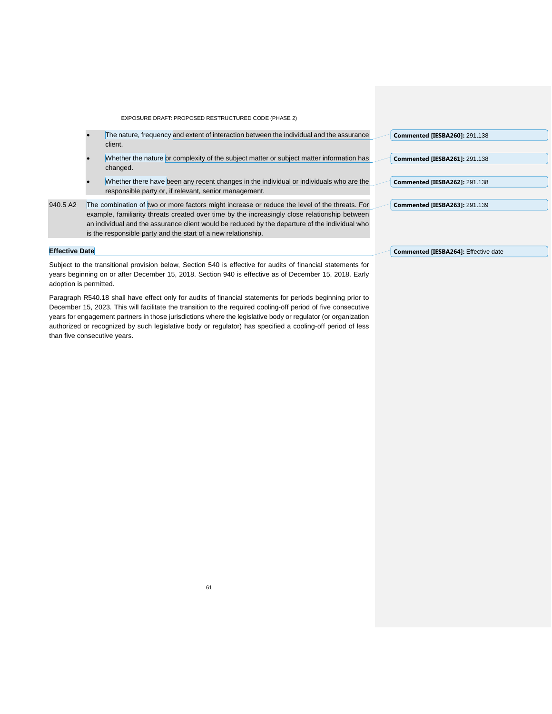- The nature, frequency and extent of interaction between the individual and the assurance client.
- Whether the nature or complexity of the subject matter or subject matter information has changed.
- Whether there have been any recent changes in the individual or individuals who are the responsible party or, if relevant, senior management.

940.5 A2 The combination of two or more factors might increase or reduce the level of the threats. For example, familiarity threats created over time by the increasingly close relationship between an individual and the assurance client would be reduced by the departure of the individual who is the responsible party and the start of a new relationship.

#### **Effective Date**

Subject to the transitional provision below, Section 540 is effective for audits of financial statements for years beginning on or after December 15, 2018. Section 940 is effective as of December 15, 2018. Early adoption is permitted.

Paragraph R540.18 shall have effect only for audits of financial statements for periods beginning prior to December 15, 2023. This will facilitate the transition to the required cooling-off period of five consecutive years for engagement partners in those jurisdictions where the legislative body or regulator (or organization authorized or recognized by such legislative body or regulator) has specified a cooling-off period of less than five consecutive years.

| <b>Commented [IESBA260]: 291.138</b> |  |
|--------------------------------------|--|
| <b>Commented [IESBA261]: 291.138</b> |  |
|                                      |  |
| <b>Commented [IESBA262]: 291.138</b> |  |
| <b>Commented [IESBA263]: 291.139</b> |  |

#### **Commented [IESBA264]:** Effective date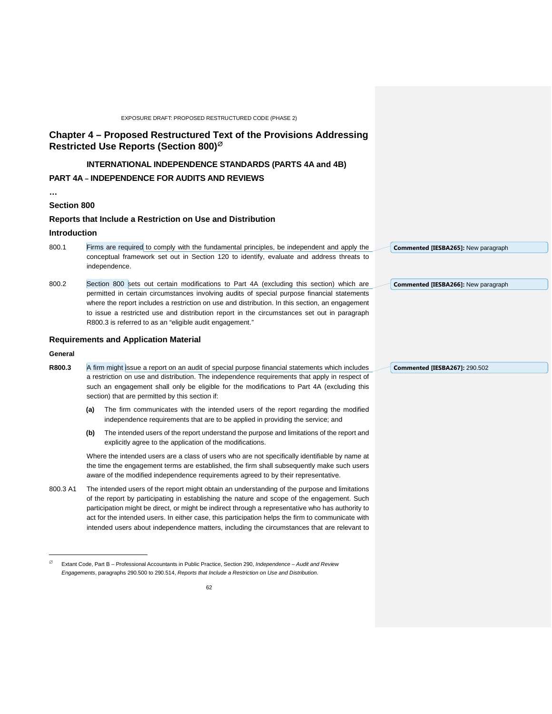## **Chapter 4 – Proposed Restructured Text of the Provisions Addressing Restricted Use Reports (Section 800)**[∅](#page-61-0)

# **INTERNATIONAL INDEPENDENCE STANDARDS (PARTS 4A and 4B)**

### **PART 4A – INDEPENDENCE FOR AUDITS AND REVIEWS**

# **Section 800**

**…**

### **Reports that Include a Restriction on Use and Distribution**

#### **Introduction**

- 800.1 Firms are required to comply with the fundamental principles, be independent and apply the conceptual framework set out in Section 120 to identify, evaluate and address threats to independence.
- 800.2 Section 800 sets out certain modifications to Part 4A (excluding this section) which are permitted in certain circumstances involving audits of special purpose financial statements where the report includes a restriction on use and distribution. In this section, an engagement to issue a restricted use and distribution report in the circumstances set out in paragraph R800.3 is referred to as an "eligible audit engagement."

#### **Requirements and Application Material**

#### **General**

1

- **R800.3** A firm might issue a report on an audit of special purpose financial statements which includes a restriction on use and distribution. The independence requirements that apply in respect of such an engagement shall only be eligible for the modifications to Part 4A (excluding this section) that are permitted by this section if:
	- **(a)** The firm communicates with the intended users of the report regarding the modified independence requirements that are to be applied in providing the service; and
	- **(b)** The intended users of the report understand the purpose and limitations of the report and explicitly agree to the application of the modifications.

Where the intended users are a class of users who are not specifically identifiable by name at the time the engagement terms are established, the firm shall subsequently make such users aware of the modified independence requirements agreed to by their representative.

800.3 A1 The intended users of the report might obtain an understanding of the purpose and limitations of the report by participating in establishing the nature and scope of the engagement. Such participation might be direct, or might be indirect through a representative who has authority to act for the intended users. In either case, this participation helps the firm to communicate with intended users about independence matters, including the circumstances that are relevant to

**Commented [IESBA265]:** New paragraph

**Commented [IESBA266]:** New paragraph

**Commented [IESBA267]:** 290.502

<span id="page-61-0"></span><sup>∅</sup> Extant Code, Part B – Professional Accountants in Public Practice, Section 290, *Independence – Audit and Review Engagements*, paragraphs 290.500 to 290.514, *Reports that Include a Restriction on Use and Distribution*.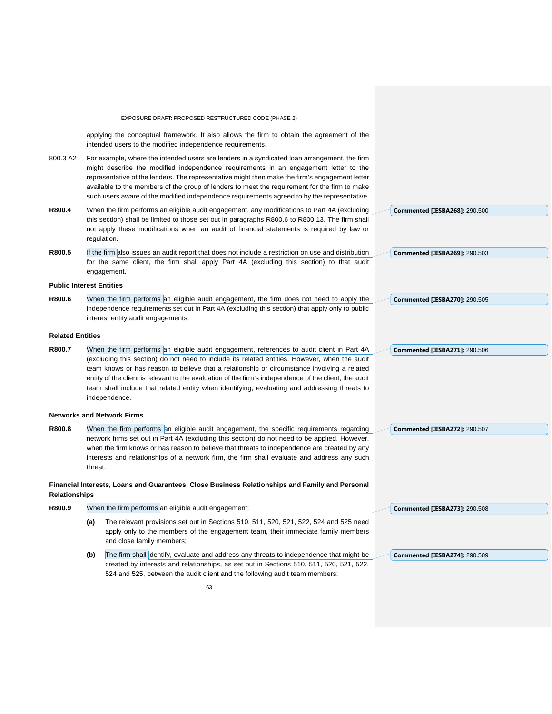|                         | EXPOSURE DRAFT: PROPOSED RESTRUCTURED CODE (PHASE 2)                                                                                                                                                                                                                                                                                                                                                                                                                                   |                                      |
|-------------------------|----------------------------------------------------------------------------------------------------------------------------------------------------------------------------------------------------------------------------------------------------------------------------------------------------------------------------------------------------------------------------------------------------------------------------------------------------------------------------------------|--------------------------------------|
|                         | applying the conceptual framework. It also allows the firm to obtain the agreement of the<br>intended users to the modified independence requirements.                                                                                                                                                                                                                                                                                                                                 |                                      |
| 800.3 A2                | For example, where the intended users are lenders in a syndicated loan arrangement, the firm<br>might describe the modified independence requirements in an engagement letter to the<br>representative of the lenders. The representative might then make the firm's engagement letter<br>available to the members of the group of lenders to meet the requirement for the firm to make<br>such users aware of the modified independence requirements agreed to by the representative. |                                      |
| R800.4                  | When the firm performs an eligible audit engagement, any modifications to Part 4A (excluding                                                                                                                                                                                                                                                                                                                                                                                           | <b>Commented [IESBA268]: 290.500</b> |
|                         | this section) shall be limited to those set out in paragraphs R800.6 to R800.13. The firm shall<br>not apply these modifications when an audit of financial statements is required by law or<br>regulation.                                                                                                                                                                                                                                                                            |                                      |
| R800.5                  | If the firm also issues an audit report that does not include a restriction on use and distribution                                                                                                                                                                                                                                                                                                                                                                                    | <b>Commented [IESBA269]: 290.503</b> |
|                         | for the same client, the firm shall apply Part 4A (excluding this section) to that audit<br>engagement.                                                                                                                                                                                                                                                                                                                                                                                |                                      |
|                         | <b>Public Interest Entities</b>                                                                                                                                                                                                                                                                                                                                                                                                                                                        |                                      |
| R800.6                  | When the firm performs an eligible audit engagement, the firm does not need to apply the                                                                                                                                                                                                                                                                                                                                                                                               | <b>Commented [IESBA270]: 290.505</b> |
|                         | independence requirements set out in Part 4A (excluding this section) that apply only to public                                                                                                                                                                                                                                                                                                                                                                                        |                                      |
|                         | interest entity audit engagements.                                                                                                                                                                                                                                                                                                                                                                                                                                                     |                                      |
| <b>Related Entities</b> |                                                                                                                                                                                                                                                                                                                                                                                                                                                                                        |                                      |
| R800.7                  | When the firm performs an eligible audit engagement, references to audit client in Part 4A                                                                                                                                                                                                                                                                                                                                                                                             | Commented [IESBA271]: 290.506        |
|                         | (excluding this section) do not need to include its related entities. However, when the audit                                                                                                                                                                                                                                                                                                                                                                                          |                                      |
|                         | team knows or has reason to believe that a relationship or circumstance involving a related<br>entity of the client is relevant to the evaluation of the firm's independence of the client, the audit                                                                                                                                                                                                                                                                                  |                                      |
|                         | team shall include that related entity when identifying, evaluating and addressing threats to                                                                                                                                                                                                                                                                                                                                                                                          |                                      |
|                         | independence.                                                                                                                                                                                                                                                                                                                                                                                                                                                                          |                                      |
|                         | <b>Networks and Network Firms</b>                                                                                                                                                                                                                                                                                                                                                                                                                                                      |                                      |
| R800.8                  | When the firm performs an eligible audit engagement, the specific requirements regarding                                                                                                                                                                                                                                                                                                                                                                                               | <b>Commented [IESBA272]: 290.507</b> |
|                         | network firms set out in Part 4A (excluding this section) do not need to be applied. However,                                                                                                                                                                                                                                                                                                                                                                                          |                                      |
|                         | when the firm knows or has reason to believe that threats to independence are created by any<br>interests and relationships of a network firm, the firm shall evaluate and address any such                                                                                                                                                                                                                                                                                            |                                      |
|                         | threat.                                                                                                                                                                                                                                                                                                                                                                                                                                                                                |                                      |
| <b>Relationships</b>    | Financial Interests, Loans and Guarantees, Close Business Relationships and Family and Personal                                                                                                                                                                                                                                                                                                                                                                                        |                                      |
| R800.9                  | When the firm performs an eligible audit engagement:                                                                                                                                                                                                                                                                                                                                                                                                                                   | <b>Commented [IESBA273]: 290.508</b> |
|                         | The relevant provisions set out in Sections 510, 511, 520, 521, 522, 524 and 525 need<br>(a)<br>apply only to the members of the engagement team, their immediate family members<br>and close family members;                                                                                                                                                                                                                                                                          |                                      |
|                         | The firm shall identify, evaluate and address any threats to independence that might be<br>(b)                                                                                                                                                                                                                                                                                                                                                                                         | Commented [IESBA274]: 290.509        |
|                         | created by interests and relationships, as set out in Sections 510, 511, 520, 521, 522,<br>524 and 525, between the audit client and the following audit team members:                                                                                                                                                                                                                                                                                                                 |                                      |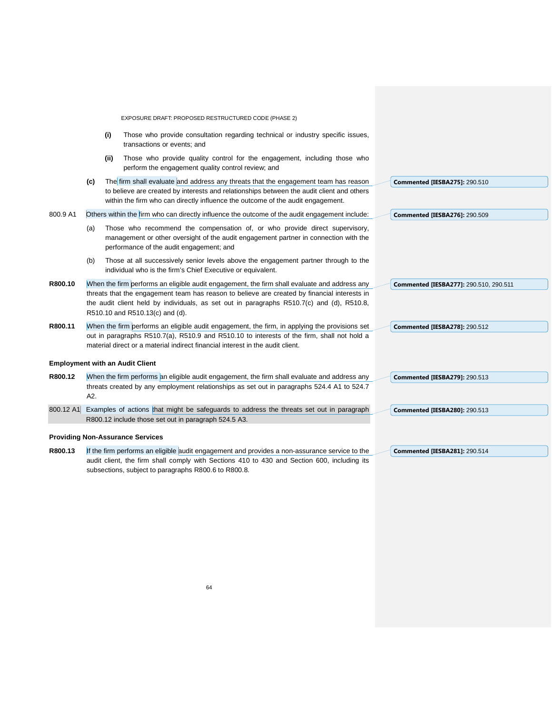|           |     |      | EXPOSURE DRAFT: PROPOSED RESTRUCTURED CODE (PHASE 2)                                                                                                                                                                                                                |                                        |
|-----------|-----|------|---------------------------------------------------------------------------------------------------------------------------------------------------------------------------------------------------------------------------------------------------------------------|----------------------------------------|
|           |     | (i)  | Those who provide consultation regarding technical or industry specific issues,<br>transactions or events; and                                                                                                                                                      |                                        |
|           |     | (ii) | Those who provide quality control for the engagement, including those who<br>perform the engagement quality control review; and                                                                                                                                     |                                        |
|           | (c) |      | The firm shall evaluate and address any threats that the engagement team has reason<br>to believe are created by interests and relationships between the audit client and others<br>within the firm who can directly influence the outcome of the audit engagement. | <b>Commented [IESBA275]: 290.510</b>   |
| 800.9 A1  |     |      | Others within the firm who can directly influence the outcome of the audit engagement include:                                                                                                                                                                      | <b>Commented [IESBA276]: 290.509</b>   |
|           | (a) |      | Those who recommend the compensation of, or who provide direct supervisory,<br>management or other oversight of the audit engagement partner in connection with the<br>performance of the audit engagement; and                                                     |                                        |
|           | (b) |      | Those at all successively senior levels above the engagement partner through to the<br>individual who is the firm's Chief Executive or equivalent.                                                                                                                  |                                        |
| R800.10   |     |      | When the firm performs an eligible audit engagement, the firm shall evaluate and address any                                                                                                                                                                        | Commented [IESBA277]: 290.510, 290.511 |
|           |     |      | threats that the engagement team has reason to believe are created by financial interests in<br>the audit client held by individuals, as set out in paragraphs R510.7(c) and (d), R510.8,<br>R510.10 and R510.13(c) and (d).                                        |                                        |
| R800.11   |     |      | When the firm performs an eligible audit engagement, the firm, in applying the provisions set                                                                                                                                                                       | <b>Commented [IESBA278]: 290.512</b>   |
|           |     |      | out in paragraphs R510.7(a), R510.9 and R510.10 to interests of the firm, shall not hold a<br>material direct or a material indirect financial interest in the audit client.                                                                                        |                                        |
|           |     |      | <b>Employment with an Audit Client</b>                                                                                                                                                                                                                              |                                        |
| R800.12   |     |      | When the firm performs an eligible audit engagement, the firm shall evaluate and address any                                                                                                                                                                        | <b>Commented [IESBA279]: 290.513</b>   |
|           | A2. |      | threats created by any employment relationships as set out in paragraphs 524.4 A1 to 524.7                                                                                                                                                                          |                                        |
| 800.12 A1 |     |      | Examples of actions that might be safeguards to address the threats set out in paragraph                                                                                                                                                                            | <b>Commented [IESBA280]: 290.513</b>   |
|           |     |      | R800.12 include those set out in paragraph 524.5 A3.                                                                                                                                                                                                                |                                        |
|           |     |      | <b>Providing Non-Assurance Services</b>                                                                                                                                                                                                                             |                                        |
| R800.13   |     |      | If the firm performs an eligible audit engagement and provides a non-assurance service to the                                                                                                                                                                       | <b>Commented [IESBA281]: 290.514</b>   |
|           |     |      | audit client, the firm shall comply with Sections 410 to 430 and Section 600, including its<br>subsections, subject to paragraphs R800.6 to R800.8.                                                                                                                 |                                        |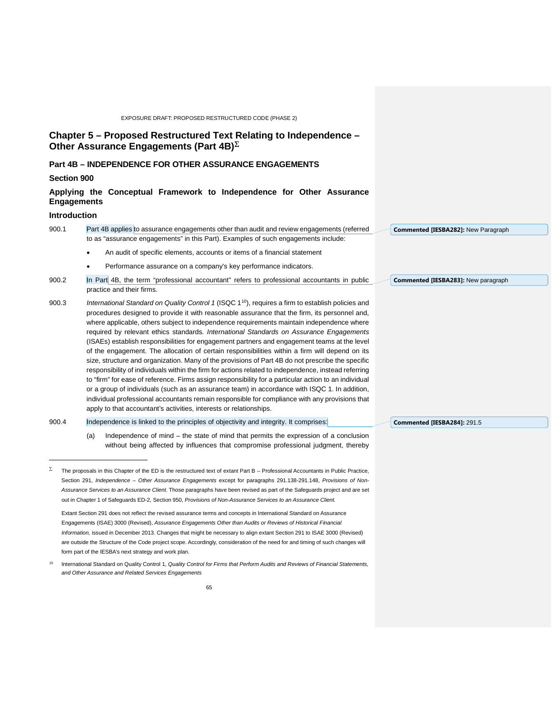<span id="page-64-1"></span><span id="page-64-0"></span>

|                    | EXPOSURE DRAFT: PROPOSED RESTRUCTURED CODE (PHASE 2)                                                                                                                                                                                                                                                                                                                                                                                                                                                                                                                                                                                                                                                                                                                                                                                                                                                                                                                                                                                                                                                                                                                                                                                                                                             |                                     |
|--------------------|--------------------------------------------------------------------------------------------------------------------------------------------------------------------------------------------------------------------------------------------------------------------------------------------------------------------------------------------------------------------------------------------------------------------------------------------------------------------------------------------------------------------------------------------------------------------------------------------------------------------------------------------------------------------------------------------------------------------------------------------------------------------------------------------------------------------------------------------------------------------------------------------------------------------------------------------------------------------------------------------------------------------------------------------------------------------------------------------------------------------------------------------------------------------------------------------------------------------------------------------------------------------------------------------------|-------------------------------------|
|                    | Chapter 5 - Proposed Restructured Text Relating to Independence -<br>Other Assurance Engagements (Part 4B) $\Sigma$                                                                                                                                                                                                                                                                                                                                                                                                                                                                                                                                                                                                                                                                                                                                                                                                                                                                                                                                                                                                                                                                                                                                                                              |                                     |
|                    | <b>Part 4B - INDEPENDENCE FOR OTHER ASSURANCE ENGAGEMENTS</b>                                                                                                                                                                                                                                                                                                                                                                                                                                                                                                                                                                                                                                                                                                                                                                                                                                                                                                                                                                                                                                                                                                                                                                                                                                    |                                     |
| Section 900        |                                                                                                                                                                                                                                                                                                                                                                                                                                                                                                                                                                                                                                                                                                                                                                                                                                                                                                                                                                                                                                                                                                                                                                                                                                                                                                  |                                     |
| <b>Engagements</b> | Applying the Conceptual Framework to Independence for Other Assurance                                                                                                                                                                                                                                                                                                                                                                                                                                                                                                                                                                                                                                                                                                                                                                                                                                                                                                                                                                                                                                                                                                                                                                                                                            |                                     |
| Introduction       |                                                                                                                                                                                                                                                                                                                                                                                                                                                                                                                                                                                                                                                                                                                                                                                                                                                                                                                                                                                                                                                                                                                                                                                                                                                                                                  |                                     |
| 900.1              | Part 4B applies to assurance engagements other than audit and review engagements (referred<br>to as "assurance engagements" in this Part). Examples of such engagements include:                                                                                                                                                                                                                                                                                                                                                                                                                                                                                                                                                                                                                                                                                                                                                                                                                                                                                                                                                                                                                                                                                                                 | Commented [IESBA282]: New Paragraph |
|                    | An audit of specific elements, accounts or items of a financial statement<br>$\bullet$                                                                                                                                                                                                                                                                                                                                                                                                                                                                                                                                                                                                                                                                                                                                                                                                                                                                                                                                                                                                                                                                                                                                                                                                           |                                     |
|                    | Performance assurance on a company's key performance indicators.<br>$\bullet$                                                                                                                                                                                                                                                                                                                                                                                                                                                                                                                                                                                                                                                                                                                                                                                                                                                                                                                                                                                                                                                                                                                                                                                                                    |                                     |
| 900.2              | In Part 4B, the term "professional accountant" refers to professional accountants in public<br>practice and their firms.                                                                                                                                                                                                                                                                                                                                                                                                                                                                                                                                                                                                                                                                                                                                                                                                                                                                                                                                                                                                                                                                                                                                                                         | Commented [IESBA283]: New paragraph |
| 900.3<br>900.4     | International Standard on Quality Control 1 (ISQC 1 <sup>10</sup> ), requires a firm to establish policies and<br>procedures designed to provide it with reasonable assurance that the firm, its personnel and,<br>where applicable, others subject to independence requirements maintain independence where<br>required by relevant ethics standards. International Standards on Assurance Engagements<br>(ISAEs) establish responsibilities for engagement partners and engagement teams at the level<br>of the engagement. The allocation of certain responsibilities within a firm will depend on its<br>size, structure and organization. Many of the provisions of Part 4B do not prescribe the specific<br>responsibility of individuals within the firm for actions related to independence, instead referring<br>to "firm" for ease of reference. Firms assign responsibility for a particular action to an individual<br>or a group of individuals (such as an assurance team) in accordance with ISQC 1. In addition,<br>individual professional accountants remain responsible for compliance with any provisions that<br>apply to that accountant's activities, interests or relationships.<br>Independence is linked to the principles of objectivity and integrity. It comprises: | Commented [IESBA284]: 291.5         |
|                    | Independence of mind – the state of mind that permits the expression of a conclusion<br>(a)<br>without being affected by influences that compromise professional judgment, thereby                                                                                                                                                                                                                                                                                                                                                                                                                                                                                                                                                                                                                                                                                                                                                                                                                                                                                                                                                                                                                                                                                                               |                                     |
| Σ                  | The proposals in this Chapter of the ED is the restructured text of extant Part B - Professional Accountants in Public Practice,<br>Section 291, Independence - Other Assurance Engagements except for paragraphs 291.138-291.148, Provisions of Non-<br>Assurance Services to an Assurance Client. Those paragraphs have been revised as part of the Safeguards project and are set<br>out in Chapter 1 of Safeguards ED-2, Section 950, Provisions of Non-Assurance Services to an Assurance Client.<br>Extant Section 291 does not reflect the revised assurance terms and concepts in International Standard on Assurance<br>Engagements (ISAE) 3000 (Revised), Assurance Engagements Other than Audits or Reviews of Historical Financial<br>Information, issued in December 2013. Changes that might be necessary to align extant Section 291 to ISAE 3000 (Revised)<br>are outside the Structure of the Code project scope. Accordingly, consideration of the need for and timing of such changes will<br>form part of the IESBA's next strategy and work plan.                                                                                                                                                                                                                           |                                     |
| 10                 | International Standard on Quality Control 1, Quality Control for Firms that Perform Audits and Reviews of Financial Statements,<br>and Other Assurance and Related Services Engagements                                                                                                                                                                                                                                                                                                                                                                                                                                                                                                                                                                                                                                                                                                                                                                                                                                                                                                                                                                                                                                                                                                          |                                     |
|                    | 65                                                                                                                                                                                                                                                                                                                                                                                                                                                                                                                                                                                                                                                                                                                                                                                                                                                                                                                                                                                                                                                                                                                                                                                                                                                                                               |                                     |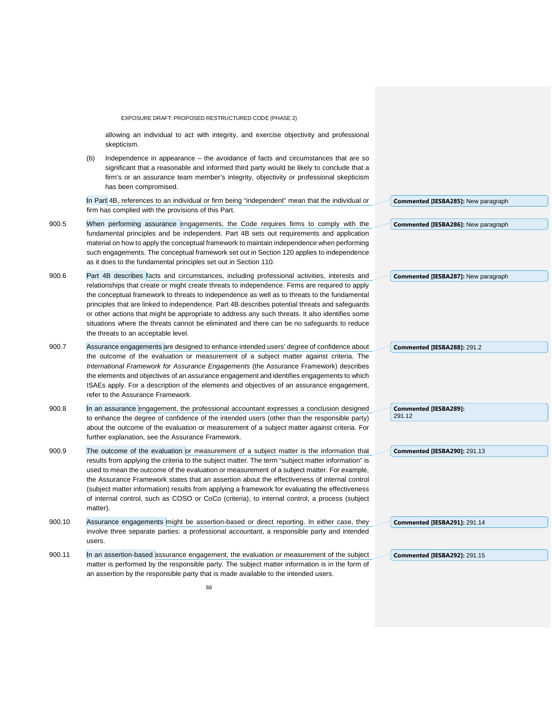|        |          | EXPOSURE DRAFT: PROPOSED RESTRUCTURED CODE (PHASE 2)                                                                                                                                                                                                                                                                                                                                                                                                                                                                                                                                                                                    |                                            |
|--------|----------|-----------------------------------------------------------------------------------------------------------------------------------------------------------------------------------------------------------------------------------------------------------------------------------------------------------------------------------------------------------------------------------------------------------------------------------------------------------------------------------------------------------------------------------------------------------------------------------------------------------------------------------------|--------------------------------------------|
|        |          | allowing an individual to act with integrity, and exercise objectivity and professional<br>skepticism.                                                                                                                                                                                                                                                                                                                                                                                                                                                                                                                                  |                                            |
|        | (b)      | Independence in appearance - the avoidance of facts and circumstances that are so<br>significant that a reasonable and informed third party would be likely to conclude that a<br>firm's or an assurance team member's integrity, objectivity or professional skepticism<br>has been compromised.                                                                                                                                                                                                                                                                                                                                       |                                            |
|        |          | In Part 4B, references to an individual or firm being "independent" mean that the individual or<br>firm has complied with the provisions of this Part.                                                                                                                                                                                                                                                                                                                                                                                                                                                                                  | Commented [IESBA285]: New paragraph        |
| 900.5  |          | When performing assurance engagements, the Code requires firms to comply with the<br>fundamental principles and be independent. Part 4B sets out requirements and application<br>material on how to apply the conceptual framework to maintain independence when performing<br>such engagements. The conceptual framework set out in Section 120 applies to independence<br>as it does to the fundamental principles set out in Section 110.                                                                                                                                                                                            | <b>Commented [IESBA286]:</b> New paragraph |
| 900.6  |          | Part 4B describes facts and circumstances, including professional activities, interests and<br>relationships that create or might create threats to independence. Firms are required to apply<br>the conceptual framework to threats to independence as well as to threats to the fundamental<br>principles that are linked to independence. Part 4B describes potential threats and safeguards<br>or other actions that might be appropriate to address any such threats. It also identifies some<br>situations where the threats cannot be eliminated and there can be no safeguards to reduce<br>the threats to an acceptable level. | <b>Commented [IESBA287]: New paragraph</b> |
| 900.7  |          | Assurance engagements are designed to enhance intended users' degree of confidence about<br>the outcome of the evaluation or measurement of a subject matter against criteria. The<br>International Framework for Assurance Engagements (the Assurance Framework) describes<br>the elements and objectives of an assurance engagement and identifies engagements to which<br>ISAEs apply. For a description of the elements and objectives of an assurance engagement,<br>refer to the Assurance Framework.                                                                                                                             | Commented [IESBA288]: 291.2                |
| 900.8  |          | In an assurance engagement, the professional accountant expresses a conclusion designed<br>to enhance the degree of confidence of the intended users (other than the responsible party)<br>about the outcome of the evaluation or measurement of a subject matter against criteria. For<br>further explanation, see the Assurance Framework.                                                                                                                                                                                                                                                                                            | Commented [IESBA289]:<br>291.12            |
| 900.9  | matter). | The outcome of the evaluation or measurement of a subject matter is the information that<br>results from applying the criteria to the subject matter. The term "subject matter information" is<br>used to mean the outcome of the evaluation or measurement of a subject matter. For example,<br>the Assurance Framework states that an assertion about the effectiveness of internal control<br>(subject matter information) results from applying a framework for evaluating the effectiveness<br>of internal control, such as COSO or CoCo (criteria), to internal control, a process (subject                                       | <b>Commented [IESBA290]: 291.13</b>        |
| 900.10 | users.   | Assurance engagements might be assertion-based or direct reporting. In either case, they<br>involve three separate parties: a professional accountant, a responsible party and intended                                                                                                                                                                                                                                                                                                                                                                                                                                                 | <b>Commented [IESBA291]: 291.14</b>        |
| 900.11 |          | In an assertion-based assurance engagement, the evaluation or measurement of the subject<br>matter is performed by the responsible party. The subject matter information is in the form of<br>an assertion by the responsible party that is made available to the intended users.                                                                                                                                                                                                                                                                                                                                                       | <b>Commented [IESBA292]: 291.15</b>        |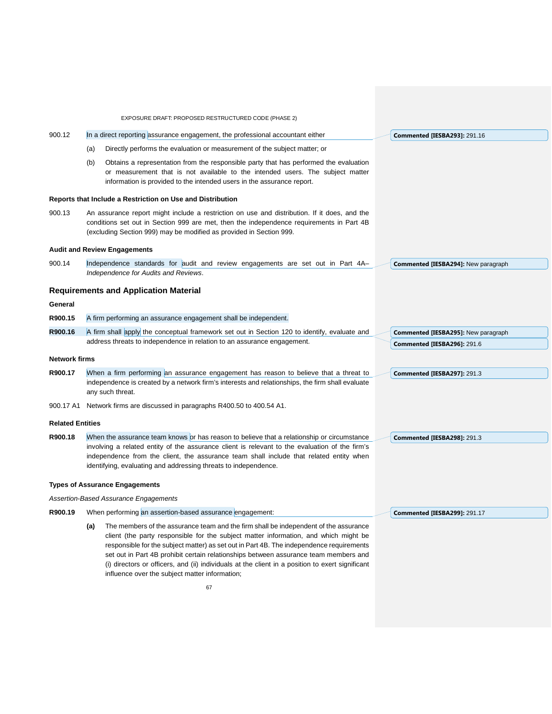|                         |                                                                                                                                                                                                                                                                                                                                                            | EXPOSURE DRAFT: PROPOSED RESTRUCTURED CODE (PHASE 2)                                                                                                                                                                                                                                                                                                                                                                                                                                                                         |  |                                            |
|-------------------------|------------------------------------------------------------------------------------------------------------------------------------------------------------------------------------------------------------------------------------------------------------------------------------------------------------------------------------------------------------|------------------------------------------------------------------------------------------------------------------------------------------------------------------------------------------------------------------------------------------------------------------------------------------------------------------------------------------------------------------------------------------------------------------------------------------------------------------------------------------------------------------------------|--|--------------------------------------------|
| 900.12                  | In a direct reporting assurance engagement, the professional accountant either                                                                                                                                                                                                                                                                             |                                                                                                                                                                                                                                                                                                                                                                                                                                                                                                                              |  | <b>Commented [IESBA293]: 291.16</b>        |
|                         | (a)                                                                                                                                                                                                                                                                                                                                                        | Directly performs the evaluation or measurement of the subject matter; or                                                                                                                                                                                                                                                                                                                                                                                                                                                    |  |                                            |
|                         | (b)                                                                                                                                                                                                                                                                                                                                                        | Obtains a representation from the responsible party that has performed the evaluation<br>or measurement that is not available to the intended users. The subject matter<br>information is provided to the intended users in the assurance report.                                                                                                                                                                                                                                                                            |  |                                            |
|                         |                                                                                                                                                                                                                                                                                                                                                            | Reports that Include a Restriction on Use and Distribution                                                                                                                                                                                                                                                                                                                                                                                                                                                                   |  |                                            |
| 900.13                  | An assurance report might include a restriction on use and distribution. If it does, and the<br>conditions set out in Section 999 are met, then the independence requirements in Part 4B<br>(excluding Section 999) may be modified as provided in Section 999.                                                                                            |                                                                                                                                                                                                                                                                                                                                                                                                                                                                                                                              |  |                                            |
|                         |                                                                                                                                                                                                                                                                                                                                                            | <b>Audit and Review Engagements</b>                                                                                                                                                                                                                                                                                                                                                                                                                                                                                          |  |                                            |
| 900.14                  | Independence standards for audit and review engagements are set out in Part 4A-<br>Independence for Audits and Reviews.                                                                                                                                                                                                                                    |                                                                                                                                                                                                                                                                                                                                                                                                                                                                                                                              |  | <b>Commented [IESBA294]: New paragraph</b> |
|                         |                                                                                                                                                                                                                                                                                                                                                            | <b>Requirements and Application Material</b>                                                                                                                                                                                                                                                                                                                                                                                                                                                                                 |  |                                            |
| General                 |                                                                                                                                                                                                                                                                                                                                                            |                                                                                                                                                                                                                                                                                                                                                                                                                                                                                                                              |  |                                            |
| R900.15                 |                                                                                                                                                                                                                                                                                                                                                            | A firm performing an assurance engagement shall be independent.                                                                                                                                                                                                                                                                                                                                                                                                                                                              |  |                                            |
| R900.16                 |                                                                                                                                                                                                                                                                                                                                                            | A firm shall apply the conceptual framework set out in Section 120 to identify, evaluate and                                                                                                                                                                                                                                                                                                                                                                                                                                 |  | <b>Commented [IESBA295]: New paragraph</b> |
|                         |                                                                                                                                                                                                                                                                                                                                                            | address threats to independence in relation to an assurance engagement.                                                                                                                                                                                                                                                                                                                                                                                                                                                      |  | Commented [IESBA296]: 291.6                |
| <b>Network firms</b>    |                                                                                                                                                                                                                                                                                                                                                            |                                                                                                                                                                                                                                                                                                                                                                                                                                                                                                                              |  |                                            |
| R900.17                 |                                                                                                                                                                                                                                                                                                                                                            | When a firm performing an assurance engagement has reason to believe that a threat to<br>independence is created by a network firm's interests and relationships, the firm shall evaluate<br>any such threat.                                                                                                                                                                                                                                                                                                                |  | Commented [IESBA297]: 291.3                |
|                         |                                                                                                                                                                                                                                                                                                                                                            | 900.17 A1 Network firms are discussed in paragraphs R400.50 to 400.54 A1.                                                                                                                                                                                                                                                                                                                                                                                                                                                    |  |                                            |
| <b>Related Entities</b> |                                                                                                                                                                                                                                                                                                                                                            |                                                                                                                                                                                                                                                                                                                                                                                                                                                                                                                              |  |                                            |
| R900.18                 | When the assurance team knows or has reason to believe that a relationship or circumstance<br>involving a related entity of the assurance client is relevant to the evaluation of the firm's<br>independence from the client, the assurance team shall include that related entity when<br>identifying, evaluating and addressing threats to independence. |                                                                                                                                                                                                                                                                                                                                                                                                                                                                                                                              |  | Commented [IESBA298]: 291.3                |
|                         |                                                                                                                                                                                                                                                                                                                                                            | <b>Types of Assurance Engagements</b>                                                                                                                                                                                                                                                                                                                                                                                                                                                                                        |  |                                            |
|                         |                                                                                                                                                                                                                                                                                                                                                            | Assertion-Based Assurance Engagements                                                                                                                                                                                                                                                                                                                                                                                                                                                                                        |  |                                            |
| R900.19                 |                                                                                                                                                                                                                                                                                                                                                            | When performing an assertion-based assurance engagement:                                                                                                                                                                                                                                                                                                                                                                                                                                                                     |  | <b>Commented [IESBA299]: 291.17</b>        |
|                         | (a)                                                                                                                                                                                                                                                                                                                                                        | The members of the assurance team and the firm shall be independent of the assurance<br>client (the party responsible for the subject matter information, and which might be<br>responsible for the subject matter) as set out in Part 4B. The independence requirements<br>set out in Part 4B prohibit certain relationships between assurance team members and<br>(i) directors or officers, and (ii) individuals at the client in a position to exert significant<br>influence over the subject matter information;<br>67 |  |                                            |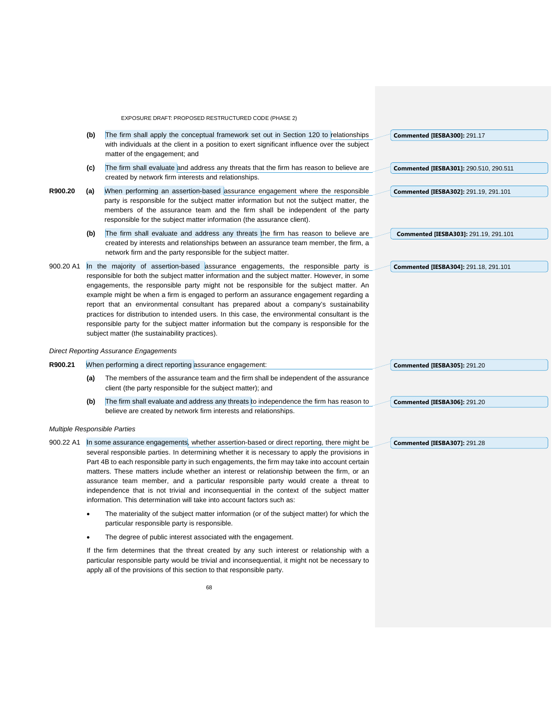- **(b)** The firm shall apply the conceptual framework set out in Section 120 to relationships with individuals at the client in a position to exert significant influence over the subject matter of the engagement; and **Commented [IESBA300]:** 291.17
- **(c)** The firm shall evaluate and address any threats that the firm has reason to believe are created by network firm interests and relationships.
- **R900.20 (a)** When performing an assertion-based assurance engagement where the responsible party is responsible for the subject matter information but not the subject matter, the members of the assurance team and the firm shall be independent of the party responsible for the subject matter information (the assurance client).
	- (b) The firm shall evaluate and address any threats the firm has reason to believe are created by interests and relationships between an assurance team member, the firm, a network firm and the party responsible for the subject matter.
- 900.20 A1 In the majority of assertion-based assurance engagements, the responsible party is responsible for both the subject matter information and the subject matter. However, in some engagements, the responsible party might not be responsible for the subject matter. An example might be when a firm is engaged to perform an assurance engagement regarding a report that an environmental consultant has prepared about a company's sustainability practices for distribution to intended users. In this case, the environmental consultant is the responsible party for the subject matter information but the company is responsible for the subject matter (the sustainability practices).

#### *Direct Reporting Assurance Engagements*

- **R900.21** When performing a direct reporting assurance engagement:
	- **(a)** The members of the assurance team and the firm shall be independent of the assurance client (the party responsible for the subject matter); and
	- **(b)** The firm shall evaluate and address any threats to independence the firm has reason to believe are created by network firm interests and relationships.

#### *Multiple Responsible Parties*

- 900.22 A1 In some assurance engagements, whether assertion-based or direct reporting, there might be several responsible parties. In determining whether it is necessary to apply the provisions in Part 4B to each responsible party in such engagements, the firm may take into account certain matters. These matters include whether an interest or relationship between the firm, or an assurance team member, and a particular responsible party would create a threat to independence that is not trivial and inconsequential in the context of the subject matter information. This determination will take into account factors such as:
	- The materiality of the subject matter information (or of the subject matter) for which the particular responsible party is responsible.
	- The degree of public interest associated with the engagement.

If the firm determines that the threat created by any such interest or relationship with a particular responsible party would be trivial and inconsequential, it might not be necessary to apply all of the provisions of this section to that responsible party.

**Commented [IESBA305]:** 291.20

**Commented [IESBA306]:** 291.20

**Commented [IESBA307]:** 291.28

**Commented [IESBA304]:** 291.18, 291.101

**Commented [IESBA301]:** 290.510, 290.511

**Commented [IESBA302]:** 291.19, 291.101

**Commented [IESBA303]:** 291.19, 291.101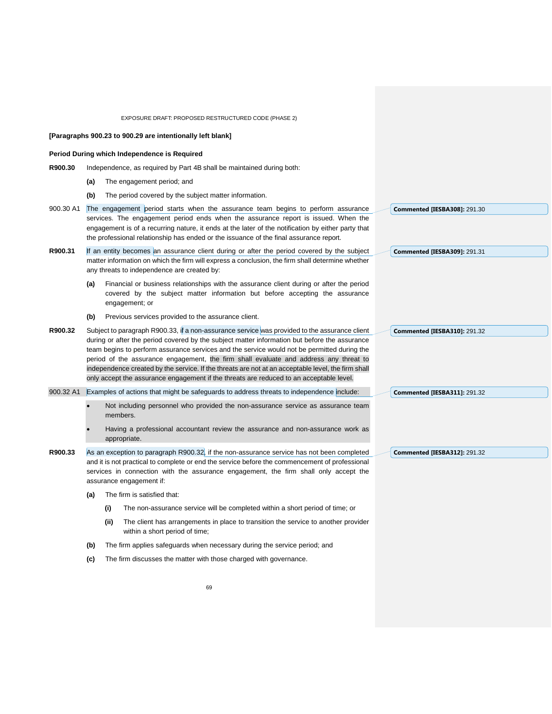|           |     |      | EXPOSURE DRAFT: PROPOSED RESTRUCTURED CODE (PHASE 2)                                                                                                                                                                                                                                                                                                                                                                                                                                                                                                                                    |                                     |
|-----------|-----|------|-----------------------------------------------------------------------------------------------------------------------------------------------------------------------------------------------------------------------------------------------------------------------------------------------------------------------------------------------------------------------------------------------------------------------------------------------------------------------------------------------------------------------------------------------------------------------------------------|-------------------------------------|
|           |     |      | [Paragraphs 900.23 to 900.29 are intentionally left blank]                                                                                                                                                                                                                                                                                                                                                                                                                                                                                                                              |                                     |
|           |     |      | Period During which Independence is Required                                                                                                                                                                                                                                                                                                                                                                                                                                                                                                                                            |                                     |
| R900.30   |     |      | Independence, as required by Part 4B shall be maintained during both:                                                                                                                                                                                                                                                                                                                                                                                                                                                                                                                   |                                     |
|           | (a) |      | The engagement period; and                                                                                                                                                                                                                                                                                                                                                                                                                                                                                                                                                              |                                     |
|           | (b) |      | The period covered by the subject matter information.                                                                                                                                                                                                                                                                                                                                                                                                                                                                                                                                   |                                     |
| 900.30 A1 |     |      | The engagement period starts when the assurance team begins to perform assurance<br>services. The engagement period ends when the assurance report is issued. When the<br>engagement is of a recurring nature, it ends at the later of the notification by either party that<br>the professional relationship has ended or the issuance of the final assurance report.                                                                                                                                                                                                                  | <b>Commented [IESBA308]: 291.30</b> |
| R900.31   |     |      | If an entity becomes an assurance client during or after the period covered by the subject<br>matter information on which the firm will express a conclusion, the firm shall determine whether<br>any threats to independence are created by:                                                                                                                                                                                                                                                                                                                                           | <b>Commented [IESBA309]: 291.31</b> |
|           | (a) |      | Financial or business relationships with the assurance client during or after the period<br>covered by the subject matter information but before accepting the assurance<br>engagement; or                                                                                                                                                                                                                                                                                                                                                                                              |                                     |
|           | (b) |      | Previous services provided to the assurance client.                                                                                                                                                                                                                                                                                                                                                                                                                                                                                                                                     |                                     |
| R900.32   |     |      | Subject to paragraph R900.33, if a non-assurance service was provided to the assurance client<br>during or after the period covered by the subject matter information but before the assurance<br>team begins to perform assurance services and the service would not be permitted during the<br>period of the assurance engagement, the firm shall evaluate and address any threat to<br>independence created by the service. If the threats are not at an acceptable level, the firm shall<br>only accept the assurance engagement if the threats are reduced to an acceptable level. | <b>Commented [IESBA310]: 291.32</b> |
|           |     |      | 900.32 A1 Examples of actions that might be safeguards to address threats to independence include:                                                                                                                                                                                                                                                                                                                                                                                                                                                                                      | <b>Commented [IESBA311]: 291.32</b> |
|           |     |      | Not including personnel who provided the non-assurance service as assurance team<br>members.<br>Having a professional accountant review the assurance and non-assurance work as<br>appropriate.                                                                                                                                                                                                                                                                                                                                                                                         |                                     |
| R900.33   |     |      | As an exception to paragraph R900.32, if the non-assurance service has not been completed<br>and it is not practical to complete or end the service before the commencement of professional<br>services in connection with the assurance engagement, the firm shall only accept the<br>assurance engagement if:                                                                                                                                                                                                                                                                         | <b>Commented [IESBA312]: 291.32</b> |
|           | (a) |      | The firm is satisfied that:                                                                                                                                                                                                                                                                                                                                                                                                                                                                                                                                                             |                                     |
|           |     | (i)  | The non-assurance service will be completed within a short period of time; or                                                                                                                                                                                                                                                                                                                                                                                                                                                                                                           |                                     |
|           |     | (ii) | The client has arrangements in place to transition the service to another provider<br>within a short period of time;                                                                                                                                                                                                                                                                                                                                                                                                                                                                    |                                     |
|           | (b) |      | The firm applies safeguards when necessary during the service period; and                                                                                                                                                                                                                                                                                                                                                                                                                                                                                                               |                                     |
|           | (c) |      | The firm discusses the matter with those charged with governance.                                                                                                                                                                                                                                                                                                                                                                                                                                                                                                                       |                                     |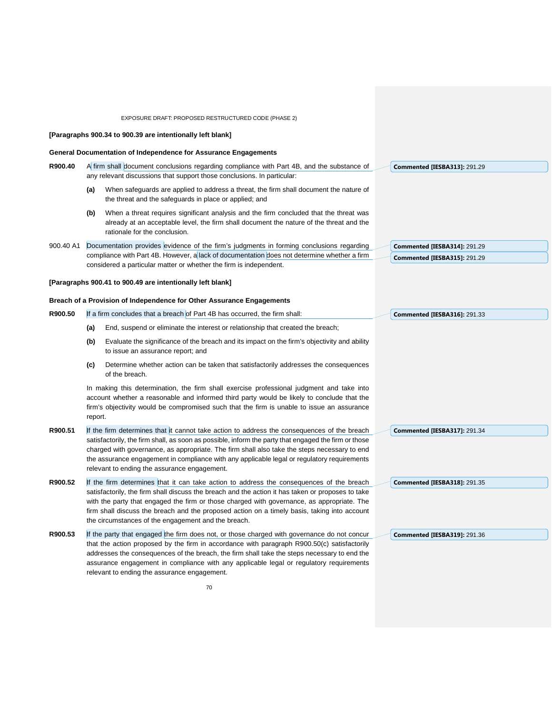## EXPOSURE DRAFT: PROPOSED RESTRUCTURED CODE (PHASE 2) **[Paragraphs 900.34 to 900.39 are intentionally left blank] General Documentation of Independence for Assurance Engagements R900.40** A firm shall document conclusions regarding compliance with Part 4B, and the substance of any relevant discussions that support those conclusions. In particular: **(a)** When safeguards are applied to address a threat, the firm shall document the nature of the threat and the safeguards in place or applied; and **(b)** When a threat requires significant analysis and the firm concluded that the threat was already at an acceptable level, the firm shall document the nature of the threat and the rationale for the conclusion. 900.40 A1 Documentation provides evidence of the firm's judgments in forming conclusions regarding compliance with Part 4B. However, a lack of documentation does not determine whether a firm considered a particular matter or whether the firm is independent. **[Paragraphs 900.41 to 900.49 are intentionally left blank] Breach of a Provision of Independence for Other Assurance Engagements R900.50** If a firm concludes that a breach of Part 4B has occurred, the firm shall: **(a)** End, suspend or eliminate the interest or relationship that created the breach; **(b)** Evaluate the significance of the breach and its impact on the firm's objectivity and ability to issue an assurance report; and **(c)** Determine whether action can be taken that satisfactorily addresses the consequences of the breach. In making this determination, the firm shall exercise professional judgment and take into account whether a reasonable and informed third party would be likely to conclude that the firm's objectivity would be compromised such that the firm is unable to issue an assurance report. **R900.51** If the firm determines that it cannot take action to address the consequences of the breach satisfactorily, the firm shall, as soon as possible, inform the party that engaged the firm or those charged with governance, as appropriate. The firm shall also take the steps necessary to end the assurance engagement in compliance with any applicable legal or regulatory requirements relevant to ending the assurance engagement. **R900.52** If the firm determines that it can take action to address the consequences of the breach satisfactorily, the firm shall discuss the breach and the action it has taken or proposes to take with the party that engaged the firm or those charged with governance, as appropriate. The firm shall discuss the breach and the proposed action on a timely basis, taking into account the circumstances of the engagement and the breach. **R900.53** If the party that engaged the firm does not, or those charged with governance do not concur that the action proposed by the firm in accordance with paragraph R900.50(c) satisfactorily addresses the consequences of the breach, the firm shall take the steps necessary to end the assurance engagement in compliance with any applicable legal or regulatory requirements relevant to ending the assurance engagement. **Commented [IESBA313]:** 291.29 **Commented [IESBA314]:** 291.29 **Commented [IESBA315]:** 291.29 **Commented [IESBA316]:** 291.33 **Commented [IESBA317]:** 291.34 **Commented [IESBA318]:** 291.35 **Commented [IESBA319]:** 291.36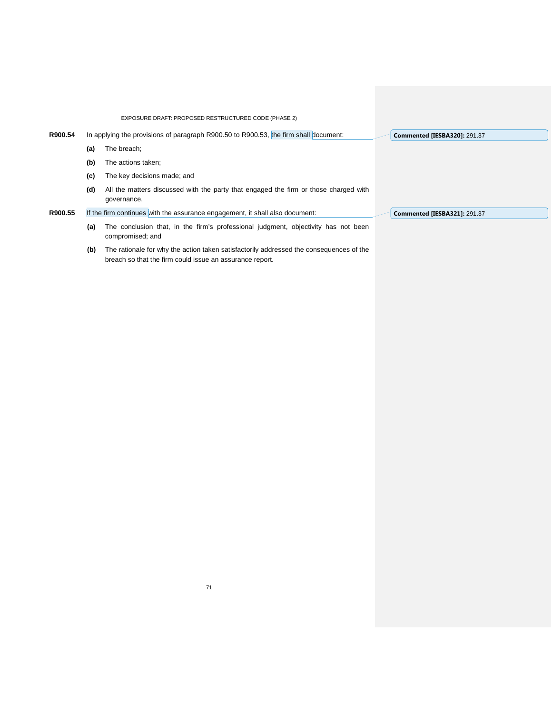|         |     | EXPOSURE DRAFT: PROPOSED RESTRUCTURED CODE (PHASE 2)                                                                                                |                                     |
|---------|-----|-----------------------------------------------------------------------------------------------------------------------------------------------------|-------------------------------------|
| R900.54 |     | In applying the provisions of paragraph R900.50 to R900.53, the firm shall document:                                                                | <b>Commented [IESBA320]: 291.37</b> |
|         | (a) | The breach:                                                                                                                                         |                                     |
|         | (b) | The actions taken;                                                                                                                                  |                                     |
|         | (c) | The key decisions made; and                                                                                                                         |                                     |
|         | (d) | All the matters discussed with the party that engaged the firm or those charged with<br>governance.                                                 |                                     |
| R900.55 |     | If the firm continues with the assurance engagement, it shall also document:                                                                        | <b>Commented [IESBA321]: 291.37</b> |
|         | (a) | The conclusion that, in the firm's professional judgment, objectivity has not been<br>compromised; and                                              |                                     |
|         | (b) | The rationale for why the action taken satisfactorily addressed the consequences of the<br>breach so that the firm could issue an assurance report. |                                     |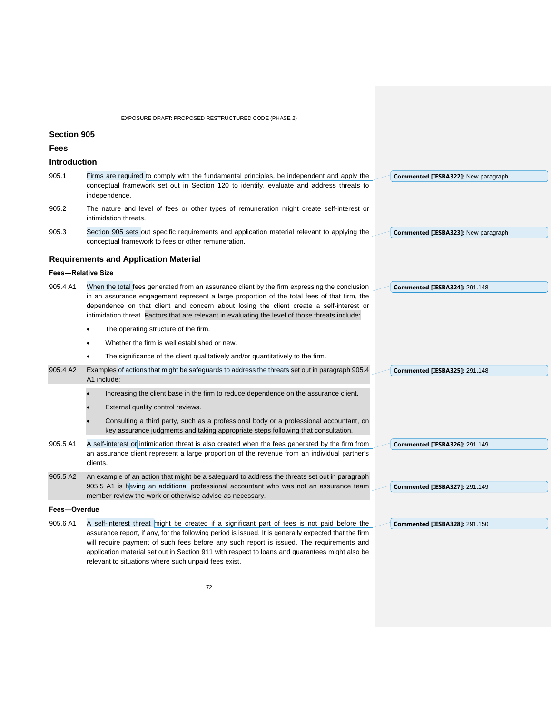|                     | EXPOSURE DRAFT: PROPOSED RESTRUCTURED CODE (PHASE 2)                                                                                                                                                                                                                                                                                                                                               |  |                                            |
|---------------------|----------------------------------------------------------------------------------------------------------------------------------------------------------------------------------------------------------------------------------------------------------------------------------------------------------------------------------------------------------------------------------------------------|--|--------------------------------------------|
| <b>Section 905</b>  |                                                                                                                                                                                                                                                                                                                                                                                                    |  |                                            |
| Fees                |                                                                                                                                                                                                                                                                                                                                                                                                    |  |                                            |
| <b>Introduction</b> |                                                                                                                                                                                                                                                                                                                                                                                                    |  |                                            |
| 905.1               | Firms are required to comply with the fundamental principles, be independent and apply the<br>conceptual framework set out in Section 120 to identify, evaluate and address threats to<br>independence.                                                                                                                                                                                            |  | Commented [IESBA322]: New paragraph        |
| 905.2               | The nature and level of fees or other types of remuneration might create self-interest or<br>intimidation threats.                                                                                                                                                                                                                                                                                 |  |                                            |
| 905.3               | Section 905 sets out specific requirements and application material relevant to applying the<br>conceptual framework to fees or other remuneration.                                                                                                                                                                                                                                                |  | <b>Commented [IESBA323]: New paragraph</b> |
|                     | <b>Requirements and Application Material</b>                                                                                                                                                                                                                                                                                                                                                       |  |                                            |
|                     | <b>Fees-Relative Size</b>                                                                                                                                                                                                                                                                                                                                                                          |  |                                            |
| 905.4 A1            | When the total fees generated from an assurance client by the firm expressing the conclusion<br>in an assurance engagement represent a large proportion of the total fees of that firm, the<br>dependence on that client and concern about losing the client create a self-interest or<br>intimidation threat. Factors that are relevant in evaluating the level of those threats include:         |  | <b>Commented [IESBA324]: 291.148</b>       |
|                     | The operating structure of the firm.                                                                                                                                                                                                                                                                                                                                                               |  |                                            |
|                     | Whether the firm is well established or new.                                                                                                                                                                                                                                                                                                                                                       |  |                                            |
|                     | The significance of the client qualitatively and/or quantitatively to the firm.<br>$\bullet$                                                                                                                                                                                                                                                                                                       |  |                                            |
| 905.4 A2            | Examples of actions that might be safeguards to address the threats set out in paragraph 905.4<br>A1 include:                                                                                                                                                                                                                                                                                      |  | <b>Commented [IESBA325]: 291.148</b>       |
|                     | Increasing the client base in the firm to reduce dependence on the assurance client.                                                                                                                                                                                                                                                                                                               |  |                                            |
|                     | External quality control reviews.                                                                                                                                                                                                                                                                                                                                                                  |  |                                            |
|                     | Consulting a third party, such as a professional body or a professional accountant, on<br>key assurance judgments and taking appropriate steps following that consultation.                                                                                                                                                                                                                        |  |                                            |
| 905.5 A1            | A self-interest or intimidation threat is also created when the fees generated by the firm from<br>an assurance client represent a large proportion of the revenue from an individual partner's<br>clients.                                                                                                                                                                                        |  | <b>Commented [IESBA326]: 291.149</b>       |
| 905.5 A2            | An example of an action that might be a safeguard to address the threats set out in paragraph<br>905.5 A1 is having an additional professional accountant who was not an assurance team<br>member review the work or otherwise advise as necessary.                                                                                                                                                |  | <b>Commented [IESBA327]: 291.149</b>       |
| Fees-Overdue        |                                                                                                                                                                                                                                                                                                                                                                                                    |  |                                            |
| 905.6 A1            | A self-interest threat might be created if a significant part of fees is not paid before the<br>assurance report, if any, for the following period is issued. It is generally expected that the firm<br>will require payment of such fees before any such report is issued. The requirements and<br>application material set out in Section 911 with respect to loans and guarantees might also be |  | <b>Commented [IESBA328]: 291.150</b>       |

relevant to situations where such unpaid fees exist.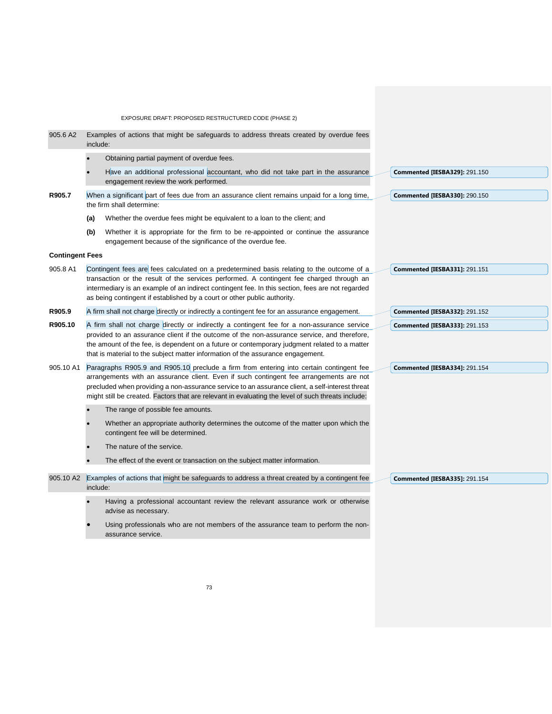EXPOSURE DRAFT: PROPOSED RESTRUCTURED CODE (PHASE 2) 905.6 A2 Examples of actions that might be safeguards to address threats created by overdue fees include: • Obtaining partial payment of overdue fees. Have an additional professional accountant, who did not take part in the assurance engagement review the work performed. **R905.7** When a significant part of fees due from an assurance client remains unpaid for a long time, the firm shall determine: **(a)** Whether the overdue fees might be equivalent to a loan to the client; and **(b)** Whether it is appropriate for the firm to be re-appointed or continue the assurance engagement because of the significance of the overdue fee. **Contingent Fees** 905.8 A1 Contingent fees are fees calculated on a predetermined basis relating to the outcome of a transaction or the result of the services performed. A contingent fee charged through an intermediary is an example of an indirect contingent fee. In this section, fees are not regarded as being contingent if established by a court or other public authority. **R905.9** A firm shall not charge directly or indirectly a contingent fee for an assurance engagement. **R905.10** A firm shall not charge directly or indirectly a contingent fee for a non-assurance service provided to an assurance client if the outcome of the non-assurance service, and therefore, the amount of the fee, is dependent on a future or contemporary judgment related to a matter that is material to the subject matter information of the assurance engagement. 905.10 A1 Paragraphs R905.9 and R905.10 preclude a firm from entering into certain contingent fee arrangements with an assurance client. Even if such contingent fee arrangements are not precluded when providing a non-assurance service to an assurance client, a self-interest threat might still be created. Factors that are relevant in evaluating the level of such threats include: The range of possible fee amounts. • Whether an appropriate authority determines the outcome of the matter upon which the contingent fee will be determined. The nature of the service. The effect of the event or transaction on the subject matter information. 905.10 A2 Examples of actions that might be safeguards to address a threat created by a contingent fee include: Having a professional accountant review the relevant assurance work or otherwise advise as necessary. Using professionals who are not members of the assurance team to perform the non-**Commented [IESBA329]:** 291.150 **Commented [IESBA330]:** 290.150 **Commented [IESBA331]:** 291.151 **Commented [IESBA332]:** 291.152 **Commented [IESBA333]:** 291.153 **Commented [IESBA334]:** 291.154 **Commented [IESBA335]:** 291.154

assurance service.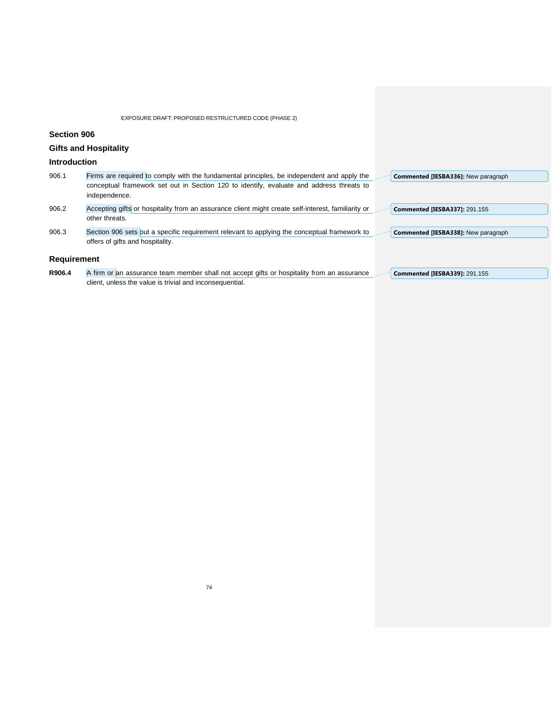# **Section 906**

# **Gifts and Hospitality**

## **Introduction**

| 906.1              | Firms are required to comply with the fundamental principles, be independent and apply the<br>conceptual framework set out in Section 120 to identify, evaluate and address threats to<br>independence. | Commented [IESBA336]: New paragraph  |
|--------------------|---------------------------------------------------------------------------------------------------------------------------------------------------------------------------------------------------------|--------------------------------------|
| 906.2              | Accepting gifts or hospitality from an assurance client might create self-interest, familiarity or<br>other threats.                                                                                    | <b>Commented [IESBA337]: 291.155</b> |
| 906.3              | Section 906 sets out a specific requirement relevant to applying the conceptual framework to<br>offers of gifts and hospitality.                                                                        | Commented [IESBA338]: New paragraph  |
| <b>Requirement</b> |                                                                                                                                                                                                         |                                      |

R906.4 A firm or an assurance team member shall not accept gifts or hospitality from an assurance client, unless the value is trivial and inconsequential. **Commented [IESBA339]:** 291.155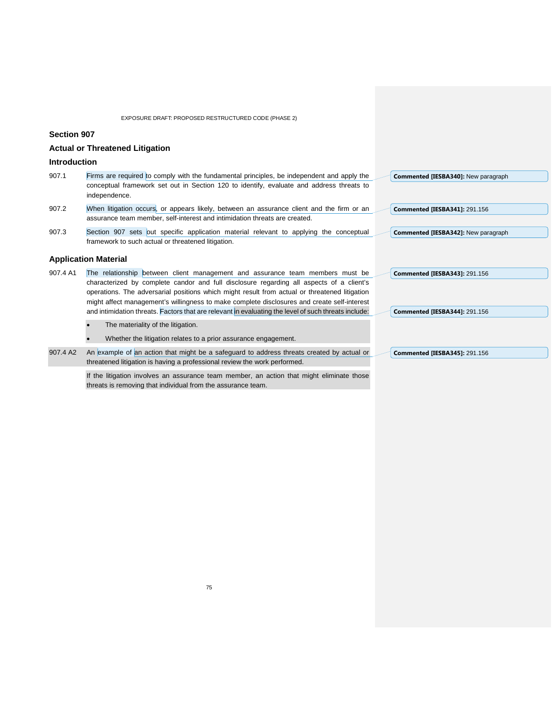**Section 907**

|  |  | <b>Actual or Threatened Litigation</b> |  |
|--|--|----------------------------------------|--|
|--|--|----------------------------------------|--|

## **Introduction**

| 907.1 | Firms are required to comply with the fundamental principles, be independent and apply the<br>Commented [IESBA340]: New paragraph |
|-------|-----------------------------------------------------------------------------------------------------------------------------------|
|       | conceptual framework set out in Section 120 to identify, evaluate and address threats to                                          |
|       | independence.                                                                                                                     |
| 907.2 | When litigation occurs, or appears likely, between an assurance client and the firm or an<br><b>Commented [IESBA341]: 291.156</b> |
|       | assurance team member, self-interest and intimidation threats are created.                                                        |
| 907.3 | Section 907 sets out specific application material relevant to applying the conceptual<br>Commented [IESBA342]: New paragraph     |

907.3 Section 907 sets out specific application material relevant to applying the conceptual framework to such actual or threatened litigation.

## **Application Material**

| 907.4 A1 | The relationship between client management and assurance team members must be                                                                                          | <b>Commented [IESBA343]: 291.156</b> |
|----------|------------------------------------------------------------------------------------------------------------------------------------------------------------------------|--------------------------------------|
|          | characterized by complete candor and full disclosure regarding all aspects of a client's                                                                               |                                      |
|          | operations. The adversarial positions which might result from actual or threatened litigation                                                                          |                                      |
|          | might affect management's willingness to make complete disclosures and create self-interest                                                                            |                                      |
|          | and intimidation threats. Factors that are relevant in evaluating the level of such threats include:                                                                   | <b>Commented [IESBA344]: 291.156</b> |
|          | The materiality of the litigation.                                                                                                                                     |                                      |
|          | Whether the litigation relates to a prior assurance engagement.                                                                                                        |                                      |
| 907.4 A2 | An example of an action that might be a safeguard to address threats created by actual or<br>threatened litigation is having a professional review the work performed. | <b>Commented [IESBA345]: 291.156</b> |
|          |                                                                                                                                                                        |                                      |

If the litigation involves an assurance team member, an action that might eliminate those threats is removing that individual from the assurance team.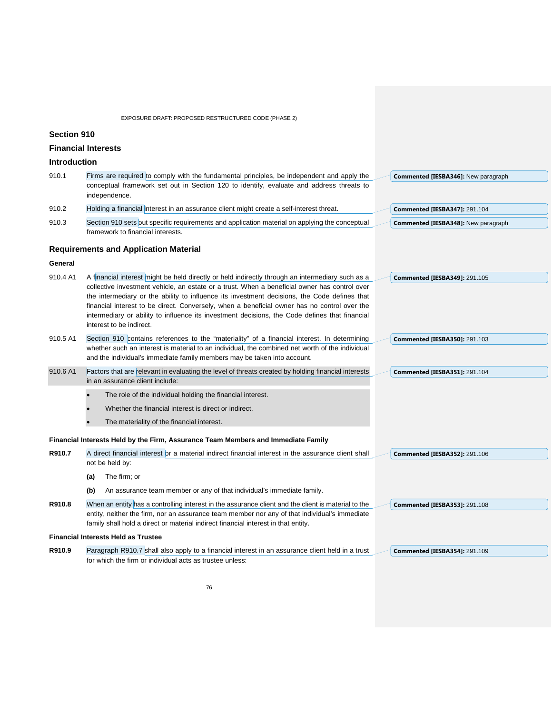### **Section 910**

### **Financial Interests**

### **Introduction**

| 910.1 | Firms are required to comply with the fundamental principles, be independent and apply the     | Commented [IESBA346]: New paragraph  |
|-------|------------------------------------------------------------------------------------------------|--------------------------------------|
|       | conceptual framework set out in Section 120 to identify, evaluate and address threats to       |                                      |
|       | independence.                                                                                  |                                      |
| 910.2 | Holding a financial interest in an assurance client might create a self-interest threat.       | <b>Commented [IESBA347]: 291.104</b> |
| 910.3 | Section 910 sets out specific requirements and application material on applying the conceptual | Commented [IESBA348]: New paragraph  |
|       | framework to financial interests.                                                              |                                      |
|       | <b>Requirements and Application Material</b>                                                   |                                      |

#### **General**

| 910.4 A1 | A financial interest might be held directly or held indirectly through an intermediary such as a | <b>Commented [IESBA349]: 291.105</b> |
|----------|--------------------------------------------------------------------------------------------------|--------------------------------------|
|          | collective investment vehicle, an estate or a trust. When a beneficial owner has control over    |                                      |
|          | the intermediary or the ability to influence its investment decisions, the Code defines that     |                                      |
|          | financial interest to be direct. Conversely, when a beneficial owner has no control over the     |                                      |
|          | intermediary or ability to influence its investment decisions, the Code defines that financial   |                                      |
|          | interest to be indirect.                                                                         |                                      |
| 910.5 A1 | Section 910 contains references to the "materiality" of a financial interest. In determining     | <b>Commented [IESBA350]: 291.103</b> |
|          | whether such an interest is material to an individual, the combined net worth of the individual  |                                      |

- and the individual's immediate family members may be taken into account.
- 910.6 A1 Factors that are relevant in evaluating the level of threats created by holding financial interests in an assurance client include: **Commented [IESBA351]:** 291.104
	- The role of the individual holding the financial interest.
	- Whether the financial interest is direct or indirect.
	- The materiality of the financial interest.

#### **Financial Interests Held by the Firm, Assurance Team Members and Immediate Family**

- **R910.7** A direct financial interest or a material indirect financial interest in the assurance client shall not be held by: **Commented [IESBA352]:** 291.106
	- **(a)** The firm; or

**(b)** An assurance team member or any of that individual's immediate family.

**R910.8** When an entity has a controlling interest in the assurance client and the client is material to the entity, neither the firm, nor an assurance team member nor any of that individual's immediate family shall hold a direct or material indirect financial interest in that entity. **Commented [IESBA353]:** 291.108

#### **Financial Interests Held as Trustee**

**R910.9** Paragraph R910.7 shall also apply to a financial interest in an assurance client held in a trust for which the firm or individual acts as trustee unless: **Commented [IESBA354]:** 291.109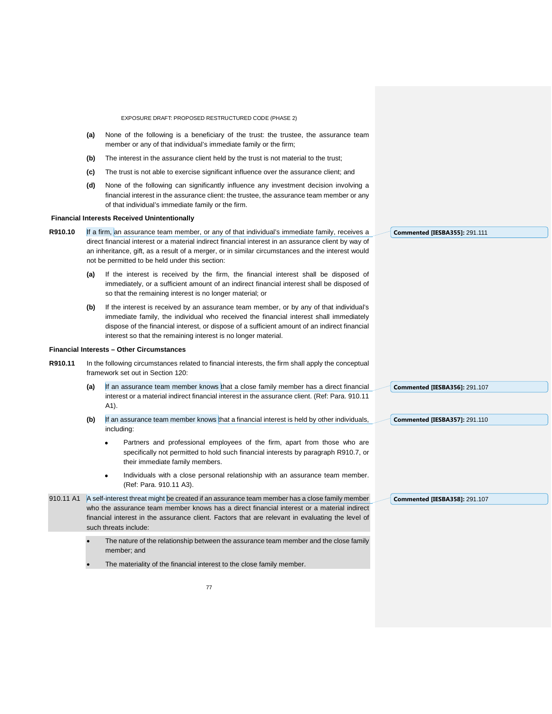EXPOSURE DRAFT: PROPOSED RESTRUCTURED CODE (PHASE 2) **(a)** None of the following is a beneficiary of the trust: the trustee, the assurance team member or any of that individual's immediate family or the firm; **(b)** The interest in the assurance client held by the trust is not material to the trust; **(c)** The trust is not able to exercise significant influence over the assurance client; and **(d)** None of the following can significantly influence any investment decision involving a financial interest in the assurance client: the trustee, the assurance team member or any of that individual's immediate family or the firm. **Financial Interests Received Unintentionally R910.10** If a firm, an assurance team member, or any of that individual's immediate family, receives a direct financial interest or a material indirect financial interest in an assurance client by way of an inheritance, gift, as a result of a merger, or in similar circumstances and the interest would not be permitted to be held under this section: **(a)** If the interest is received by the firm, the financial interest shall be disposed of immediately, or a sufficient amount of an indirect financial interest shall be disposed of so that the remaining interest is no longer material; or **(b)** If the interest is received by an assurance team member, or by any of that individual's immediate family, the individual who received the financial interest shall immediately dispose of the financial interest, or dispose of a sufficient amount of an indirect financial interest so that the remaining interest is no longer material. **Financial Interests – Other Circumstances R910.11** In the following circumstances related to financial interests, the firm shall apply the conceptual framework set out in Section 120: (a) If an assurance team member knows that a close family member has a direct financial interest or a material indirect financial interest in the assurance client. (Ref: Para. 910.11 A1). **(b)** If an assurance team member knows that a financial interest is held by other individuals, including: • Partners and professional employees of the firm, apart from those who are specifically not permitted to hold such financial interests by paragraph R910.7, or their immediate family members. • Individuals with a close personal relationship with an assurance team member. (Ref: Para. 910.11 A3). 910.11 A1 A self-interest threat might be created if an assurance team member has a close family member who the assurance team member knows has a direct financial interest or a material indirect financial interest in the assurance client. Factors that are relevant in evaluating the level of such threats include: The nature of the relationship between the assurance team member and the close family member; and The materiality of the financial interest to the close family member. **Commented [IESBA355]:** 291.111 **Commented [IESBA356]:** 291.107 **Commented [IESBA357]:** 291.110 **Commented [IESBA358]:** 291.107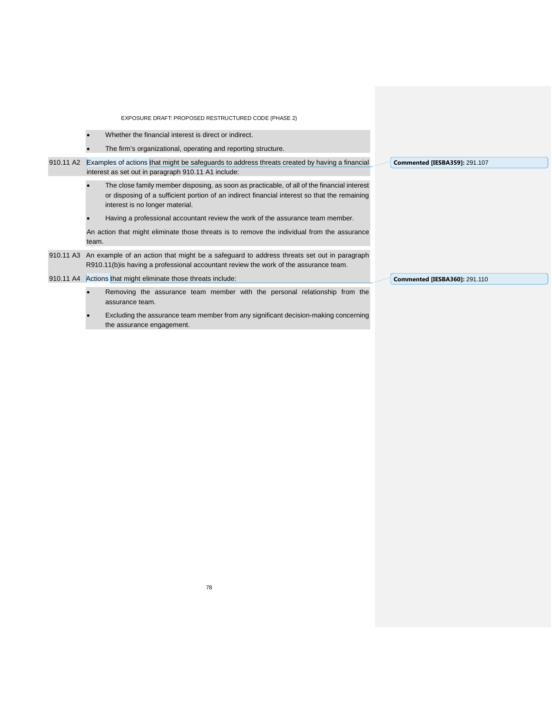| EXPOSURE DRAFT: PROPOSED RESTRUCTURED CODE (PHASE 2)                                                                                                                                                                           |  |
|--------------------------------------------------------------------------------------------------------------------------------------------------------------------------------------------------------------------------------|--|
| Whether the financial interest is direct or indirect.                                                                                                                                                                          |  |
| The firm's organizational, operating and reporting structure.                                                                                                                                                                  |  |
| Examples of actions that might be safeguards to address threats created by having a financial<br>910.11 A2<br><b>Commented [IESBA359]: 291.107</b><br>interest as set out in paragraph 910.11 A1 include:                      |  |
| The close family member disposing, as soon as practicable, of all of the financial interest<br>or disposing of a sufficient portion of an indirect financial interest so that the remaining<br>interest is no longer material. |  |
| Having a professional accountant review the work of the assurance team member.                                                                                                                                                 |  |
| An action that might eliminate those threats is to remove the individual from the assurance<br>team.                                                                                                                           |  |
| 910.11 A3 An example of an action that might be a safeguard to address threats set out in paragraph<br>R910.11(b) is having a professional accountant review the work of the assurance team.                                   |  |
| 910.11 A4 Actions that might eliminate those threats include:<br><b>Commented [IESBA360]: 291.110</b>                                                                                                                          |  |
| Removing the assurance team member with the personal relationship from the<br>assurance team.                                                                                                                                  |  |
| Excluding the assurance team member from any significant decision-making concerning<br>the assurance engagement.                                                                                                               |  |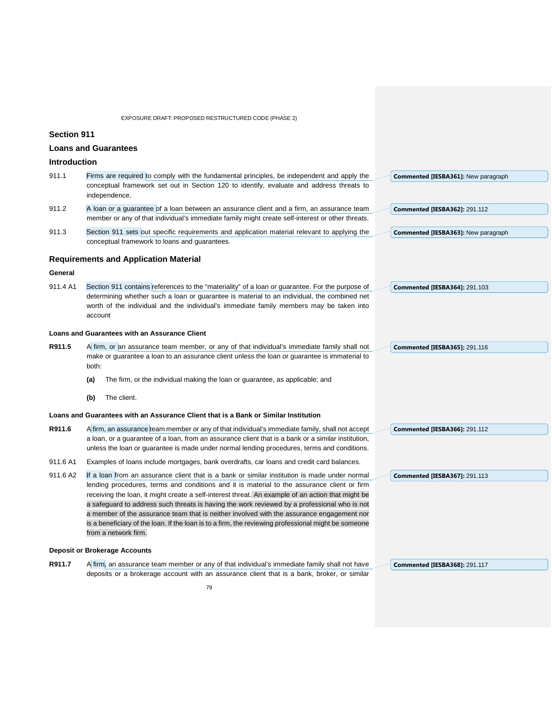|                     | EXPOSURE DRAFT: PROPOSED RESTRUCTURED CODE (PHASE 2)                                                                                                                                                  |                                            |
|---------------------|-------------------------------------------------------------------------------------------------------------------------------------------------------------------------------------------------------|--------------------------------------------|
| <b>Section 911</b>  |                                                                                                                                                                                                       |                                            |
|                     | <b>Loans and Guarantees</b>                                                                                                                                                                           |                                            |
| <b>Introduction</b> |                                                                                                                                                                                                       |                                            |
| 911.1               | Firms are required to comply with the fundamental principles, be independent and apply the                                                                                                            | <b>Commented [IESBA361]: New paragraph</b> |
|                     | conceptual framework set out in Section 120 to identify, evaluate and address threats to<br>independence.                                                                                             |                                            |
| 911.2               | A loan or a guarantee of a loan between an assurance client and a firm, an assurance team<br>member or any of that individual's immediate family might create self-interest or other threats.         | <b>Commented [IESBA362]: 291.112</b>       |
| 911.3               | Section 911 sets out specific requirements and application material relevant to applying the<br>conceptual framework to loans and guarantees.                                                         | Commented [IESBA363]: New paragraph        |
|                     | <b>Requirements and Application Material</b>                                                                                                                                                          |                                            |
| General             |                                                                                                                                                                                                       |                                            |
| 911.4 A1            | Section 911 contains references to the "materiality" of a loan or guarantee. For the purpose of                                                                                                       | <b>Commented [IESBA364]: 291.103</b>       |
|                     | determining whether such a loan or guarantee is material to an individual, the combined net<br>worth of the individual and the individual's immediate family members may be taken into<br>account     |                                            |
|                     | Loans and Guarantees with an Assurance Client                                                                                                                                                         |                                            |
| R911.5              | A firm, or an assurance team member, or any of that individual's immediate family shall not<br>make or guarantee a loan to an assurance client unless the loan or guarantee is immaterial to<br>both: | <b>Commented [IESBA365]: 291.116</b>       |
|                     | The firm, or the individual making the loan or guarantee, as applicable; and<br>(a)                                                                                                                   |                                            |
|                     | The client.<br>(b)                                                                                                                                                                                    |                                            |
|                     | Loans and Guarantees with an Assurance Client that is a Bank or Similar Institution                                                                                                                   |                                            |
| R911.6              | A firm, an assurance team member or any of that individual's immediate family, shall not accept                                                                                                       | <b>Commented [IESBA366]: 291.112</b>       |
|                     | a loan, or a guarantee of a loan, from an assurance client that is a bank or a similar institution,<br>unless the loan or guarantee is made under normal lending procedures, terms and conditions.    |                                            |
| 911.6 A1            | Examples of loans include mortgages, bank overdrafts, car loans and credit card balances.                                                                                                             |                                            |
| 911.6 A2            | If a loan from an assurance client that is a bank or similar institution is made under normal                                                                                                         | <b>Commented [IESBA367]: 291.113</b>       |
|                     | lending procedures, terms and conditions and it is material to the assurance client or firm<br>receiving the loan, it might create a self-interest threat. An example of an action that might be      |                                            |
|                     | a safeguard to address such threats is having the work reviewed by a professional who is not                                                                                                          |                                            |
|                     | a member of the assurance team that is neither involved with the assurance engagement nor                                                                                                             |                                            |
|                     | is a beneficiary of the loan. If the loan is to a firm, the reviewing professional might be someone<br>from a network firm.                                                                           |                                            |
|                     | <b>Deposit or Brokerage Accounts</b>                                                                                                                                                                  |                                            |
| R911.7              | A firm, an assurance team member or any of that individual's immediate family shall not have                                                                                                          | <b>Commented [IESBA368]: 291.117</b>       |
|                     | deposits or a brokerage account with an assurance client that is a bank, broker, or similar                                                                                                           |                                            |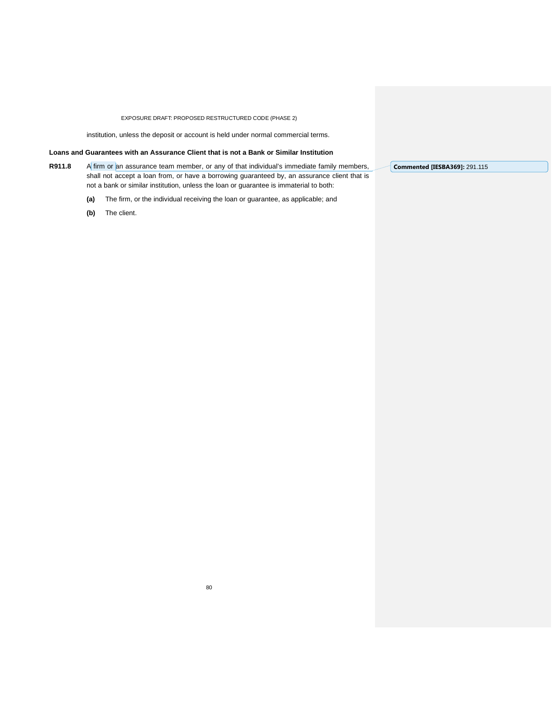institution, unless the deposit or account is held under normal commercial terms.

### **Loans and Guarantees with an Assurance Client that is not a Bank or Similar Institution**

**R911.8** A firm or an assurance team member, or any of that individual's immediate family members, shall not accept a loan from, or have a borrowing guaranteed by, an assurance client that is not a bank or similar institution, unless the loan or guarantee is immaterial to both:

- **(a)** The firm, or the individual receiving the loan or guarantee, as applicable; and
- **(b)** The client.

**Commented [IESBA369]:** 291.115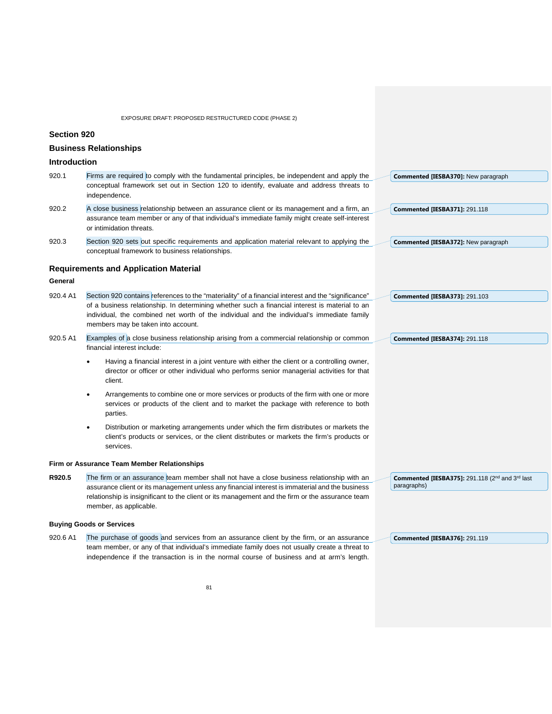|                     | EXPOSURE DRAFT: PROPOSED RESTRUCTURED CODE (PHASE 2)                                                                                                                                                                                                                                                                       |                                                                                               |
|---------------------|----------------------------------------------------------------------------------------------------------------------------------------------------------------------------------------------------------------------------------------------------------------------------------------------------------------------------|-----------------------------------------------------------------------------------------------|
| <b>Section 920</b>  |                                                                                                                                                                                                                                                                                                                            |                                                                                               |
|                     | <b>Business Relationships</b>                                                                                                                                                                                                                                                                                              |                                                                                               |
| <b>Introduction</b> |                                                                                                                                                                                                                                                                                                                            |                                                                                               |
| 920.1               | Firms are required to comply with the fundamental principles, be independent and apply the<br>conceptual framework set out in Section 120 to identify, evaluate and address threats to<br>independence.                                                                                                                    | <b>Commented [IESBA370]: New paragraph</b>                                                    |
| 920.2               | A close business relationship between an assurance client or its management and a firm, an<br>assurance team member or any of that individual's immediate family might create self-interest<br>or intimidation threats.                                                                                                    | <b>Commented [IESBA371]: 291.118</b>                                                          |
| 920.3               | Section 920 sets out specific requirements and application material relevant to applying the<br>conceptual framework to business relationships.                                                                                                                                                                            | <b>Commented [IESBA372]: New paragraph</b>                                                    |
|                     | <b>Requirements and Application Material</b>                                                                                                                                                                                                                                                                               |                                                                                               |
| General             |                                                                                                                                                                                                                                                                                                                            |                                                                                               |
| 920.4 A1            | Section 920 contains references to the "materiality" of a financial interest and the "significance"                                                                                                                                                                                                                        | <b>Commented [IESBA373]: 291.103</b>                                                          |
|                     | of a business relationship. In determining whether such a financial interest is material to an<br>individual, the combined net worth of the individual and the individual's immediate family<br>members may be taken into account.                                                                                         |                                                                                               |
| 920.5 A1            | Examples of a close business relationship arising from a commercial relationship or common<br>financial interest include:                                                                                                                                                                                                  | <b>Commented [IESBA374]: 291.118</b>                                                          |
|                     | Having a financial interest in a joint venture with either the client or a controlling owner,<br>director or officer or other individual who performs senior managerial activities for that<br>client.                                                                                                                     |                                                                                               |
|                     | Arrangements to combine one or more services or products of the firm with one or more<br>services or products of the client and to market the package with reference to both<br>parties.                                                                                                                                   |                                                                                               |
|                     | Distribution or marketing arrangements under which the firm distributes or markets the<br>client's products or services, or the client distributes or markets the firm's products or<br>services.                                                                                                                          |                                                                                               |
|                     | Firm or Assurance Team Member Relationships                                                                                                                                                                                                                                                                                |                                                                                               |
| R920.5              | The firm or an assurance team member shall not have a close business relationship with an<br>assurance client or its management unless any financial interest is immaterial and the business<br>relationship is insignificant to the client or its management and the firm or the assurance team<br>member, as applicable. | <b>Commented [IESBA375]:</b> 291.118 (2 <sup>nd</sup> and 3 <sup>rd</sup> last<br>paragraphs) |
|                     | <b>Buying Goods or Services</b>                                                                                                                                                                                                                                                                                            |                                                                                               |
| 920.6 A1            | The purchase of goods and services from an assurance client by the firm, or an assurance<br>team member, or any of that individual's immediate family does not usually create a threat to<br>independence if the transaction is in the normal course of business and at arm's length.                                      | <b>Commented [IESBA376]: 291.119</b>                                                          |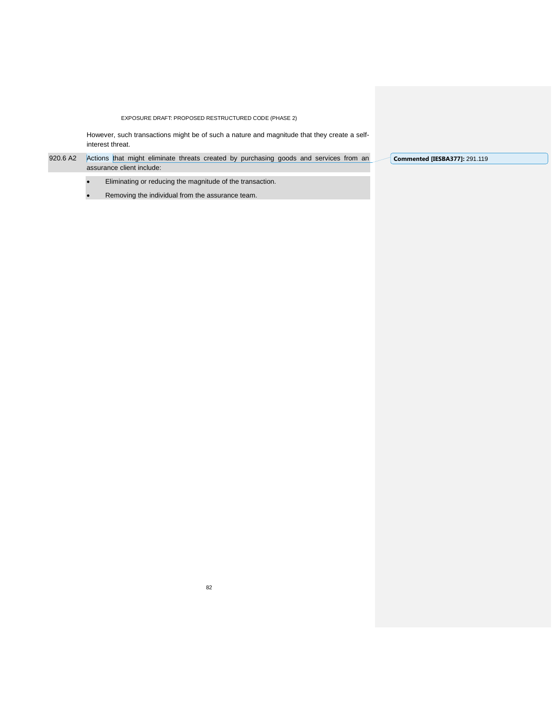However, such transactions might be of such a nature and magnitude that they create a selfinterest threat.

920.6 A2 Actions that might eliminate threats created by purchasing goods and services from an assurance client include:

- Eliminating or reducing the magnitude of the transaction.
- Removing the individual from the assurance team.

**Commented [IESBA377]:** 291.119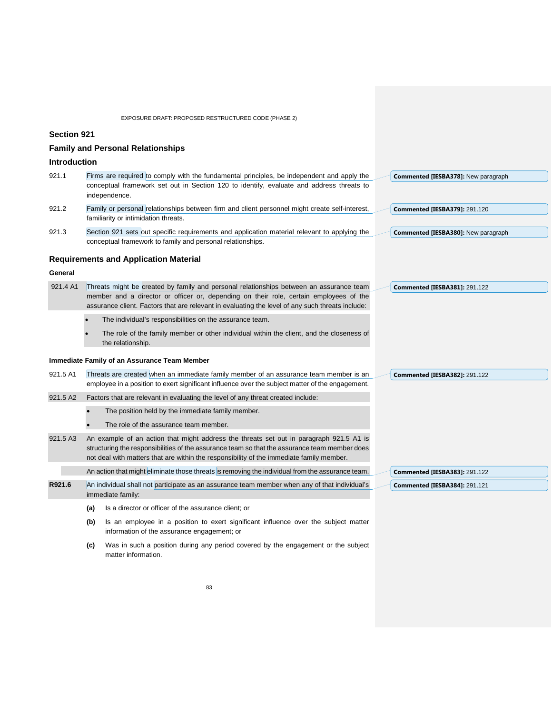|                     | EXPOSURE DRAFT: PROPOSED RESTRUCTURED CODE (PHASE 2)                                                                                                                                                                                                                                  |                                      |
|---------------------|---------------------------------------------------------------------------------------------------------------------------------------------------------------------------------------------------------------------------------------------------------------------------------------|--------------------------------------|
| <b>Section 921</b>  |                                                                                                                                                                                                                                                                                       |                                      |
|                     | <b>Family and Personal Relationships</b>                                                                                                                                                                                                                                              |                                      |
| <b>Introduction</b> |                                                                                                                                                                                                                                                                                       |                                      |
| 921.1               | Firms are required to comply with the fundamental principles, be independent and apply the<br>conceptual framework set out in Section 120 to identify, evaluate and address threats to<br>independence.                                                                               | Commented [IESBA378]: New paragraph  |
| 921.2               | Family or personal relationships between firm and client personnel might create self-interest,<br>familiarity or intimidation threats.                                                                                                                                                | Commented [IESBA379]: 291.120        |
| 921.3               | Section 921 sets out specific requirements and application material relevant to applying the<br>conceptual framework to family and personal relationships.                                                                                                                            | Commented [IESBA380]: New paragraph  |
|                     | <b>Requirements and Application Material</b>                                                                                                                                                                                                                                          |                                      |
| General             |                                                                                                                                                                                                                                                                                       |                                      |
| 921.4 A1            | Threats might be created by family and personal relationships between an assurance team<br>member and a director or officer or, depending on their role, certain employees of the<br>assurance client. Factors that are relevant in evaluating the level of any such threats include: | Commented [IESBA381]: 291.122        |
|                     | The individual's responsibilities on the assurance team.                                                                                                                                                                                                                              |                                      |
|                     | The role of the family member or other individual within the client, and the closeness of<br>the relationship.                                                                                                                                                                        |                                      |
|                     | Immediate Family of an Assurance Team Member                                                                                                                                                                                                                                          |                                      |
| 921.5 A1            | Threats are created when an immediate family member of an assurance team member is an<br>employee in a position to exert significant influence over the subject matter of the engagement.                                                                                             | <b>Commented [IESBA382]: 291.122</b> |
| 921.5 A2            | Factors that are relevant in evaluating the level of any threat created include:                                                                                                                                                                                                      |                                      |
|                     | The position held by the immediate family member.                                                                                                                                                                                                                                     |                                      |
|                     | The role of the assurance team member.                                                                                                                                                                                                                                                |                                      |
| 921.5 A3            | An example of an action that might address the threats set out in paragraph 921.5 A1 is<br>structuring the responsibilities of the assurance team so that the assurance team member does<br>not deal with matters that are within the responsibility of the immediate family member.  |                                      |
|                     | An action that might eliminate those threats is removing the individual from the assurance team.                                                                                                                                                                                      | Commented [IESBA383]: 291.122        |
| R921.6              | An individual shall not participate as an assurance team member when any of that individual's<br>immediate family:                                                                                                                                                                    | <b>Commented [IESBA384]: 291.121</b> |
|                     | Is a director or officer of the assurance client; or<br>(a)                                                                                                                                                                                                                           |                                      |
|                     | Is an employee in a position to exert significant influence over the subject matter<br>(b)<br>information of the assurance engagement; or                                                                                                                                             |                                      |

**(c)** Was in such a position during any period covered by the engagement or the subject matter information.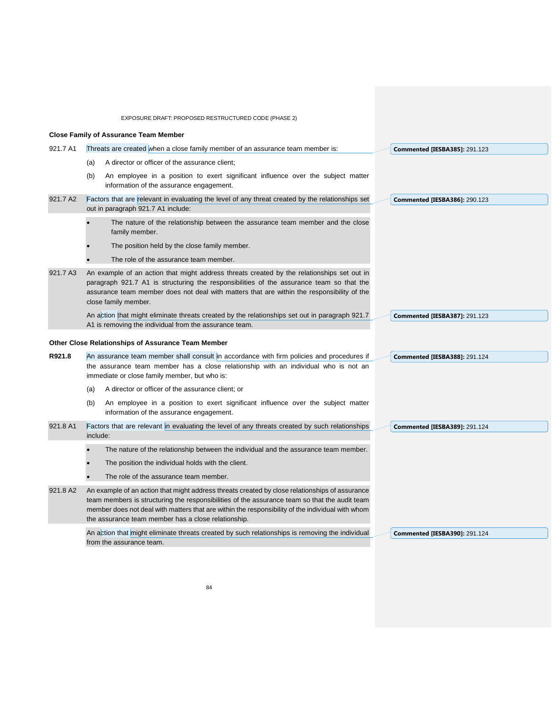|          | EXPOSURE DRAFT: PROPOSED RESTRUCTURED CODE (PHASE 2)                                                                                                                                                                                                                                                                                                       |                                      |
|----------|------------------------------------------------------------------------------------------------------------------------------------------------------------------------------------------------------------------------------------------------------------------------------------------------------------------------------------------------------------|--------------------------------------|
|          | <b>Close Family of Assurance Team Member</b>                                                                                                                                                                                                                                                                                                               |                                      |
| 921.7 A1 | Threats are created when a close family member of an assurance team member is:                                                                                                                                                                                                                                                                             | <b>Commented [IESBA385]: 291.123</b> |
|          | A director or officer of the assurance client;<br>(a)                                                                                                                                                                                                                                                                                                      |                                      |
|          | An employee in a position to exert significant influence over the subject matter<br>(b)<br>information of the assurance engagement.                                                                                                                                                                                                                        |                                      |
| 921.7 A2 | Factors that are relevant in evaluating the level of any threat created by the relationships set<br>out in paragraph 921.7 A1 include:                                                                                                                                                                                                                     | <b>Commented [IESBA386]: 290.123</b> |
|          | The nature of the relationship between the assurance team member and the close<br>family member.                                                                                                                                                                                                                                                           |                                      |
|          | The position held by the close family member.                                                                                                                                                                                                                                                                                                              |                                      |
|          | The role of the assurance team member.                                                                                                                                                                                                                                                                                                                     |                                      |
| 921.7 A3 | An example of an action that might address threats created by the relationships set out in<br>paragraph 921.7 A1 is structuring the responsibilities of the assurance team so that the<br>assurance team member does not deal with matters that are within the responsibility of the<br>close family member.                                               |                                      |
|          | An action that might eliminate threats created by the relationships set out in paragraph 921.7                                                                                                                                                                                                                                                             | <b>Commented [IESBA387]: 291.123</b> |
|          | A1 is removing the individual from the assurance team.                                                                                                                                                                                                                                                                                                     |                                      |
|          | Other Close Relationships of Assurance Team Member                                                                                                                                                                                                                                                                                                         |                                      |
| R921.8   | An assurance team member shall consult in accordance with firm policies and procedures if<br>the assurance team member has a close relationship with an individual who is not an<br>immediate or close family member, but who is:                                                                                                                          | <b>Commented [IESBA388]: 291.124</b> |
|          | A director or officer of the assurance client; or<br>(a)                                                                                                                                                                                                                                                                                                   |                                      |
|          | An employee in a position to exert significant influence over the subject matter<br>(b)<br>information of the assurance engagement.                                                                                                                                                                                                                        |                                      |
| 921.8 A1 | Factors that are relevant in evaluating the level of any threats created by such relationships<br>include:                                                                                                                                                                                                                                                 | <b>Commented [IESBA389]: 291.124</b> |
|          | The nature of the relationship between the individual and the assurance team member.                                                                                                                                                                                                                                                                       |                                      |
|          | The position the individual holds with the client.                                                                                                                                                                                                                                                                                                         |                                      |
|          | The role of the assurance team member.                                                                                                                                                                                                                                                                                                                     |                                      |
| 921.8 A2 | An example of an action that might address threats created by close relationships of assurance<br>team members is structuring the responsibilities of the assurance team so that the audit team<br>member does not deal with matters that are within the responsibility of the individual with whom<br>the assurance team member has a close relationship. |                                      |
|          | An action that might eliminate threats created by such relationships is removing the individual<br>from the assurance team.                                                                                                                                                                                                                                | <b>Commented [IESBA390]: 291.124</b> |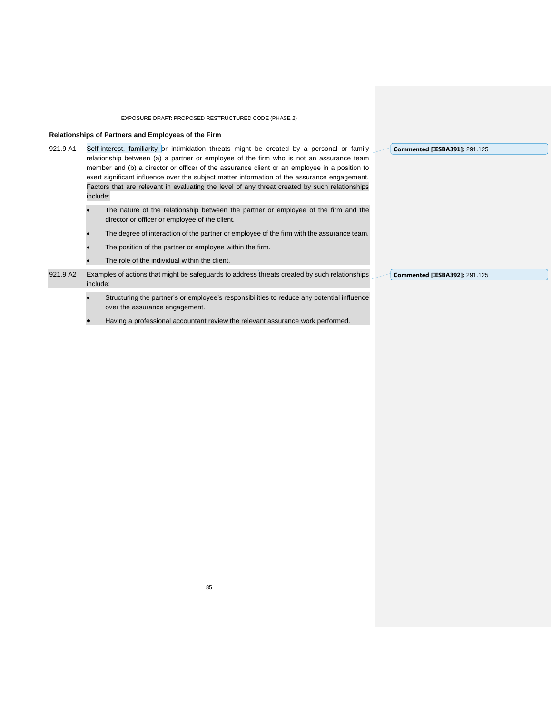#### **Relationships of Partners and Employees of the Firm**

- 921.9 A1 Self-interest, familiarity or intimidation threats might be created by a personal or family relationship between (a) a partner or employee of the firm who is not an assurance team member and (b) a director or officer of the assurance client or an employee in a position to exert significant influence over the subject matter information of the assurance engagement. Factors that are relevant in evaluating the level of any threat created by such relationships include:
	- The nature of the relationship between the partner or employee of the firm and the director or officer or employee of the client.
	- The degree of interaction of the partner or employee of the firm with the assurance team.
	- The position of the partner or employee within the firm.
	- The role of the individual within the client.
- 921.9 A2 Examples of actions that might be safeguards to address threats created by such relationships include:
	- Structuring the partner's or employee's responsibilities to reduce any potential influence over the assurance engagement.
	- Having a professional accountant review the relevant assurance work performed.

**Commented [IESBA391]:** 291.125

**Commented [IESBA392]:** 291.125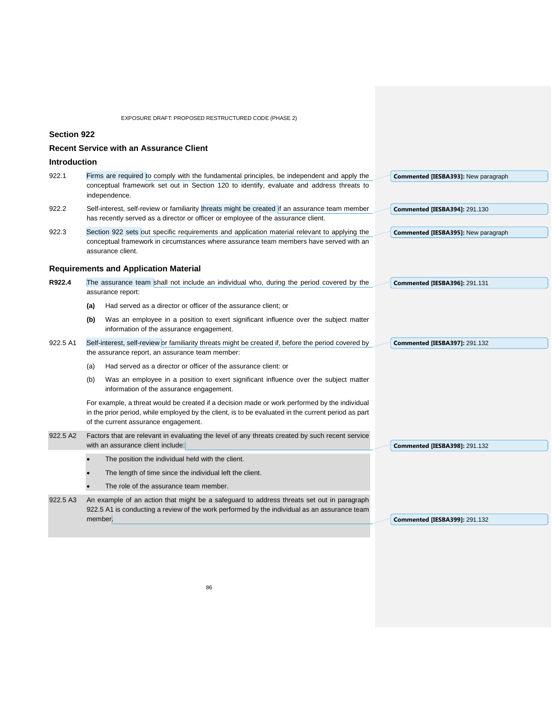**Section 922**

|                     | <b>Recent Service with an Assurance Client</b>                                                                                                                                                                                               |                                      |
|---------------------|----------------------------------------------------------------------------------------------------------------------------------------------------------------------------------------------------------------------------------------------|--------------------------------------|
| <b>Introduction</b> |                                                                                                                                                                                                                                              |                                      |
| 922.1               | Firms are required to comply with the fundamental principles, be independent and apply the<br>conceptual framework set out in Section 120 to identify, evaluate and address threats to<br>independence.                                      | Commented [IESBA393]: New paragraph  |
| 922.2               | Self-interest, self-review or familiarity threats might be created if an assurance team member<br>has recently served as a director or officer or employee of the assurance client.                                                          | <b>Commented [IESBA394]: 291.130</b> |
| 922.3               | Section 922 sets out specific requirements and application material relevant to applying the<br>conceptual framework in circumstances where assurance team members have served with an<br>assurance client.                                  | Commented [IESBA395]: New paragraph  |
|                     | <b>Requirements and Application Material</b>                                                                                                                                                                                                 |                                      |
| R922.4              | The assurance team shall not include an individual who, during the period covered by the<br>assurance report:                                                                                                                                | Commented [IESBA396]: 291.131        |
|                     | Had served as a director or officer of the assurance client; or<br>(a)                                                                                                                                                                       |                                      |
|                     | Was an employee in a position to exert significant influence over the subject matter<br>(b)<br>information of the assurance engagement.                                                                                                      |                                      |
| 922.5 A1            | Self-interest, self-review or familiarity threats might be created if, before the period covered by<br>the assurance report, an assurance team member:                                                                                       | <b>Commented [IESBA397]: 291.132</b> |
|                     | Had served as a director or officer of the assurance client: or<br>(a)                                                                                                                                                                       |                                      |
|                     | Was an employee in a position to exert significant influence over the subject matter<br>(b)<br>information of the assurance engagement.                                                                                                      |                                      |
|                     | For example, a threat would be created if a decision made or work performed by the individual<br>in the prior period, while employed by the client, is to be evaluated in the current period as part<br>of the current assurance engagement. |                                      |
| 922.5 A2            | Factors that are relevant in evaluating the level of any threats created by such recent service<br>with an assurance client include:                                                                                                         | <b>Commented [IESBA398]: 291.132</b> |
|                     | The position the individual held with the client.                                                                                                                                                                                            |                                      |
|                     | The length of time since the individual left the client.                                                                                                                                                                                     |                                      |
|                     | The role of the assurance team member.                                                                                                                                                                                                       |                                      |
| 922.5 A3            | An example of an action that might be a safeguard to address threats set out in paragraph<br>922.5 A1 is conducting a review of the work performed by the individual as an assurance team<br>member.                                         | <b>Commented [IESBA399]: 291.132</b> |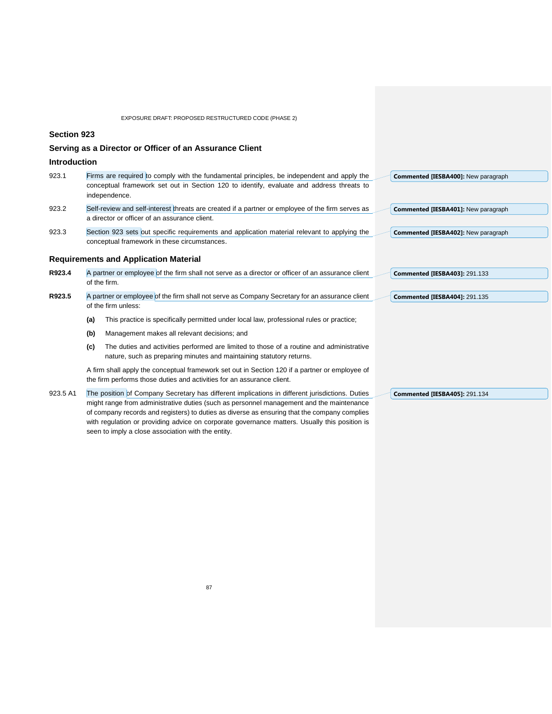**Section 923**

## **Serving as a Director or Officer of an Assurance Client**

**Introduction**

| 923.1 | Firms are required to comply with the fundamental principles, be independent and apply the       | <b>Commented IIESBA4001: New paragraph</b> |
|-------|--------------------------------------------------------------------------------------------------|--------------------------------------------|
|       | conceptual framework set out in Section 120 to identify, evaluate and address threats to         |                                            |
|       | independence.                                                                                    |                                            |
| 923.2 | Self-review and self-interest threats are created if a partner or employee of the firm serves as | Commented [IESBA401]: New paragraph        |
|       | a director or officer of an assurance client.                                                    |                                            |

923.3 Section 923 sets out specific requirements and application material relevant to applying the conceptual framework in these circumstances. **Commented [IESBA402]:** New paragraph

#### **Requirements and Application Material**

| R923.4 | A partner or employee of the firm shall not serve as a director or officer of an assurance client | $\sim$ Commented [IESBA403]: 291.133 |
|--------|---------------------------------------------------------------------------------------------------|--------------------------------------|
|        | of the firm.                                                                                      |                                      |

- **R923.5** A partner or employee of the firm shall not serve as Company Secretary for an assurance client of the firm unless: **Commented [IESBA404]:** 291.135
	- **(a)** This practice is specifically permitted under local law, professional rules or practice;
	- **(b)** Management makes all relevant decisions; and
	- **(c)** The duties and activities performed are limited to those of a routine and administrative nature, such as preparing minutes and maintaining statutory returns.

A firm shall apply the conceptual framework set out in Section 120 if a partner or employee of the firm performs those duties and activities for an assurance client.

923.5 A1 The position of Company Secretary has different implications in different jurisdictions. Duties might range from administrative duties (such as personnel management and the maintenance of company records and registers) to duties as diverse as ensuring that the company complies with regulation or providing advice on corporate governance matters. Usually this position is seen to imply a close association with the entity.

**Commented [IESBA405]:** 291.134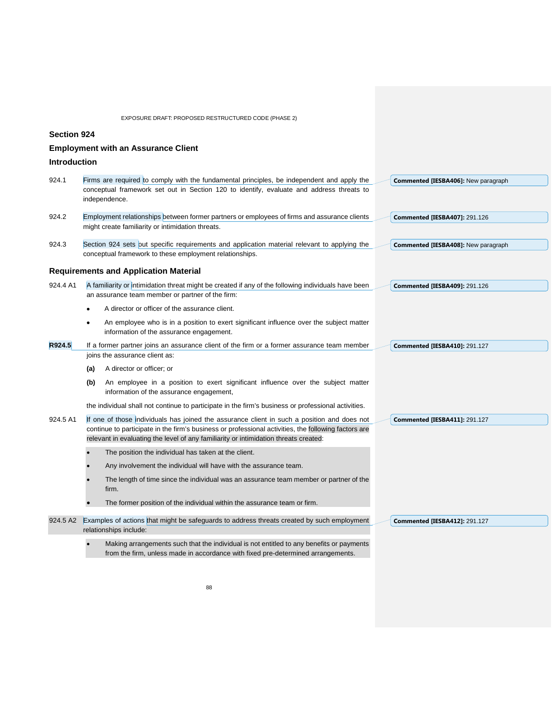|                     | EXPOSURE DRAFT: PROPOSED RESTRUCTURED CODE (PHASE 2)                                                                                                                                                                                                                                        |                                            |
|---------------------|---------------------------------------------------------------------------------------------------------------------------------------------------------------------------------------------------------------------------------------------------------------------------------------------|--------------------------------------------|
| <b>Section 924</b>  |                                                                                                                                                                                                                                                                                             |                                            |
|                     | <b>Employment with an Assurance Client</b>                                                                                                                                                                                                                                                  |                                            |
| <b>Introduction</b> |                                                                                                                                                                                                                                                                                             |                                            |
| 924.1               | Firms are required to comply with the fundamental principles, be independent and apply the<br>conceptual framework set out in Section 120 to identify, evaluate and address threats to<br>independence.                                                                                     | <b>Commented [IESBA406]:</b> New paragraph |
| 924.2               | Employment relationships between former partners or employees of firms and assurance clients<br>might create familiarity or intimidation threats.                                                                                                                                           | <b>Commented [IESBA407]: 291.126</b>       |
| 924.3               | Section 924 sets out specific requirements and application material relevant to applying the<br>conceptual framework to these employment relationships.                                                                                                                                     | <b>Commented [IESBA408]:</b> New paragraph |
|                     | <b>Requirements and Application Material</b>                                                                                                                                                                                                                                                |                                            |
| 924.4 A1            | A familiarity or intimidation threat might be created if any of the following individuals have been<br>an assurance team member or partner of the firm:                                                                                                                                     | <b>Commented [IESBA409]: 291.126</b>       |
|                     | A director or officer of the assurance client.                                                                                                                                                                                                                                              |                                            |
|                     | An employee who is in a position to exert significant influence over the subject matter<br>information of the assurance engagement.                                                                                                                                                         |                                            |
| R924.5              | If a former partner joins an assurance client of the firm or a former assurance team member                                                                                                                                                                                                 | <b>Commented [IESBA410]: 291.127</b>       |
|                     | joins the assurance client as:                                                                                                                                                                                                                                                              |                                            |
|                     | A director or officer; or<br>(a)                                                                                                                                                                                                                                                            |                                            |
|                     | An employee in a position to exert significant influence over the subject matter<br>(b)<br>information of the assurance engagement,                                                                                                                                                         |                                            |
|                     | the individual shall not continue to participate in the firm's business or professional activities.                                                                                                                                                                                         |                                            |
| 924.5 A1            | If one of those individuals has joined the assurance client in such a position and does not<br>continue to participate in the firm's business or professional activities, the following factors are<br>relevant in evaluating the level of any familiarity or intimidation threats created: | <b>Commented [IESBA411]: 291.127</b>       |
|                     | The position the individual has taken at the client.                                                                                                                                                                                                                                        |                                            |
|                     | Any involvement the individual will have with the assurance team.                                                                                                                                                                                                                           |                                            |
|                     | The length of time since the individual was an assurance team member or partner of the<br>firm.                                                                                                                                                                                             |                                            |
|                     | The former position of the individual within the assurance team or firm.                                                                                                                                                                                                                    |                                            |
| 924.5 A2            | Examples of actions that might be safeguards to address threats created by such employment<br>relationships include:                                                                                                                                                                        | <b>Commented [IESBA412]: 291.127</b>       |
|                     | Making arrangements such that the individual is not entitled to any benefits or payments                                                                                                                                                                                                    |                                            |

from the firm, unless made in accordance with fixed pre-determined arrangements.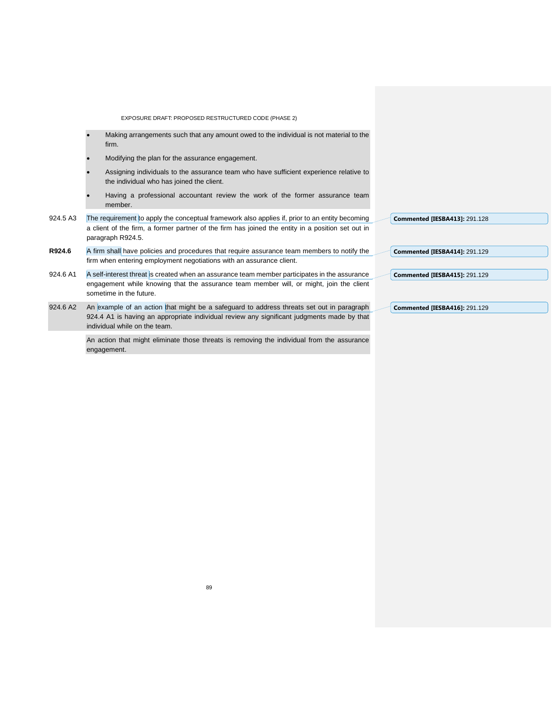EXPOSURE DRAFT: PROPOSED RESTRUCTURED CODE (PHASE 2) • Making arrangements such that any amount owed to the individual is not material to the firm. • Modifying the plan for the assurance engagement. • Assigning individuals to the assurance team who have sufficient experience relative to the individual who has joined the client. Having a professional accountant review the work of the former assurance team member. 924.5 A3 The requirement to apply the conceptual framework also applies if, prior to an entity becoming a client of the firm, a former partner of the firm has joined the entity in a position set out in paragraph R924.5. **R924.6** A firm shall have policies and procedures that require assurance team members to notify the firm when entering employment negotiations with an assurance client. 924.6 A1 A self-interest threat is created when an assurance team member participates in the assurance engagement while knowing that the assurance team member will, or might, join the client sometime in the future. 924.6 A2 An example of an action that might be a safeguard to address threats set out in paragraph 924.4 A1 is having an appropriate individual review any significant judgments made by that individual while on the team. An action that might eliminate those threats is removing the individual from the assurance **Commented [IESBA413]:** 291.128 **Commented [IESBA414]:** 291.129 **Commented [IESBA415]:** 291.129 **Commented [IESBA416]:** 291.129

engagement.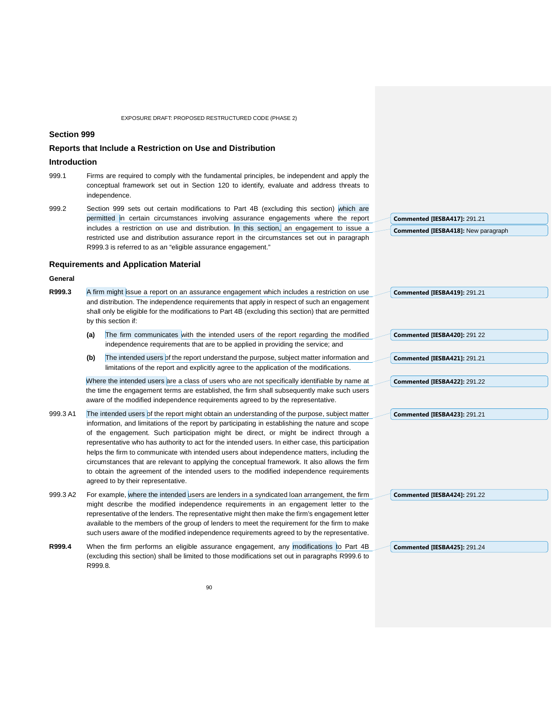### **Section 999**

### **Reports that Include a Restriction on Use and Distribution**

#### **Introduction**

- 999.1 Firms are required to comply with the fundamental principles, be independent and apply the conceptual framework set out in Section 120 to identify, evaluate and address threats to independence.
- 999.2 Section 999 sets out certain modifications to Part 4B (excluding this section) which are permitted in certain circumstances involving assurance engagements where the report includes a restriction on use and distribution. In this section, an engagement to issue a restricted use and distribution assurance report in the circumstances set out in paragraph R999.3 is referred to as an "eligible assurance engagement."

#### **Requirements and Application Material**

#### **General**

- **R999.3** A firm might issue a report on an assurance engagement which includes a restriction on use and distribution. The independence requirements that apply in respect of such an engagement shall only be eligible for the modifications to Part 4B (excluding this section) that are permitted by this section if:
	- **(a)** The firm communicates with the intended users of the report regarding the modified independence requirements that are to be applied in providing the service; and
	- (b) The intended users of the report understand the purpose, subject matter information and limitations of the report and explicitly agree to the application of the modifications.

Where the intended users are a class of users who are not specifically identifiable by name at the time the engagement terms are established, the firm shall subsequently make such users aware of the modified independence requirements agreed to by the representative.

- 999.3 A1 The intended users of the report might obtain an understanding of the purpose, subject matter information, and limitations of the report by participating in establishing the nature and scope of the engagement. Such participation might be direct, or might be indirect through a representative who has authority to act for the intended users. In either case, this participation helps the firm to communicate with intended users about independence matters, including the circumstances that are relevant to applying the conceptual framework. It also allows the firm to obtain the agreement of the intended users to the modified independence requirements agreed to by their representative.
- 999.3 A2 For example, where the intended users are lenders in a syndicated loan arrangement, the firm might describe the modified independence requirements in an engagement letter to the representative of the lenders. The representative might then make the firm's engagement letter available to the members of the group of lenders to meet the requirement for the firm to make such users aware of the modified independence requirements agreed to by the representative.
- **R999.4** When the firm performs an eligible assurance engagement, any modifications to Part 4B (excluding this section) shall be limited to those modifications set out in paragraphs R999.6 to R999.8.

**Commented [IESBA417]:** 291.21 **Commented [IESBA418]:** New paragraph

**Commented [IESBA420]:** 291 22

**Commented [IESBA419]:** 291.21

**Commented [IESBA421]:** 291.21

**Commented [IESBA422]:** 291.22

**Commented [IESBA423]:** 291.21

**Commented [IESBA424]:** 291.22

**Commented [IESBA425]:** 291.24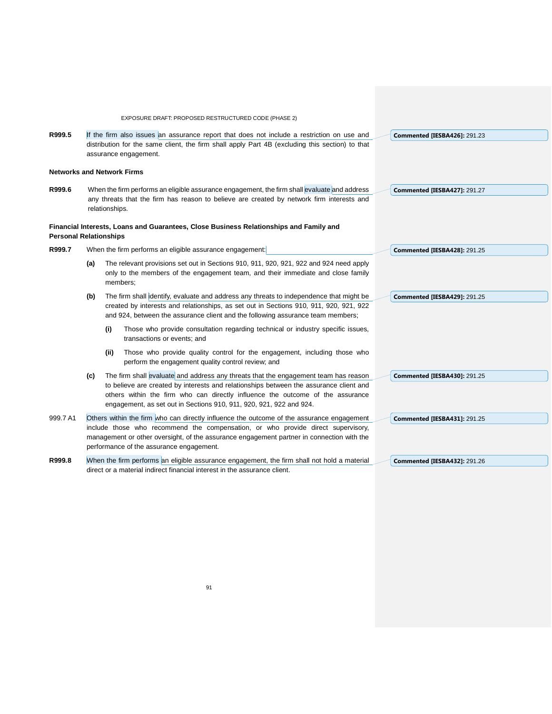|                               |     | EXPOSURE DRAFT: PROPOSED RESTRUCTURED CODE (PHASE 2)                                                                                                                                                                                                                                                                                   |                                     |
|-------------------------------|-----|----------------------------------------------------------------------------------------------------------------------------------------------------------------------------------------------------------------------------------------------------------------------------------------------------------------------------------------|-------------------------------------|
| R999.5                        |     | If the firm also issues an assurance report that does not include a restriction on use and                                                                                                                                                                                                                                             | <b>Commented [IESBA426]: 291.23</b> |
|                               |     | distribution for the same client, the firm shall apply Part 4B (excluding this section) to that<br>assurance engagement.                                                                                                                                                                                                               |                                     |
|                               |     | <b>Networks and Network Firms</b>                                                                                                                                                                                                                                                                                                      |                                     |
| R999.6                        |     | When the firm performs an eligible assurance engagement, the firm shall evaluate and address                                                                                                                                                                                                                                           | Commented [IESBA427]: 291.27        |
|                               |     | any threats that the firm has reason to believe are created by network firm interests and<br>relationships.                                                                                                                                                                                                                            |                                     |
| <b>Personal Relationships</b> |     | Financial Interests, Loans and Guarantees, Close Business Relationships and Family and                                                                                                                                                                                                                                                 |                                     |
| R999.7                        |     | When the firm performs an eligible assurance engagement:                                                                                                                                                                                                                                                                               | <b>Commented [IESBA428]: 291.25</b> |
|                               | (a) | The relevant provisions set out in Sections 910, 911, 920, 921, 922 and 924 need apply<br>only to the members of the engagement team, and their immediate and close family<br>members;                                                                                                                                                 |                                     |
|                               | (b) | The firm shall identify, evaluate and address any threats to independence that might be<br>created by interests and relationships, as set out in Sections 910, 911, 920, 921, 922<br>and 924, between the assurance client and the following assurance team members;                                                                   | <b>Commented [IESBA429]: 291.25</b> |
|                               |     | Those who provide consultation regarding technical or industry specific issues,<br>(i)<br>transactions or events; and                                                                                                                                                                                                                  |                                     |
|                               |     | Those who provide quality control for the engagement, including those who<br>(ii)<br>perform the engagement quality control review; and                                                                                                                                                                                                |                                     |
|                               | (c) | The firm shall evaluate and address any threats that the engagement team has reason<br>to believe are created by interests and relationships between the assurance client and<br>others within the firm who can directly influence the outcome of the assurance<br>engagement, as set out in Sections 910, 911, 920, 921, 922 and 924. | <b>Commented [IESBA430]: 291.25</b> |
| 999.7 A1                      |     | Others within the firm who can directly influence the outcome of the assurance engagement<br>include those who recommend the compensation, or who provide direct supervisory,<br>management or other oversight, of the assurance engagement partner in connection with the<br>performance of the assurance engagement.                 | <b>Commented [IESBA431]: 291.25</b> |
| R999.8                        |     | When the firm performs an eligible assurance engagement, the firm shall not hold a material<br>direct or a material indirect financial interest in the assurance client.                                                                                                                                                               | Commented [IESBA432]: 291.26        |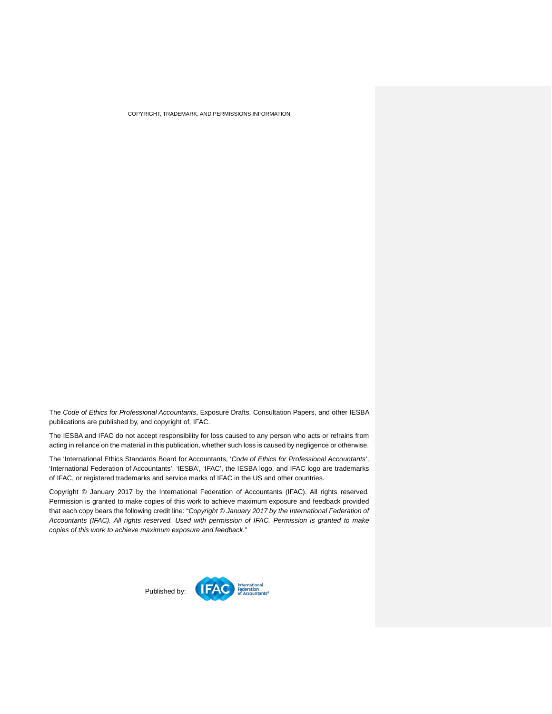COPYRIGHT, TRADEMARK, AND PERMISSIONS INFORMATION

The *Code of Ethics for Professional Accountants*, Exposure Drafts, Consultation Papers, and other IESBA publications are published by, and copyright of, IFAC.

The IESBA and IFAC do not accept responsibility for loss caused to any person who acts or refrains from acting in reliance on the material in this publication, whether such loss is caused by negligence or otherwise.

The 'International Ethics Standards Board for Accountants, '*Code of Ethics for Professional Accountants*', 'International Federation of Accountants', 'IESBA', 'IFAC', the IESBA logo, and IFAC logo are trademarks of IFAC, or registered trademarks and service marks of IFAC in the US and other countries.

Copyright © January 2017 by the International Federation of Accountants (IFAC). All rights reserved. Permission is granted to make copies of this work to achieve maximum exposure and feedback provided that each copy bears the following credit line: "*Copyright © January 2017 by the International Federation of Accountants (IFAC). All rights reserved. Used with permission of IFAC. Permission is granted to make copies of this work to achieve maximum exposure and feedback*."